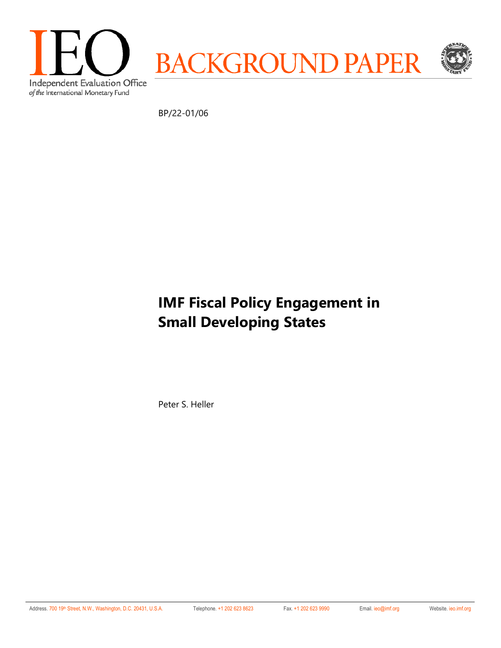

BP/22-01/06

# **IMF Fiscal Policy Engagement in Small Developing States**

Peter S. Heller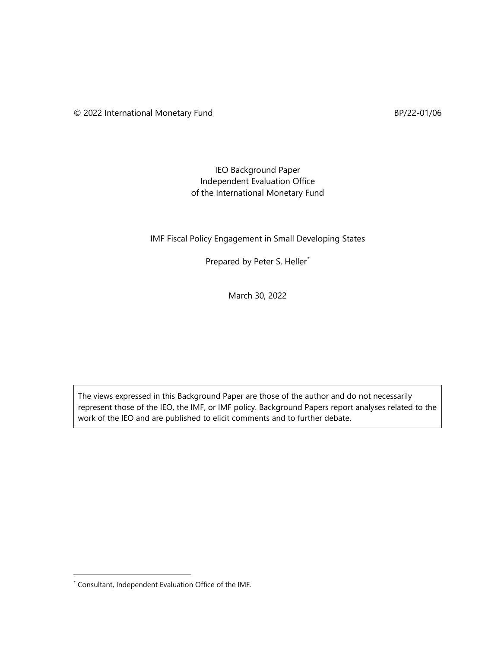## IEO Background Paper Independent Evaluation Office of the International Monetary Fund

## IMF Fiscal Policy Engagement in Small Developing States

Prepared by Peter S. Heller<sup>[\\*](#page-1-0)</sup>

March 30, 2022

The views expressed in this Background Paper are those of the author and do not necessarily represent those of the IEO, the IMF, or IMF policy. Background Papers report analyses related to the work of the IEO and are published to elicit comments and to further debate.

<span id="page-1-0"></span><sup>\*</sup> Consultant, Independent Evaluation Office of the IMF.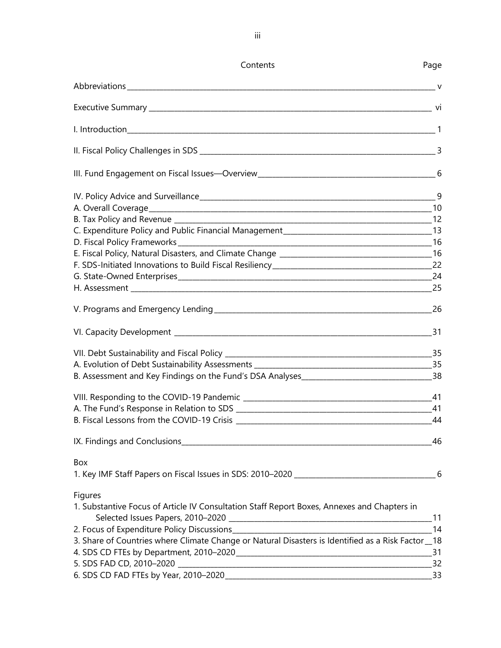| Contents                                                                                          | Page            |
|---------------------------------------------------------------------------------------------------|-----------------|
| $\mathsf{V}$                                                                                      |                 |
|                                                                                                   |                 |
|                                                                                                   |                 |
|                                                                                                   |                 |
|                                                                                                   |                 |
|                                                                                                   |                 |
|                                                                                                   |                 |
|                                                                                                   |                 |
|                                                                                                   |                 |
|                                                                                                   |                 |
|                                                                                                   |                 |
|                                                                                                   |                 |
|                                                                                                   |                 |
|                                                                                                   |                 |
|                                                                                                   |                 |
|                                                                                                   |                 |
|                                                                                                   |                 |
|                                                                                                   |                 |
|                                                                                                   |                 |
|                                                                                                   |                 |
|                                                                                                   |                 |
| B. Fiscal Lessons from the COVID-19 Crisis                                                        |                 |
|                                                                                                   | 46              |
| Box                                                                                               |                 |
|                                                                                                   |                 |
| Figures                                                                                           |                 |
| 1. Substantive Focus of Article IV Consultation Staff Report Boxes, Annexes and Chapters in       |                 |
|                                                                                                   | 14              |
| 3. Share of Countries where Climate Change or Natural Disasters is Identified as a Risk Factor_18 |                 |
|                                                                                                   |                 |
|                                                                                                   | $\overline{32}$ |
|                                                                                                   | $-33$           |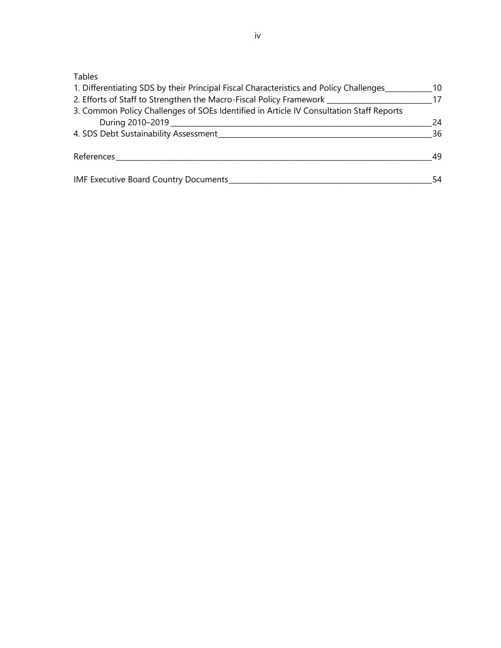# Tables

| 1. Differentiating SDS by their Principal Fiscal Characteristics and Policy Challenges<br>2. Efforts of Staff to Strengthen the Macro-Fiscal Policy Framework | 10<br>17 |
|---------------------------------------------------------------------------------------------------------------------------------------------------------------|----------|
| 3. Common Policy Challenges of SOEs Identified in Article IV Consultation Staff Reports                                                                       |          |
|                                                                                                                                                               | 24       |
| 4. SDS Debt Sustainability Assessment                                                                                                                         | 36       |
| References                                                                                                                                                    | 49       |
| <b>IMF Executive Board Country Documents</b>                                                                                                                  | 54       |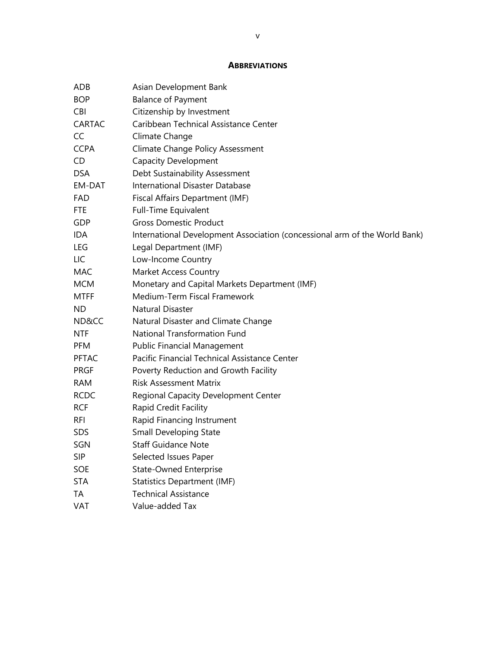#### **ABBREVIATIONS**

| ADB           | Asian Development Bank                                                     |
|---------------|----------------------------------------------------------------------------|
| <b>BOP</b>    | <b>Balance of Payment</b>                                                  |
| <b>CBI</b>    | Citizenship by Investment                                                  |
| <b>CARTAC</b> | Caribbean Technical Assistance Center                                      |
| CC            | Climate Change                                                             |
| <b>CCPA</b>   | <b>Climate Change Policy Assessment</b>                                    |
| CD.           | <b>Capacity Development</b>                                                |
| <b>DSA</b>    | Debt Sustainability Assessment                                             |
| EM-DAT        | International Disaster Database                                            |
| <b>FAD</b>    | Fiscal Affairs Department (IMF)                                            |
| FTE           | <b>Full-Time Equivalent</b>                                                |
| GDP           | <b>Gross Domestic Product</b>                                              |
| <b>IDA</b>    | International Development Association (concessional arm of the World Bank) |
| <b>LEG</b>    | Legal Department (IMF)                                                     |
| LIC           | Low-Income Country                                                         |
| MAC           | Market Access Country                                                      |
| <b>MCM</b>    | Monetary and Capital Markets Department (IMF)                              |
| <b>MTFF</b>   | Medium-Term Fiscal Framework                                               |
| ND            | <b>Natural Disaster</b>                                                    |
| ND&CC         | Natural Disaster and Climate Change                                        |
| <b>NTF</b>    | <b>National Transformation Fund</b>                                        |
| <b>PFM</b>    | <b>Public Financial Management</b>                                         |
| <b>PFTAC</b>  | Pacific Financial Technical Assistance Center                              |
| <b>PRGF</b>   | Poverty Reduction and Growth Facility                                      |
| <b>RAM</b>    | <b>Risk Assessment Matrix</b>                                              |
| <b>RCDC</b>   | Regional Capacity Development Center                                       |
| <b>RCF</b>    | Rapid Credit Facility                                                      |
| <b>RFI</b>    | Rapid Financing Instrument                                                 |
| <b>SDS</b>    | <b>Small Developing State</b>                                              |
| SGN           | <b>Staff Guidance Note</b>                                                 |
| <b>SIP</b>    | Selected Issues Paper                                                      |
| <b>SOE</b>    | <b>State-Owned Enterprise</b>                                              |
| <b>STA</b>    | <b>Statistics Department (IMF)</b>                                         |
| ТA            | <b>Technical Assistance</b>                                                |
| VAT           | Value-added Tax                                                            |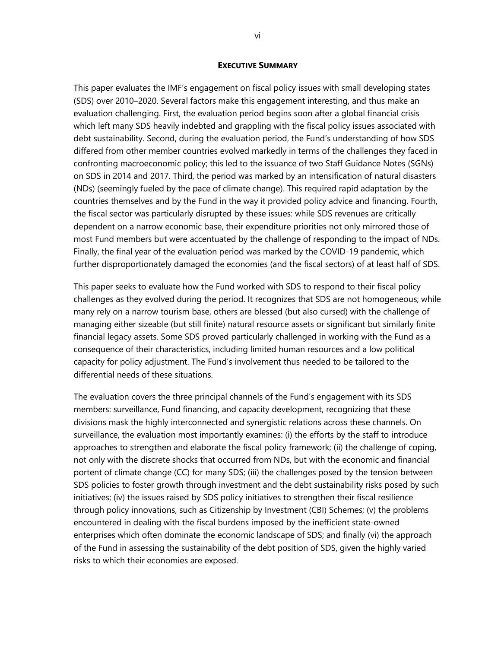#### **EXECUTIVE SUMMARY**

This paper evaluates the IMF's engagement on fiscal policy issues with small developing states (SDS) over 2010–2020. Several factors make this engagement interesting, and thus make an evaluation challenging. First, the evaluation period begins soon after a global financial crisis which left many SDS heavily indebted and grappling with the fiscal policy issues associated with debt sustainability. Second, during the evaluation period, the Fund's understanding of how SDS differed from other member countries evolved markedly in terms of the challenges they faced in confronting macroeconomic policy; this led to the issuance of two Staff Guidance Notes (SGNs) on SDS in 2014 and 2017. Third, the period was marked by an intensification of natural disasters (NDs) (seemingly fueled by the pace of climate change). This required rapid adaptation by the countries themselves and by the Fund in the way it provided policy advice and financing. Fourth, the fiscal sector was particularly disrupted by these issues: while SDS revenues are critically dependent on a narrow economic base, their expenditure priorities not only mirrored those of most Fund members but were accentuated by the challenge of responding to the impact of NDs. Finally, the final year of the evaluation period was marked by the COVID-19 pandemic, which further disproportionately damaged the economies (and the fiscal sectors) of at least half of SDS.

This paper seeks to evaluate how the Fund worked with SDS to respond to their fiscal policy challenges as they evolved during the period. It recognizes that SDS are not homogeneous; while many rely on a narrow tourism base, others are blessed (but also cursed) with the challenge of managing either sizeable (but still finite) natural resource assets or significant but similarly finite financial legacy assets. Some SDS proved particularly challenged in working with the Fund as a consequence of their characteristics, including limited human resources and a low political capacity for policy adjustment. The Fund's involvement thus needed to be tailored to the differential needs of these situations.

The evaluation covers the three principal channels of the Fund's engagement with its SDS members: surveillance, Fund financing, and capacity development, recognizing that these divisions mask the highly interconnected and synergistic relations across these channels. On surveillance, the evaluation most importantly examines: (i) the efforts by the staff to introduce approaches to strengthen and elaborate the fiscal policy framework; (ii) the challenge of coping, not only with the discrete shocks that occurred from NDs, but with the economic and financial portent of climate change (CC) for many SDS; (iii) the challenges posed by the tension between SDS policies to foster growth through investment and the debt sustainability risks posed by such initiatives; (iv) the issues raised by SDS policy initiatives to strengthen their fiscal resilience through policy innovations, such as Citizenship by Investment (CBI) Schemes; (v) the problems encountered in dealing with the fiscal burdens imposed by the inefficient state-owned enterprises which often dominate the economic landscape of SDS; and finally (vi) the approach of the Fund in assessing the sustainability of the debt position of SDS, given the highly varied risks to which their economies are exposed.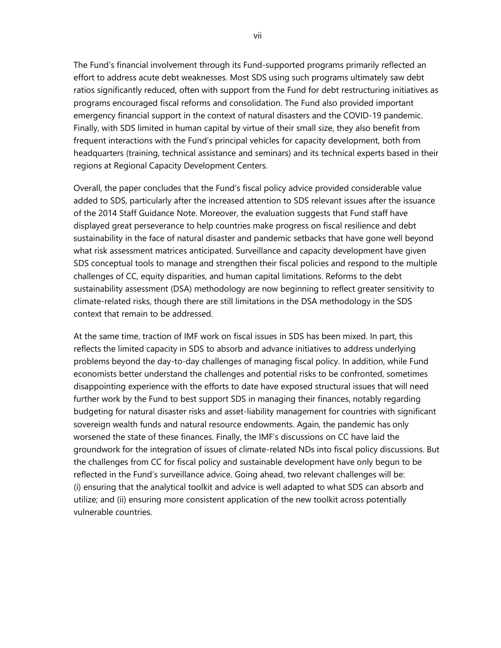The Fund's financial involvement through its Fund-supported programs primarily reflected an effort to address acute debt weaknesses. Most SDS using such programs ultimately saw debt ratios significantly reduced, often with support from the Fund for debt restructuring initiatives as programs encouraged fiscal reforms and consolidation. The Fund also provided important emergency financial support in the context of natural disasters and the COVID-19 pandemic. Finally, with SDS limited in human capital by virtue of their small size, they also benefit from frequent interactions with the Fund's principal vehicles for capacity development, both from headquarters (training, technical assistance and seminars) and its technical experts based in their regions at Regional Capacity Development Centers.

Overall, the paper concludes that the Fund's fiscal policy advice provided considerable value added to SDS, particularly after the increased attention to SDS relevant issues after the issuance of the 2014 Staff Guidance Note. Moreover, the evaluation suggests that Fund staff have displayed great perseverance to help countries make progress on fiscal resilience and debt sustainability in the face of natural disaster and pandemic setbacks that have gone well beyond what risk assessment matrices anticipated. Surveillance and capacity development have given SDS conceptual tools to manage and strengthen their fiscal policies and respond to the multiple challenges of CC, equity disparities, and human capital limitations. Reforms to the debt sustainability assessment (DSA) methodology are now beginning to reflect greater sensitivity to climate-related risks, though there are still limitations in the DSA methodology in the SDS context that remain to be addressed.

At the same time, traction of IMF work on fiscal issues in SDS has been mixed. In part, this reflects the limited capacity in SDS to absorb and advance initiatives to address underlying problems beyond the day-to-day challenges of managing fiscal policy. In addition, while Fund economists better understand the challenges and potential risks to be confronted, sometimes disappointing experience with the efforts to date have exposed structural issues that will need further work by the Fund to best support SDS in managing their finances, notably regarding budgeting for natural disaster risks and asset-liability management for countries with significant sovereign wealth funds and natural resource endowments. Again, the pandemic has only worsened the state of these finances. Finally, the IMF's discussions on CC have laid the groundwork for the integration of issues of climate-related NDs into fiscal policy discussions. But the challenges from CC for fiscal policy and sustainable development have only begun to be reflected in the Fund's surveillance advice. Going ahead, two relevant challenges will be: (i) ensuring that the analytical toolkit and advice is well adapted to what SDS can absorb and utilize; and (ii) ensuring more consistent application of the new toolkit across potentially vulnerable countries.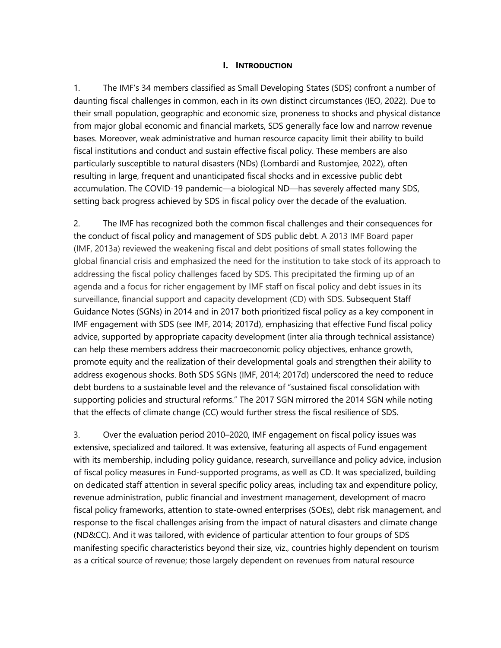#### **I. INTRODUCTION**

1. The IMF's 34 members classified as Small Developing States (SDS) confront a number of daunting fiscal challenges in common, each in its own distinct circumstances (IEO, 2022). Due to their small population, geographic and economic size, proneness to shocks and physical distance from major global economic and financial markets, SDS generally face low and narrow revenue bases. Moreover, weak administrative and human resource capacity limit their ability to build fiscal institutions and conduct and sustain effective fiscal policy. These members are also particularly susceptible to natural disasters (NDs) (Lombardi and Rustomjee, 2022), often resulting in large, frequent and unanticipated fiscal shocks and in excessive public debt accumulation. The COVID-19 pandemic—a biological ND—has severely affected many SDS, setting back progress achieved by SDS in fiscal policy over the decade of the evaluation.

2. The IMF has recognized both the common fiscal challenges and their consequences for the conduct of fiscal policy and management of SDS public debt. A 2013 IMF Board paper (IMF, 2013a) reviewed the weakening fiscal and debt positions of small states following the global financial crisis and emphasized the need for the institution to take stock of its approach to addressing the fiscal policy challenges faced by SDS. This precipitated the firming up of an agenda and a focus for richer engagement by IMF staff on fiscal policy and debt issues in its surveillance, financial support and capacity development (CD) with SDS. Subsequent Staff Guidance Notes (SGNs) in 2014 and in 2017 both prioritized fiscal policy as a key component in IMF engagement with SDS (see IMF, 2014; 2017d), emphasizing that effective Fund fiscal policy advice, supported by appropriate capacity development (inter alia through technical assistance) can help these members address their macroeconomic policy objectives, enhance growth, promote equity and the realization of their developmental goals and strengthen their ability to address exogenous shocks. Both SDS SGNs (IMF, 2014; 2017d) underscored the need to reduce debt burdens to a sustainable level and the relevance of "sustained fiscal consolidation with supporting policies and structural reforms." The 2017 SGN mirrored the 2014 SGN while noting that the effects of climate change (CC) would further stress the fiscal resilience of SDS.

3. Over the evaluation period 2010–2020, IMF engagement on fiscal policy issues was extensive, specialized and tailored. It was extensive, featuring all aspects of Fund engagement with its membership, including policy guidance, research, surveillance and policy advice, inclusion of fiscal policy measures in Fund-supported programs, as well as CD. It was specialized, building on dedicated staff attention in several specific policy areas, including tax and expenditure policy, revenue administration, public financial and investment management, development of macro fiscal policy frameworks, attention to state-owned enterprises (SOEs), debt risk management, and response to the fiscal challenges arising from the impact of natural disasters and climate change (ND&CC). And it was tailored, with evidence of particular attention to four groups of SDS manifesting specific characteristics beyond their size, viz., countries highly dependent on tourism as a critical source of revenue; those largely dependent on revenues from natural resource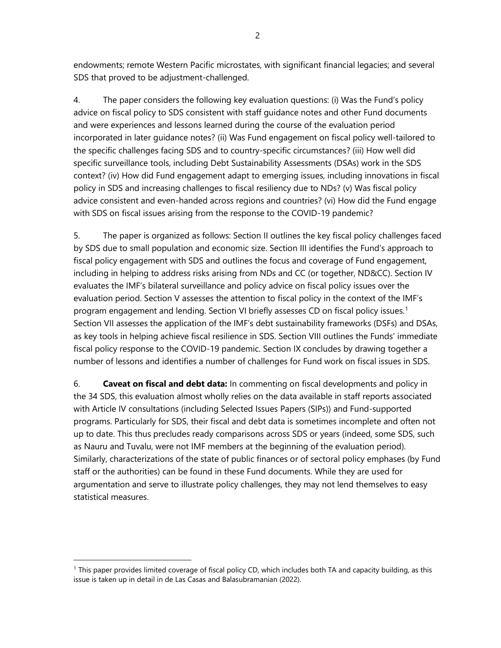endowments; remote Western Pacific microstates, with significant financial legacies; and several SDS that proved to be adjustment-challenged.

4. The paper considers the following key evaluation questions: (i) Was the Fund's policy advice on fiscal policy to SDS consistent with staff guidance notes and other Fund documents and were experiences and lessons learned during the course of the evaluation period incorporated in later guidance notes? (ii) Was Fund engagement on fiscal policy well-tailored to the specific challenges facing SDS and to country-specific circumstances? (iii) How well did specific surveillance tools, including Debt Sustainability Assessments (DSAs) work in the SDS context? (iv) How did Fund engagement adapt to emerging issues, including innovations in fiscal policy in SDS and increasing challenges to fiscal resiliency due to NDs? (v) Was fiscal policy advice consistent and even-handed across regions and countries? (vi) How did the Fund engage with SDS on fiscal issues arising from the response to the COVID-19 pandemic?

5. The paper is organized as follows: Section II outlines the key fiscal policy challenges faced by SDS due to small population and economic size. Section III identifies the Fund's approach to fiscal policy engagement with SDS and outlines the focus and coverage of Fund engagement, including in helping to address risks arising from NDs and CC (or together, ND&CC). Section IV evaluates the IMF's bilateral surveillance and policy advice on fiscal policy issues over the evaluation period. Section V assesses the attention to fiscal policy in the context of the IMF's program engagement and lending. Section VI briefly assesses CD on fiscal policy issues. [1](#page-9-0) Section VII assesses the application of the IMF's debt sustainability frameworks (DSFs) and DSAs, as key tools in helping achieve fiscal resilience in SDS. Section VIII outlines the Funds' immediate fiscal policy response to the COVID-19 pandemic. Section IX concludes by drawing together a number of lessons and identifies a number of challenges for Fund work on fiscal issues in SDS.

6. **Caveat on fiscal and debt data:** In commenting on fiscal developments and policy in the 34 SDS, this evaluation almost wholly relies on the data available in staff reports associated with Article IV consultations (including Selected Issues Papers (SIPs)) and Fund-supported programs. Particularly for SDS, their fiscal and debt data is sometimes incomplete and often not up to date. This thus precludes ready comparisons across SDS or years (indeed, some SDS, such as Nauru and Tuvalu, were not IMF members at the beginning of the evaluation period). Similarly, characterizations of the state of public finances or of sectoral policy emphases (by Fund staff or the authorities) can be found in these Fund documents. While they are used for argumentation and serve to illustrate policy challenges, they may not lend themselves to easy statistical measures.

<span id="page-9-0"></span><sup>1</sup> This paper provides limited coverage of fiscal policy CD, which includes both TA and capacity building, as this issue is taken up in detail in de Las Casas and Balasubramanian (2022).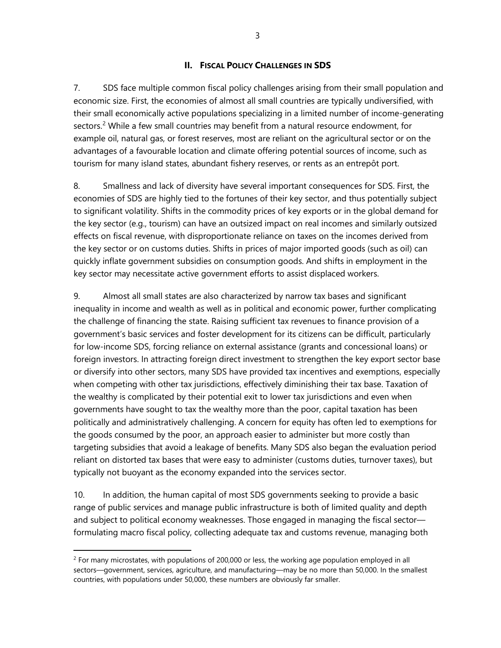#### **II. FISCAL POLICY CHALLENGES IN SDS**

7. SDS face multiple common fiscal policy challenges arising from their small population and economic size. First, the economies of almost all small countries are typically undiversified, with their small economically active populations specializing in a limited number of income-generating sectors.<sup>[2](#page-10-0)</sup> While a few small countries may benefit from a natural resource endowment, for example oil, natural gas, or forest reserves, most are reliant on the agricultural sector or on the advantages of a favourable location and climate offering potential sources of income, such as tourism for many island states, abundant fishery reserves, or rents as an entrepôt port.

8. Smallness and lack of diversity have several important consequences for SDS. First, the economies of SDS are highly tied to the fortunes of their key sector, and thus potentially subject to significant volatility. Shifts in the commodity prices of key exports or in the global demand for the key sector (e.g., tourism) can have an outsized impact on real incomes and similarly outsized effects on fiscal revenue, with disproportionate reliance on taxes on the incomes derived from the key sector or on customs duties. Shifts in prices of major imported goods (such as oil) can quickly inflate government subsidies on consumption goods. And shifts in employment in the key sector may necessitate active government efforts to assist displaced workers.

9. Almost all small states are also characterized by narrow tax bases and significant inequality in income and wealth as well as in political and economic power, further complicating the challenge of financing the state. Raising sufficient tax revenues to finance provision of a government's basic services and foster development for its citizens can be difficult, particularly for low-income SDS, forcing reliance on external assistance (grants and concessional loans) or foreign investors. In attracting foreign direct investment to strengthen the key export sector base or diversify into other sectors, many SDS have provided tax incentives and exemptions, especially when competing with other tax jurisdictions, effectively diminishing their tax base. Taxation of the wealthy is complicated by their potential exit to lower tax jurisdictions and even when governments have sought to tax the wealthy more than the poor, capital taxation has been politically and administratively challenging. A concern for equity has often led to exemptions for the goods consumed by the poor, an approach easier to administer but more costly than targeting subsidies that avoid a leakage of benefits. Many SDS also began the evaluation period reliant on distorted tax bases that were easy to administer (customs duties, turnover taxes), but typically not buoyant as the economy expanded into the services sector.

10. In addition, the human capital of most SDS governments seeking to provide a basic range of public services and manage public infrastructure is both of limited quality and depth and subject to political economy weaknesses. Those engaged in managing the fiscal sector formulating macro fiscal policy, collecting adequate tax and customs revenue, managing both

3

<span id="page-10-0"></span> $2$  For many microstates, with populations of 200,000 or less, the working age population employed in all sectors—government, services, agriculture, and manufacturing—may be no more than 50,000. In the smallest countries, with populations under 50,000, these numbers are obviously far smaller.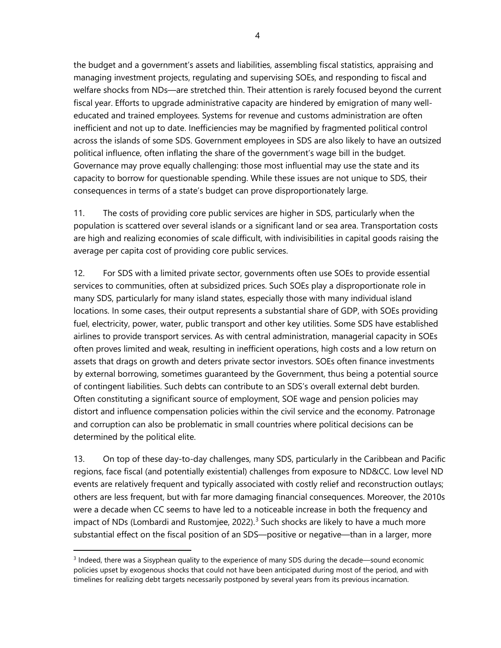the budget and a government's assets and liabilities, assembling fiscal statistics, appraising and managing investment projects, regulating and supervising SOEs, and responding to fiscal and welfare shocks from NDs—are stretched thin. Their attention is rarely focused beyond the current fiscal year. Efforts to upgrade administrative capacity are hindered by emigration of many welleducated and trained employees. Systems for revenue and customs administration are often inefficient and not up to date. Inefficiencies may be magnified by fragmented political control across the islands of some SDS. Government employees in SDS are also likely to have an outsized political influence, often inflating the share of the government's wage bill in the budget. Governance may prove equally challenging: those most influential may use the state and its capacity to borrow for questionable spending. While these issues are not unique to SDS, their consequences in terms of a state's budget can prove disproportionately large.

11. The costs of providing core public services are higher in SDS, particularly when the population is scattered over several islands or a significant land or sea area. Transportation costs are high and realizing economies of scale difficult, with indivisibilities in capital goods raising the average per capita cost of providing core public services.

12. For SDS with a limited private sector, governments often use SOEs to provide essential services to communities, often at subsidized prices. Such SOEs play a disproportionate role in many SDS, particularly for many island states, especially those with many individual island locations. In some cases, their output represents a substantial share of GDP, with SOEs providing fuel, electricity, power, water, public transport and other key utilities. Some SDS have established airlines to provide transport services. As with central administration, managerial capacity in SOEs often proves limited and weak, resulting in inefficient operations, high costs and a low return on assets that drags on growth and deters private sector investors. SOEs often finance investments by external borrowing, sometimes guaranteed by the Government, thus being a potential source of contingent liabilities. Such debts can contribute to an SDS's overall external debt burden. Often constituting a significant source of employment, SOE wage and pension policies may distort and influence compensation policies within the civil service and the economy. Patronage and corruption can also be problematic in small countries where political decisions can be determined by the political elite.

13. On top of these day-to-day challenges, many SDS, particularly in the Caribbean and Pacific regions, face fiscal (and potentially existential) challenges from exposure to ND&CC. Low level ND events are relatively frequent and typically associated with costly relief and reconstruction outlays; others are less frequent, but with far more damaging financial consequences. Moreover, the 2010s were a decade when CC seems to have led to a noticeable increase in both the frequency and impact of NDs (Lombardi and Rustomjee, 2022).<sup>[3](#page-11-0)</sup> Such shocks are likely to have a much more substantial effect on the fiscal position of an SDS—positive or negative—than in a larger, more

<span id="page-11-0"></span><sup>&</sup>lt;sup>3</sup> Indeed, there was a Sisyphean quality to the experience of many SDS during the decade—sound economic policies upset by exogenous shocks that could not have been anticipated during most of the period, and with timelines for realizing debt targets necessarily postponed by several years from its previous incarnation.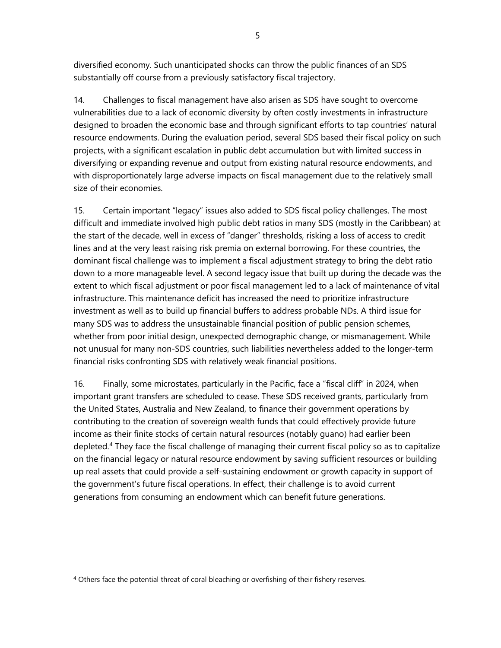diversified economy. Such unanticipated shocks can throw the public finances of an SDS substantially off course from a previously satisfactory fiscal trajectory.

14. Challenges to fiscal management have also arisen as SDS have sought to overcome vulnerabilities due to a lack of economic diversity by often costly investments in infrastructure designed to broaden the economic base and through significant efforts to tap countries' natural resource endowments. During the evaluation period, several SDS based their fiscal policy on such projects, with a significant escalation in public debt accumulation but with limited success in diversifying or expanding revenue and output from existing natural resource endowments, and with disproportionately large adverse impacts on fiscal management due to the relatively small size of their economies.

15. Certain important "legacy" issues also added to SDS fiscal policy challenges. The most difficult and immediate involved high public debt ratios in many SDS (mostly in the Caribbean) at the start of the decade, well in excess of "danger" thresholds, risking a loss of access to credit lines and at the very least raising risk premia on external borrowing. For these countries, the dominant fiscal challenge was to implement a fiscal adjustment strategy to bring the debt ratio down to a more manageable level. A second legacy issue that built up during the decade was the extent to which fiscal adjustment or poor fiscal management led to a lack of maintenance of vital infrastructure. This maintenance deficit has increased the need to prioritize infrastructure investment as well as to build up financial buffers to address probable NDs. A third issue for many SDS was to address the unsustainable financial position of public pension schemes, whether from poor initial design, unexpected demographic change, or mismanagement. While not unusual for many non-SDS countries, such liabilities nevertheless added to the longer-term financial risks confronting SDS with relatively weak financial positions.

16. Finally, some microstates, particularly in the Pacific, face a "fiscal cliff" in 2024, when important grant transfers are scheduled to cease. These SDS received grants, particularly from the United States, Australia and New Zealand, to finance their government operations by contributing to the creation of sovereign wealth funds that could effectively provide future income as their finite stocks of certain natural resources (notably guano) had earlier been depleted.[4](#page-12-0) They face the fiscal challenge of managing their current fiscal policy so as to capitalize on the financial legacy or natural resource endowment by saving sufficient resources or building up real assets that could provide a self-sustaining endowment or growth capacity in support of the government's future fiscal operations. In effect, their challenge is to avoid current generations from consuming an endowment which can benefit future generations.

<span id="page-12-0"></span><sup>&</sup>lt;sup>4</sup> Others face the potential threat of coral bleaching or overfishing of their fishery reserves.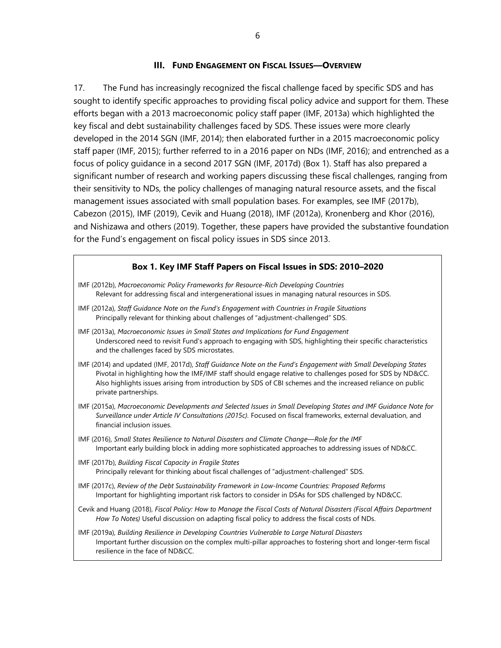#### **III. FUND ENGAGEMENT ON FISCAL ISSUES—OVERVIEW**

17. The Fund has increasingly recognized the fiscal challenge faced by specific SDS and has sought to identify specific approaches to providing fiscal policy advice and support for them. These efforts began with a 2013 macroeconomic policy staff paper (IMF, 2013a) which highlighted the key fiscal and debt sustainability challenges faced by SDS. These issues were more clearly developed in the 2014 SGN (IMF, 2014); then elaborated further in a 2015 macroeconomic policy staff paper (IMF, 2015); further referred to in a 2016 paper on NDs (IMF, 2016); and entrenched as a focus of policy guidance in a second 2017 SGN (IMF, 2017d) (Box 1). Staff has also prepared a significant number of research and working papers discussing these fiscal challenges, ranging from their sensitivity to NDs, the policy challenges of managing natural resource assets, and the fiscal management issues associated with small population bases. For examples, see IMF (2017b), Cabezon (2015), IMF (2019), Cevik and Huang (2018), IMF (2012a), Kronenberg and Khor (2016), and Nishizawa and others (2019). Together, these papers have provided the substantive foundation for the Fund's engagement on fiscal policy issues in SDS since 2013.

#### **Box 1. Key IMF Staff Papers on Fiscal Issues in SDS: 2010–2020**

- IMF (2012b), *Macroeconomic Policy Frameworks for Resource-Rich Developing Countries* Relevant for addressing fiscal and intergenerational issues in managing natural resources in SDS.
- IMF (2012a), *Staff Guidance Note on the Fund's Engagement with Countries in Fragile Situations* Principally relevant for thinking about challenges of "adjustment-challenged" SDS.
- IMF (2013a), *Macroeconomic Issues in Small States and Implications for Fund Engagement* Underscored need to revisit Fund's approach to engaging with SDS, highlighting their specific characteristics and the challenges faced by SDS microstates.
- IMF (2014) and updated (IMF, 2017d), *Staff Guidance Note on the Fund's Engagement with Small Developing States* Pivotal in highlighting how the IMF/IMF staff should engage relative to challenges posed for SDS by ND&CC. Also highlights issues arising from introduction by SDS of CBI schemes and the increased reliance on public private partnerships.
- IMF (2015a), *Macroeconomic Developments and Selected Issues in Small Developing States and IMF Guidance Note for Surveillance under Article IV Consultations (2015c).* Focused on fiscal frameworks, external devaluation, and financial inclusion issues.
- IMF (2016), *Small States Resilience to Natural Disasters and Climate Change—Role for the IMF* Important early building block in adding more sophisticated approaches to addressing issues of ND&CC.
- IMF (2017b), *Building Fiscal Capacity in Fragile States* Principally relevant for thinking about fiscal challenges of "adjustment-challenged" SDS.
- IMF (2017c), *Review of the Debt Sustainability Framework in Low-Income Countries: Proposed Reforms*  Important for highlighting important risk factors to consider in DSAs for SDS challenged by ND&CC.
- Cevik and Huang (2018), *Fiscal Policy: How to Manage the Fiscal Costs of Natural Disasters (Fiscal Affairs Department How To Notes)* Useful discussion on adapting fiscal policy to address the fiscal costs of NDs.
- IMF (2019a), *Building Resilience in Developing Countries Vulnerable to Large Natural Disasters* Important further discussion on the complex multi-pillar approaches to fostering short and longer-term fiscal resilience in the face of ND&CC.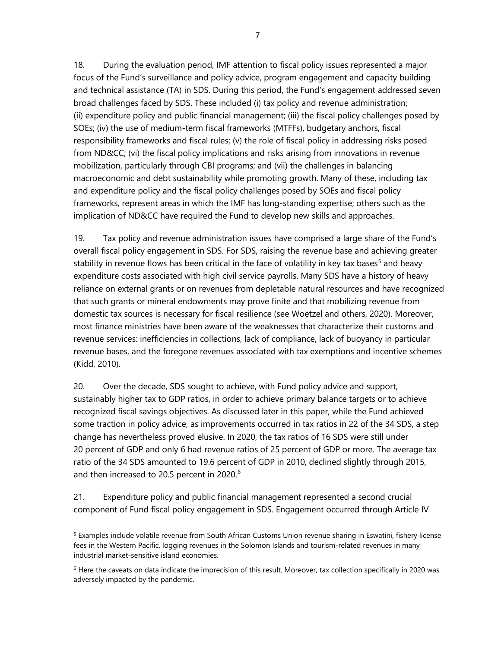18. During the evaluation period, IMF attention to fiscal policy issues represented a major focus of the Fund's surveillance and policy advice, program engagement and capacity building and technical assistance (TA) in SDS. During this period, the Fund's engagement addressed seven broad challenges faced by SDS. These included (i) tax policy and revenue administration; (ii) expenditure policy and public financial management; (iii) the fiscal policy challenges posed by SOEs; (iv) the use of medium-term fiscal frameworks (MTFFs), budgetary anchors, fiscal responsibility frameworks and fiscal rules; (v) the role of fiscal policy in addressing risks posed from ND&CC; (vi) the fiscal policy implications and risks arising from innovations in revenue mobilization, particularly through CBI programs; and (vii) the challenges in balancing macroeconomic and debt sustainability while promoting growth. Many of these, including tax and expenditure policy and the fiscal policy challenges posed by SOEs and fiscal policy frameworks, represent areas in which the IMF has long-standing expertise; others such as the implication of ND&CC have required the Fund to develop new skills and approaches.

19. Tax policy and revenue administration issues have comprised a large share of the Fund's overall fiscal policy engagement in SDS. For SDS, raising the revenue base and achieving greater stability in revenue flows has been critical in the face of volatility in key tax bases<sup>[5](#page-14-0)</sup> and heavy expenditure costs associated with high civil service payrolls. Many SDS have a history of heavy reliance on external grants or on revenues from depletable natural resources and have recognized that such grants or mineral endowments may prove finite and that mobilizing revenue from domestic tax sources is necessary for fiscal resilience (see Woetzel and others, 2020). Moreover, most finance ministries have been aware of the weaknesses that characterize their customs and revenue services: inefficiencies in collections, lack of compliance, lack of buoyancy in particular revenue bases, and the foregone revenues associated with tax exemptions and incentive schemes (Kidd, 2010).

20. Over the decade, SDS sought to achieve, with Fund policy advice and support, sustainably higher tax to GDP ratios, in order to achieve primary balance targets or to achieve recognized fiscal savings objectives. As discussed later in this paper, while the Fund achieved some traction in policy advice, as improvements occurred in tax ratios in 22 of the 34 SDS, a step change has nevertheless proved elusive. In 2020, the tax ratios of 16 SDS were still under 20 percent of GDP and only 6 had revenue ratios of 25 percent of GDP or more. The average tax ratio of the 34 SDS amounted to 19.6 percent of GDP in 2010, declined slightly through 2015, and then increased to 20.5 percent in 2020. [6](#page-14-1)

21. Expenditure policy and public financial management represented a second crucial component of Fund fiscal policy engagement in SDS. Engagement occurred through Article IV

<span id="page-14-0"></span><sup>&</sup>lt;sup>5</sup> Examples include volatile revenue from South African Customs Union revenue sharing in Eswatini, fishery license fees in the Western Pacific, logging revenues in the Solomon Islands and tourism-related revenues in many industrial market-sensitive island economies.

<span id="page-14-1"></span> $6$  Here the caveats on data indicate the imprecision of this result. Moreover, tax collection specifically in 2020 was adversely impacted by the pandemic.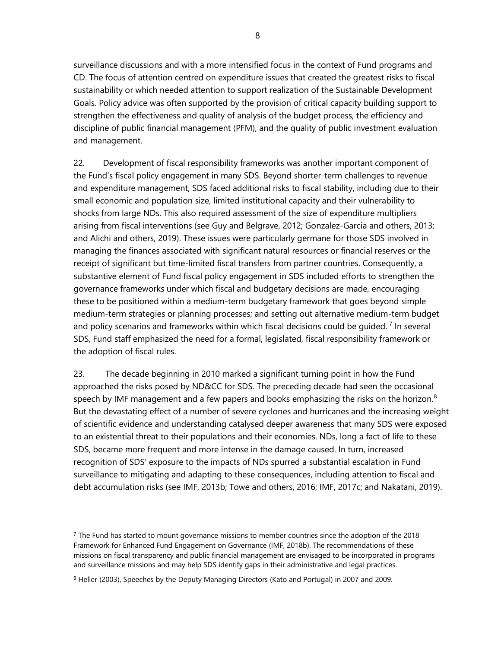surveillance discussions and with a more intensified focus in the context of Fund programs and CD. The focus of attention centred on expenditure issues that created the greatest risks to fiscal sustainability or which needed attention to support realization of the Sustainable Development Goals. Policy advice was often supported by the provision of critical capacity building support to strengthen the effectiveness and quality of analysis of the budget process, the efficiency and discipline of public financial management (PFM), and the quality of public investment evaluation and management.

22. Development of fiscal responsibility frameworks was another important component of the Fund's fiscal policy engagement in many SDS. Beyond shorter-term challenges to revenue and expenditure management, SDS faced additional risks to fiscal stability, including due to their small economic and population size, limited institutional capacity and their vulnerability to shocks from large NDs. This also required assessment of the size of expenditure multipliers arising from fiscal interventions (see Guy and Belgrave, 2012; Gonzalez-Garcia and others, 2013; and Alichi and others, 2019). These issues were particularly germane for those SDS involved in managing the finances associated with significant natural resources or financial reserves or the receipt of significant but time-limited fiscal transfers from partner countries. Consequently, a substantive element of Fund fiscal policy engagement in SDS included efforts to strengthen the governance frameworks under which fiscal and budgetary decisions are made, encouraging these to be positioned within a medium-term budgetary framework that goes beyond simple medium-term strategies or planning processes; and setting out alternative medium-term budget and policy scenarios and frameworks within which fiscal decisions could be quided.<sup>[7](#page-15-0)</sup> In several SDS, Fund staff emphasized the need for a formal, legislated, fiscal responsibility framework or the adoption of fiscal rules.

23. The decade beginning in 2010 marked a significant turning point in how the Fund approached the risks posed by ND&CC for SDS. The preceding decade had seen the occasional speech by IMF management and a few papers and books emphasizing the risks on the horizon. $8$ But the devastating effect of a number of severe cyclones and hurricanes and the increasing weight of scientific evidence and understanding catalysed deeper awareness that many SDS were exposed to an existential threat to their populations and their economies. NDs, long a fact of life to these SDS, became more frequent and more intense in the damage caused. In turn, increased recognition of SDS' exposure to the impacts of NDs spurred a substantial escalation in Fund surveillance to mitigating and adapting to these consequences, including attention to fiscal and debt accumulation risks (see IMF, 2013b; Towe and others, 2016; IMF, 2017c; and Nakatani, 2019).

<span id="page-15-0"></span> $7$  The Fund has started to mount governance missions to member countries since the adoption of the 2018 [Framework for Enhanced Fund Engagement on Governance](https://www.imf.org/en/News/Articles/2018/04/21/pr18142-imf-board-approves-new-framework-for-enhanced-engagement-on-governance) (IMF, 2018b). The recommendations of these missions on fiscal transparency and public financial management are envisaged to be incorporated in programs and surveillance missions and may help SDS identify gaps in their administrative and legal practices.

<span id="page-15-1"></span><sup>&</sup>lt;sup>8</sup> Heller (2003), Speeches by the Deputy Managing Directors (Kato and Portugal) in 2007 and 2009.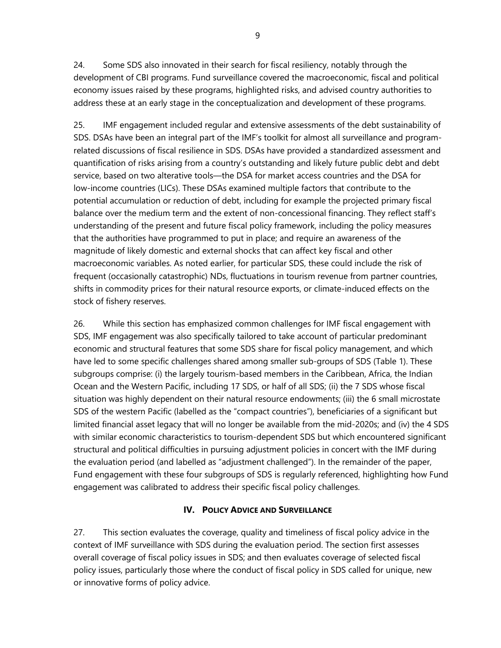24. Some SDS also innovated in their search for fiscal resiliency, notably through the development of CBI programs. Fund surveillance covered the macroeconomic, fiscal and political economy issues raised by these programs, highlighted risks, and advised country authorities to address these at an early stage in the conceptualization and development of these programs.

25. IMF engagement included regular and extensive assessments of the debt sustainability of SDS. DSAs have been an integral part of the IMF's toolkit for almost all surveillance and programrelated discussions of fiscal resilience in SDS. DSAs have provided a standardized assessment and quantification of risks arising from a country's outstanding and likely future public debt and debt service, based on two alterative tools—the DSA for market access countries and the DSA for low-income countries (LICs). These DSAs examined multiple factors that contribute to the potential accumulation or reduction of debt, including for example the projected primary fiscal balance over the medium term and the extent of non-concessional financing. They reflect staff's understanding of the present and future fiscal policy framework, including the policy measures that the authorities have programmed to put in place; and require an awareness of the magnitude of likely domestic and external shocks that can affect key fiscal and other macroeconomic variables. As noted earlier, for particular SDS, these could include the risk of frequent (occasionally catastrophic) NDs, fluctuations in tourism revenue from partner countries, shifts in commodity prices for their natural resource exports, or climate-induced effects on the stock of fishery reserves.

26. While this section has emphasized common challenges for IMF fiscal engagement with SDS, IMF engagement was also specifically tailored to take account of particular predominant economic and structural features that some SDS share for fiscal policy management, and which have led to some specific challenges shared among smaller sub-groups of SDS (Table 1). These subgroups comprise: (i) the largely tourism-based members in the Caribbean, Africa, the Indian Ocean and the Western Pacific, including 17 SDS, or half of all SDS; (ii) the 7 SDS whose fiscal situation was highly dependent on their natural resource endowments; (iii) the 6 small microstate SDS of the western Pacific (labelled as the "compact countries"), beneficiaries of a significant but limited financial asset legacy that will no longer be available from the mid-2020s; and (iv) the 4 SDS with similar economic characteristics to tourism-dependent SDS but which encountered significant structural and political difficulties in pursuing adjustment policies in concert with the IMF during the evaluation period (and labelled as "adjustment challenged"). In the remainder of the paper, Fund engagement with these four subgroups of SDS is regularly referenced, highlighting how Fund engagement was calibrated to address their specific fiscal policy challenges.

#### **IV. POLICY ADVICE AND SURVEILLANCE**

27. This section evaluates the coverage, quality and timeliness of fiscal policy advice in the context of IMF surveillance with SDS during the evaluation period. The section first assesses overall coverage of fiscal policy issues in SDS; and then evaluates coverage of selected fiscal policy issues, particularly those where the conduct of fiscal policy in SDS called for unique, new or innovative forms of policy advice.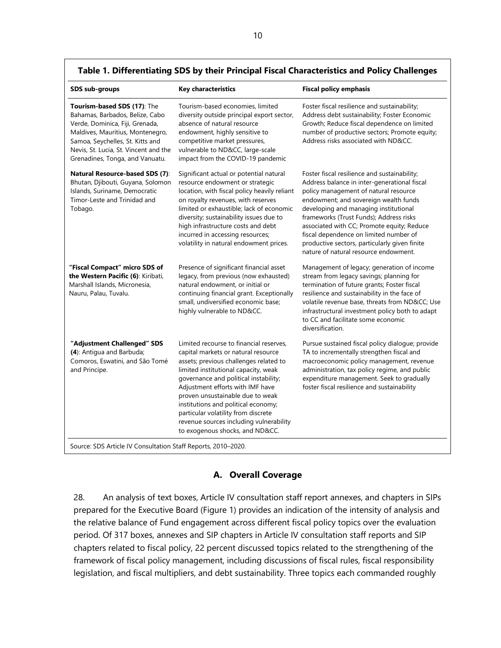| SDS sub-groups                                                                                                                                                                                                                                        | <b>Key characteristics</b>                                                                                                                                                                                                                                                                                                                                                                                                                    | <b>Fiscal policy emphasis</b>                                                                                                                                                                                                                                                                                                                                                                                                                        |
|-------------------------------------------------------------------------------------------------------------------------------------------------------------------------------------------------------------------------------------------------------|-----------------------------------------------------------------------------------------------------------------------------------------------------------------------------------------------------------------------------------------------------------------------------------------------------------------------------------------------------------------------------------------------------------------------------------------------|------------------------------------------------------------------------------------------------------------------------------------------------------------------------------------------------------------------------------------------------------------------------------------------------------------------------------------------------------------------------------------------------------------------------------------------------------|
| Tourism-based SDS (17): The<br>Bahamas, Barbados, Belize, Cabo<br>Verde, Dominica, Fiji, Grenada,<br>Maldives, Mauritius, Montenegro,<br>Samoa, Seychelles, St. Kitts and<br>Nevis, St. Lucia, St. Vincent and the<br>Grenadines, Tonga, and Vanuatu. | Tourism-based economies, limited<br>diversity outside principal export sector,<br>absence of natural resource<br>endowment, highly sensitive to<br>competitive market pressures,<br>vulnerable to ND&CC, large-scale<br>impact from the COVID-19 pandemic                                                                                                                                                                                     | Foster fiscal resilience and sustainability;<br>Address debt sustainability; Foster Economic<br>Growth; Reduce fiscal dependence on limited<br>number of productive sectors; Promote equity;<br>Address risks associated with ND&CC.                                                                                                                                                                                                                 |
| Natural Resource-based SDS (7):<br>Bhutan, Djibouti, Guyana, Solomon<br>Islands, Suriname, Democratic<br>Timor-Leste and Trinidad and<br>Tobago.                                                                                                      | Significant actual or potential natural<br>resource endowment or strategic<br>location, with fiscal policy heavily reliant<br>on royalty revenues, with reserves<br>limited or exhaustible; lack of economic<br>diversity; sustainability issues due to<br>high infrastructure costs and debt<br>incurred in accessing resources;<br>volatility in natural endowment prices.                                                                  | Foster fiscal resilience and sustainability;<br>Address balance in inter-generational fiscal<br>policy management of natural resource<br>endowment; and sovereign wealth funds<br>developing and managing institutional<br>frameworks (Trust Funds); Address risks<br>associated with CC; Promote equity; Reduce<br>fiscal dependence on limited number of<br>productive sectors, particularly given finite<br>nature of natural resource endowment. |
| "Fiscal Compact" micro SDS of<br>the Western Pacific (6): Kiribati,<br>Marshall Islands, Micronesia,<br>Nauru, Palau, Tuvalu.                                                                                                                         | Presence of significant financial asset<br>legacy, from previous (now exhausted)<br>natural endowment, or initial or<br>continuing financial grant. Exceptionally<br>small, undiversified economic base;<br>highly vulnerable to ND&CC.                                                                                                                                                                                                       | Management of legacy; generation of income<br>stream from legacy savings; planning for<br>termination of future grants; Foster fiscal<br>resilience and sustainability in the face of<br>volatile revenue base, threats from ND&CC Use<br>infrastructural investment policy both to adapt<br>to CC and facilitate some economic<br>diversification.                                                                                                  |
| "Adjustment Challenged" SDS<br>(4): Antigua and Barbuda;<br>Comoros, Eswatini, and São Tomé<br>and Principe.<br>Source: SDS Article IV Consultation Staff Reports, 2010-2020.                                                                         | Limited recourse to financial reserves,<br>capital markets or natural resource<br>assets; previous challenges related to<br>limited institutional capacity, weak<br>governance and political instability;<br>Adjustment efforts with IMF have<br>proven unsustainable due to weak<br>institutions and political economy;<br>particular volatility from discrete<br>revenue sources including vulnerability<br>to exogenous shocks, and ND&CC. | Pursue sustained fiscal policy dialogue; provide<br>TA to incrementally strengthen fiscal and<br>macroeconomic policy management, revenue<br>administration, tax policy regime, and public<br>expenditure management. Seek to gradually<br>foster fiscal resilience and sustainability                                                                                                                                                               |

#### **Table 1. Differentiating SDS by their Principal Fiscal Characteristics and Policy Challenges**

#### **A. Overall Coverage**

28. An analysis of text boxes, Article IV consultation staff report annexes, and chapters in SIPs prepared for the Executive Board (Figure 1) provides an indication of the intensity of analysis and the relative balance of Fund engagement across different fiscal policy topics over the evaluation period. Of 317 boxes, annexes and SIP chapters in Article IV consultation staff reports and SIP chapters related to fiscal policy, 22 percent discussed topics related to the strengthening of the framework of fiscal policy management, including discussions of fiscal rules, fiscal responsibility legislation, and fiscal multipliers, and debt sustainability. Three topics each commanded roughly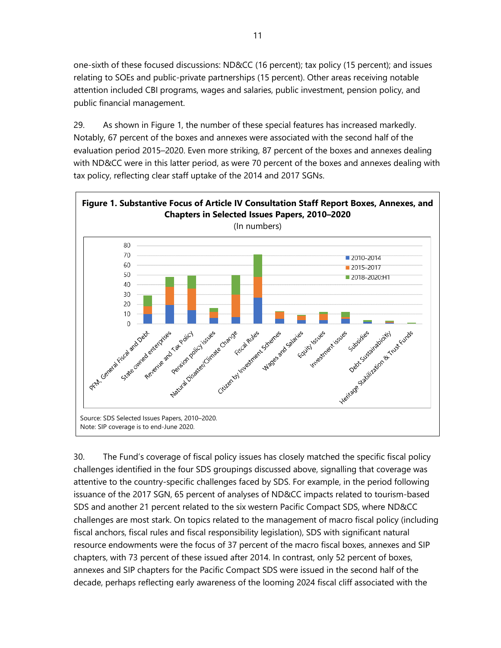one-sixth of these focused discussions: ND&CC (16 percent); tax policy (15 percent); and issues relating to SOEs and public-private partnerships (15 percent). Other areas receiving notable attention included CBI programs, wages and salaries, public investment, pension policy, and public financial management.

29. As shown in Figure 1, the number of these special features has increased markedly. Notably, 67 percent of the boxes and annexes were associated with the second half of the evaluation period 2015–2020. Even more striking, 87 percent of the boxes and annexes dealing with ND&CC were in this latter period, as were 70 percent of the boxes and annexes dealing with tax policy, reflecting clear staff uptake of the 2014 and 2017 SGNs.



30. The Fund's coverage of fiscal policy issues has closely matched the specific fiscal policy challenges identified in the four SDS groupings discussed above, signalling that coverage was attentive to the country-specific challenges faced by SDS. For example, in the period following issuance of the 2017 SGN, 65 percent of analyses of ND&CC impacts related to tourism-based SDS and another 21 percent related to the six western Pacific Compact SDS, where ND&CC challenges are most stark. On topics related to the management of macro fiscal policy (including fiscal anchors, fiscal rules and fiscal responsibility legislation), SDS with significant natural resource endowments were the focus of 37 percent of the macro fiscal boxes, annexes and SIP chapters, with 73 percent of these issued after 2014. In contrast, only 52 percent of boxes, annexes and SIP chapters for the Pacific Compact SDS were issued in the second half of the decade, perhaps reflecting early awareness of the looming 2024 fiscal cliff associated with the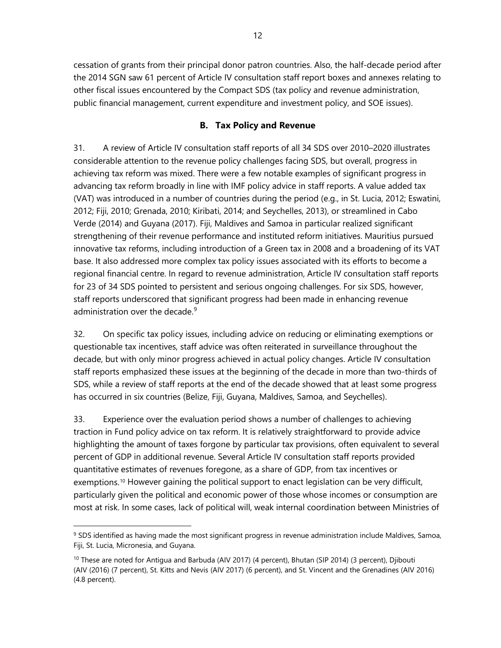cessation of grants from their principal donor patron countries. Also, the half-decade period after the 2014 SGN saw 61 percent of Article IV consultation staff report boxes and annexes relating to other fiscal issues encountered by the Compact SDS (tax policy and revenue administration, public financial management, current expenditure and investment policy, and SOE issues).

## **B. Tax Policy and Revenue**

31. A review of Article IV consultation staff reports of all 34 SDS over 2010–2020 illustrates considerable attention to the revenue policy challenges facing SDS, but overall, progress in achieving tax reform was mixed. There were a few notable examples of significant progress in advancing tax reform broadly in line with IMF policy advice in staff reports. A value added tax (VAT) was introduced in a number of countries during the period (e.g., in St. Lucia, 2012; Eswatini, 2012; Fiji, 2010; Grenada, 2010; Kiribati, 2014; and Seychelles, 2013), or streamlined in Cabo Verde (2014) and Guyana (2017). Fiji, Maldives and Samoa in particular realized significant strengthening of their revenue performance and instituted reform initiatives. Mauritius pursued innovative tax reforms, including introduction of a Green tax in 2008 and a broadening of its VAT base. It also addressed more complex tax policy issues associated with its efforts to become a regional financial centre. In regard to revenue administration, Article IV consultation staff reports for 23 of 34 SDS pointed to persistent and serious ongoing challenges. For six SDS, however, staff reports underscored that significant progress had been made in enhancing revenue administration over the decade.<sup>[9](#page-19-0)</sup>

32. On specific tax policy issues, including advice on reducing or eliminating exemptions or questionable tax incentives, staff advice was often reiterated in surveillance throughout the decade, but with only minor progress achieved in actual policy changes. Article IV consultation staff reports emphasized these issues at the beginning of the decade in more than two-thirds of SDS, while a review of staff reports at the end of the decade showed that at least some progress has occurred in six countries (Belize, Fiji, Guyana, Maldives, Samoa, and Seychelles).

33. Experience over the evaluation period shows a number of challenges to achieving traction in Fund policy advice on tax reform. It is relatively straightforward to provide advice highlighting the amount of taxes forgone by particular tax provisions, often equivalent to several percent of GDP in additional revenue. Several Article IV consultation staff reports provided quantitative estimates of revenues foregone, as a share of GDP, from tax incentives or exemptions.<sup>[10](#page-19-1)</sup> However gaining the political support to enact legislation can be very difficult, particularly given the political and economic power of those whose incomes or consumption are most at risk. In some cases, lack of political will, weak internal coordination between Ministries of

<span id="page-19-0"></span><sup>&</sup>lt;sup>9</sup> SDS identified as having made the most significant progress in revenue administration include Maldives, Samoa, Fiji, St. Lucia, Micronesia, and Guyana.

<span id="page-19-1"></span><sup>&</sup>lt;sup>10</sup> These are noted for Antigua and Barbuda (AIV 2017) (4 percent), Bhutan (SIP 2014) (3 percent), Djibouti (AIV (2016) (7 percent), St. Kitts and Nevis (AIV 2017) (6 percent), and St. Vincent and the Grenadines (AIV 2016) (4.8 percent).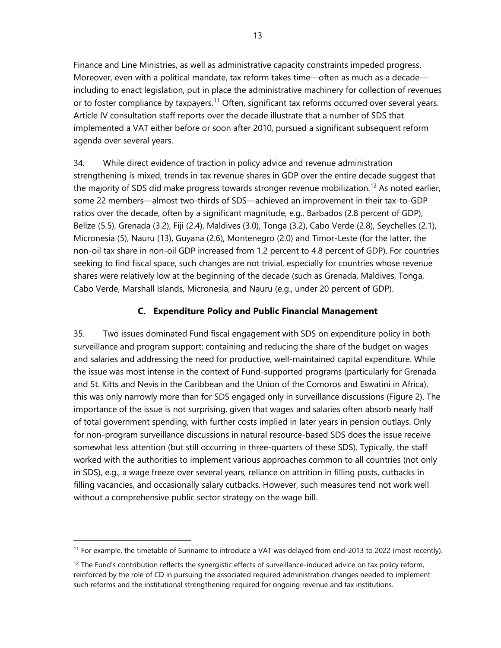Finance and Line Ministries, as well as administrative capacity constraints impeded progress. Moreover, even with a political mandate, tax reform takes time—often as much as a decade including to enact legislation, put in place the administrative machinery for collection of revenues or to foster compliance by taxpayers.<sup>[11](#page-20-0)</sup> Often, significant tax reforms occurred over several years. Article IV consultation staff reports over the decade illustrate that a number of SDS that implemented a VAT either before or soon after 2010, pursued a significant subsequent reform agenda over several years.

34. While direct evidence of traction in policy advice and revenue administration strengthening is mixed, trends in tax revenue shares in GDP over the entire decade suggest that the majority of SDS did make progress towards stronger revenue mobilization.<sup>[12](#page-20-1)</sup> As noted earlier, some 22 members—almost two-thirds of SDS—achieved an improvement in their tax-to-GDP ratios over the decade, often by a significant magnitude, e.g., Barbados (2.8 percent of GDP), Belize (5.5), Grenada (3.2), Fiji (2.4), Maldives (3.0), Tonga (3.2), Cabo Verde (2.8), Seychelles (2.1), Micronesia (5), Nauru (13), Guyana (2.6), Montenegro (2.0) and Timor-Leste (for the latter, the non-oil tax share in non-oil GDP increased from 1.2 percent to 4.8 percent of GDP). For countries seeking to find fiscal space, such changes are not trivial, especially for countries whose revenue shares were relatively low at the beginning of the decade (such as Grenada, Maldives, Tonga, Cabo Verde, Marshall Islands, Micronesia, and Nauru (e.g., under 20 percent of GDP).

## **C. Expenditure Policy and Public Financial Management**

35. Two issues dominated Fund fiscal engagement with SDS on expenditure policy in both surveillance and program support: containing and reducing the share of the budget on wages and salaries and addressing the need for productive, well-maintained capital expenditure. While the issue was most intense in the context of Fund-supported programs (particularly for Grenada and St. Kitts and Nevis in the Caribbean and the Union of the Comoros and Eswatini in Africa), this was only narrowly more than for SDS engaged only in surveillance discussions (Figure 2). The importance of the issue is not surprising, given that wages and salaries often absorb nearly half of total government spending, with further costs implied in later years in pension outlays. Only for non-program surveillance discussions in natural resource-based SDS does the issue receive somewhat less attention (but still occurring in three-quarters of these SDS). Typically, the staff worked with the authorities to implement various approaches common to all countries (not only in SDS), e.g., a wage freeze over several years, reliance on attrition in filling posts, cutbacks in filling vacancies, and occasionally salary cutbacks. However, such measures tend not work well without a comprehensive public sector strategy on the wage bill.

<span id="page-20-0"></span><sup>&</sup>lt;sup>11</sup> For example, the timetable of Suriname to introduce a VAT was delayed from end-2013 to 2022 (most recently).

<span id="page-20-1"></span> $12$  The Fund's contribution reflects the synergistic effects of surveillance-induced advice on tax policy reform, reinforced by the role of CD in pursuing the associated required administration changes needed to implement such reforms and the institutional strengthening required for ongoing revenue and tax institutions.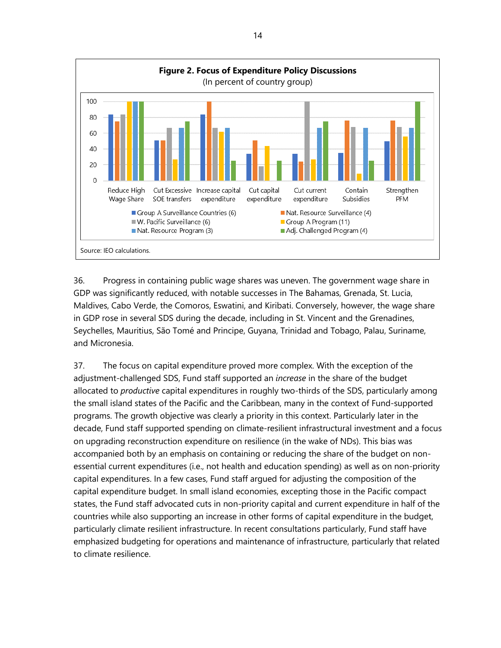

36. Progress in containing public wage shares was uneven. The government wage share in GDP was significantly reduced, with notable successes in The Bahamas, Grenada, St. Lucia, Maldives, Cabo Verde, the Comoros, Eswatini, and Kiribati. Conversely, however, the wage share in GDP rose in several SDS during the decade, including in St. Vincent and the Grenadines, Seychelles, Mauritius, São Tomé and Principe, Guyana, Trinidad and Tobago, Palau, Suriname, and Micronesia.

37. The focus on capital expenditure proved more complex. With the exception of the adjustment-challenged SDS, Fund staff supported an *increase* in the share of the budget allocated to *productive* capital expenditures in roughly two-thirds of the SDS, particularly among the small island states of the Pacific and the Caribbean, many in the context of Fund-supported programs. The growth objective was clearly a priority in this context. Particularly later in the decade, Fund staff supported spending on climate-resilient infrastructural investment and a focus on upgrading reconstruction expenditure on resilience (in the wake of NDs). This bias was accompanied both by an emphasis on containing or reducing the share of the budget on nonessential current expenditures (i.e., not health and education spending) as well as on non-priority capital expenditures. In a few cases, Fund staff argued for adjusting the composition of the capital expenditure budget. In small island economies, excepting those in the Pacific compact states, the Fund staff advocated cuts in non-priority capital and current expenditure in half of the countries while also supporting an increase in other forms of capital expenditure in the budget, particularly climate resilient infrastructure. In recent consultations particularly, Fund staff have emphasized budgeting for operations and maintenance of infrastructure, particularly that related to climate resilience.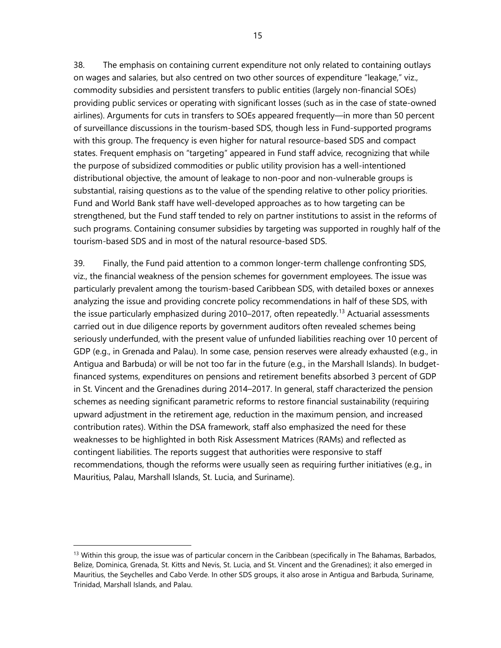38. The emphasis on containing current expenditure not only related to containing outlays on wages and salaries, but also centred on two other sources of expenditure "leakage," viz., commodity subsidies and persistent transfers to public entities (largely non-financial SOEs) providing public services or operating with significant losses (such as in the case of state-owned airlines). Arguments for cuts in transfers to SOEs appeared frequently—in more than 50 percent of surveillance discussions in the tourism-based SDS, though less in Fund-supported programs with this group. The frequency is even higher for natural resource-based SDS and compact states. Frequent emphasis on "targeting" appeared in Fund staff advice, recognizing that while the purpose of subsidized commodities or public utility provision has a well-intentioned distributional objective, the amount of leakage to non-poor and non-vulnerable groups is substantial, raising questions as to the value of the spending relative to other policy priorities. Fund and World Bank staff have well-developed approaches as to how targeting can be strengthened, but the Fund staff tended to rely on partner institutions to assist in the reforms of such programs. Containing consumer subsidies by targeting was supported in roughly half of the tourism-based SDS and in most of the natural resource-based SDS.

39. Finally, the Fund paid attention to a common longer-term challenge confronting SDS, viz., the financial weakness of the pension schemes for government employees. The issue was particularly prevalent among the tourism-based Caribbean SDS, with detailed boxes or annexes analyzing the issue and providing concrete policy recommendations in half of these SDS, with the issue particularly emphasized during 2010–2017, often repeatedly.<sup>[13](#page-22-0)</sup> Actuarial assessments carried out in due diligence reports by government auditors often revealed schemes being seriously underfunded, with the present value of unfunded liabilities reaching over 10 percent of GDP (e.g., in Grenada and Palau). In some case, pension reserves were already exhausted (e.g., in Antigua and Barbuda) or will be not too far in the future (e.g., in the Marshall Islands). In budgetfinanced systems, expenditures on pensions and retirement benefits absorbed 3 percent of GDP in St. Vincent and the Grenadines during 2014–2017. In general, staff characterized the pension schemes as needing significant parametric reforms to restore financial sustainability (requiring upward adjustment in the retirement age, reduction in the maximum pension, and increased contribution rates). Within the DSA framework, staff also emphasized the need for these weaknesses to be highlighted in both Risk Assessment Matrices (RAMs) and reflected as contingent liabilities. The reports suggest that authorities were responsive to staff recommendations, though the reforms were usually seen as requiring further initiatives (e.g., in Mauritius, Palau, Marshall Islands, St. Lucia, and Suriname).

<span id="page-22-0"></span> $13$  Within this group, the issue was of particular concern in the Caribbean (specifically in The Bahamas, Barbados, Belize, Dominica, Grenada, St. Kitts and Nevis, St. Lucia, and St. Vincent and the Grenadines); it also emerged in Mauritius, the Seychelles and Cabo Verde. In other SDS groups, it also arose in Antigua and Barbuda, Suriname, Trinidad, Marshall Islands, and Palau.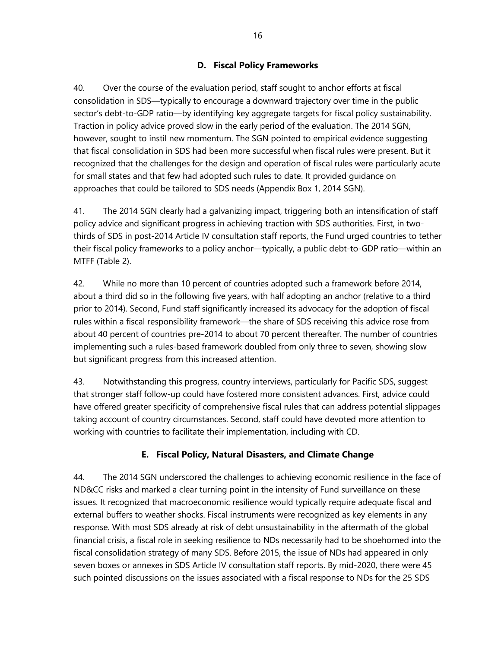# **D. Fiscal Policy Frameworks**

40. Over the course of the evaluation period, staff sought to anchor efforts at fiscal consolidation in SDS—typically to encourage a downward trajectory over time in the public sector's debt-to-GDP ratio—by identifying key aggregate targets for fiscal policy sustainability. Traction in policy advice proved slow in the early period of the evaluation. The 2014 SGN, however, sought to instil new momentum. The SGN pointed to empirical evidence suggesting that fiscal consolidation in SDS had been more successful when fiscal rules were present. But it recognized that the challenges for the design and operation of fiscal rules were particularly acute for small states and that few had adopted such rules to date. It provided guidance on approaches that could be tailored to SDS needs (Appendix Box 1, 2014 SGN).

41. The 2014 SGN clearly had a galvanizing impact, triggering both an intensification of staff policy advice and significant progress in achieving traction with SDS authorities. First, in twothirds of SDS in post-2014 Article IV consultation staff reports, the Fund urged countries to tether their fiscal policy frameworks to a policy anchor—typically, a public debt-to-GDP ratio—within an MTFF (Table 2).

42. While no more than 10 percent of countries adopted such a framework before 2014, about a third did so in the following five years, with half adopting an anchor (relative to a third prior to 2014). Second, Fund staff significantly increased its advocacy for the adoption of fiscal rules within a fiscal responsibility framework—the share of SDS receiving this advice rose from about 40 percent of countries pre-2014 to about 70 percent thereafter. The number of countries implementing such a rules-based framework doubled from only three to seven, showing slow but significant progress from this increased attention.

43. Notwithstanding this progress, country interviews, particularly for Pacific SDS, suggest that stronger staff follow-up could have fostered more consistent advances. First, advice could have offered greater specificity of comprehensive fiscal rules that can address potential slippages taking account of country circumstances. Second, staff could have devoted more attention to working with countries to facilitate their implementation, including with CD.

# **E. Fiscal Policy, Natural Disasters, and Climate Change**

44. The 2014 SGN underscored the challenges to achieving economic resilience in the face of ND&CC risks and marked a clear turning point in the intensity of Fund surveillance on these issues. It recognized that macroeconomic resilience would typically require adequate fiscal and external buffers to weather shocks. Fiscal instruments were recognized as key elements in any response. With most SDS already at risk of debt unsustainability in the aftermath of the global financial crisis, a fiscal role in seeking resilience to NDs necessarily had to be shoehorned into the fiscal consolidation strategy of many SDS. Before 2015, the issue of NDs had appeared in only seven boxes or annexes in SDS Article IV consultation staff reports. By mid-2020, there were 45 such pointed discussions on the issues associated with a fiscal response to NDs for the 25 SDS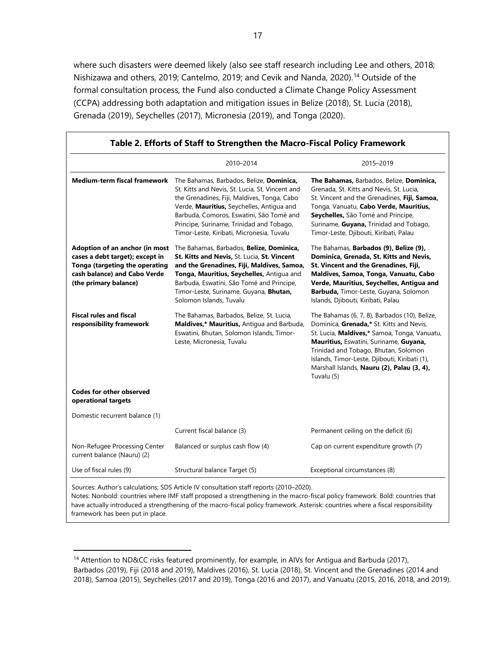where such disasters were deemed likely (also see staff research including Lee and others, 2018; Nishizawa and others, 2019; Cantelmo, 2019; and Cevik and Nanda, 2020). [14](#page-24-0) Outside of the formal consultation process, the Fund also conducted a Climate Change Policy Assessment (CCPA) addressing both adaptation and mitigation issues in Belize (2018), St. Lucia (2018), Grenada (2019), Seychelles (2017), Micronesia (2019), and Tonga (2020).

|                                                                                                                                                              | 2010-2014                                                                                                                                                                                                                                                                                                                    | 2015-2019                                                                                                                                                                                                                                                                                                                                |
|--------------------------------------------------------------------------------------------------------------------------------------------------------------|------------------------------------------------------------------------------------------------------------------------------------------------------------------------------------------------------------------------------------------------------------------------------------------------------------------------------|------------------------------------------------------------------------------------------------------------------------------------------------------------------------------------------------------------------------------------------------------------------------------------------------------------------------------------------|
| <b>Medium-term fiscal framework</b>                                                                                                                          | The Bahamas, Barbados, Belize, Dominica,<br>St. Kitts and Nevis, St. Lucia, St. Vincent and<br>the Grenadines, Fiji, Maldives, Tonga, Cabo<br>Verde, Mauritius, Seychelles, Antigua and<br>Barbuda, Comoros, Eswatini, São Tomé and<br>Principe, Suriname, Trinidad and Tobago,<br>Timor-Leste, Kiribati, Micronesia, Tuvalu | The Bahamas, Barbados, Belize, Dominica,<br>Grenada, St. Kitts and Nevis, St. Lucia,<br>St. Vincent and the Grenadines, Fiji, Samoa,<br>Tonga, Vanuatu, Cabo Verde, Mauritius,<br>Seychelles, São Tomé and Principe,<br>Suriname, Guyana, Trinidad and Tobago,<br>Timor-Leste, Djibouti, Kiribati, Palau                                 |
| Adoption of an anchor (in most<br>cases a debt target); except in<br>Tonga (targeting the operating<br>cash balance) and Cabo Verde<br>(the primary balance) | The Bahamas, Barbados, Belize, Dominica,<br>St. Kitts and Nevis, St. Lucia, St. Vincent<br>and the Grenadines, Fiji, Maldives, Samoa,<br>Tonga, Mauritius, Seychelles, Antigua and<br>Barbuda, Eswatini, São Tomé and Principe,<br>Timor-Leste, Suriname, Guyana, Bhutan,<br>Solomon Islands, Tuvalu                         | The Bahamas, Barbados (9), Belize (9),<br>Dominica, Grenada, St. Kitts and Nevis,<br>St. Vincent and the Grenadines, Fiji,<br>Maldives, Samoa, Tonga, Vanuatu, Cabo<br>Verde, Mauritius, Seychelles, Antigua and<br>Barbuda, Timor-Leste, Guyana, Solomon<br>Islands, Djibouti, Kiribati, Palau                                          |
| <b>Fiscal rules and fiscal</b><br>responsibility framework                                                                                                   | The Bahamas, Barbados, Belize, St. Lucia,<br>Maldives,* Mauritius, Antigua and Barbuda,<br>Eswatini, Bhutan, Solomon Islands, Timor-<br>Leste, Micronesia, Tuvalu                                                                                                                                                            | The Bahamas (6, 7, 8), Barbados (10), Belize,<br>Dominica, Grenada,* St. Kitts and Nevis,<br>St. Lucia, Maldives,* Samoa, Tonga, Vanuatu,<br>Mauritius, Eswatini, Suriname, Guyana,<br>Trinidad and Tobago, Bhutan, Solomon<br>Islands, Timor-Leste, Djibouti, Kiribati (1),<br>Marshall Islands, Nauru (2), Palau (3, 4),<br>Tuvalu (5) |
| <b>Codes for other observed</b><br>operational targets                                                                                                       |                                                                                                                                                                                                                                                                                                                              |                                                                                                                                                                                                                                                                                                                                          |
| Domestic recurrent balance (1)                                                                                                                               |                                                                                                                                                                                                                                                                                                                              |                                                                                                                                                                                                                                                                                                                                          |
|                                                                                                                                                              | Current fiscal balance (3)                                                                                                                                                                                                                                                                                                   | Permanent ceiling on the deficit (6)                                                                                                                                                                                                                                                                                                     |
| Non-Refugee Processing Center<br>current balance (Nauru) (2)                                                                                                 | Balanced or surplus cash flow (4)                                                                                                                                                                                                                                                                                            | Cap on current expenditure growth (7)                                                                                                                                                                                                                                                                                                    |
| Use of fiscal rules (9)                                                                                                                                      | Structural balance Target (5)                                                                                                                                                                                                                                                                                                | Exceptional circumstances (8)                                                                                                                                                                                                                                                                                                            |

Notes: Nonbold: countries where IMF staff proposed a strengthening in the macro-fiscal policy framework. Bold: countries that

have actually introduced a strengthening of the macro-fiscal policy framework. Asterisk: countries where a fiscal responsibility framework has been put in place.

<span id="page-24-0"></span><sup>14</sup> Attention to ND&CC risks featured prominently, for example, in AIVs for Antigua and Barbuda (2017), Barbados (2019), Fiji (2018 and 2019), Maldives (2016), St. Lucia (2018), St. Vincent and the Grenadines (2014 and 2018), Samoa (2015), Seychelles (2017 and 2019), Tonga (2016 and 2017), and Vanuatu (2015, 2016, 2018, and 2019).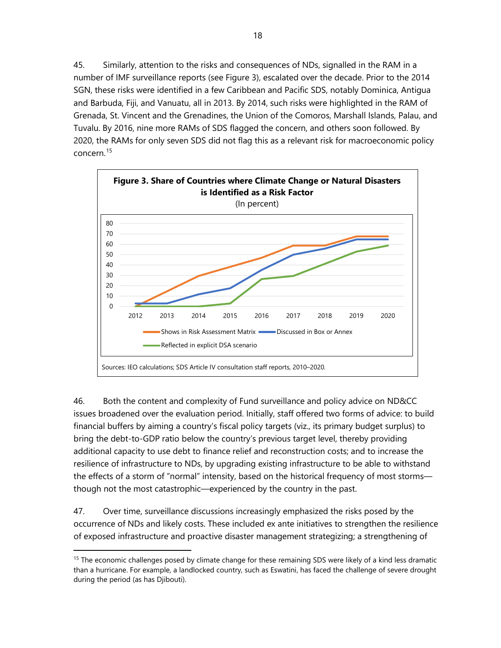45. Similarly, attention to the risks and consequences of NDs, signalled in the RAM in a number of IMF surveillance reports (see Figure 3), escalated over the decade. Prior to the 2014 SGN, these risks were identified in a few Caribbean and Pacific SDS, notably Dominica, Antigua and Barbuda, Fiji, and Vanuatu, all in 2013. By 2014, such risks were highlighted in the RAM of Grenada, St. Vincent and the Grenadines, the Union of the Comoros, Marshall Islands, Palau, and Tuvalu. By 2016, nine more RAMs of SDS flagged the concern, and others soon followed. By 2020, the RAMs for only seven SDS did not flag this as a relevant risk for macroeconomic policy concern.[15](#page-25-0)



46. Both the content and complexity of Fund surveillance and policy advice on ND&CC issues broadened over the evaluation period. Initially, staff offered two forms of advice: to build financial buffers by aiming a country's fiscal policy targets (viz., its primary budget surplus) to bring the debt-to-GDP ratio below the country's previous target level, thereby providing additional capacity to use debt to finance relief and reconstruction costs; and to increase the resilience of infrastructure to NDs, by upgrading existing infrastructure to be able to withstand the effects of a storm of "normal" intensity, based on the historical frequency of most storms though not the most catastrophic—experienced by the country in the past.

47. Over time, surveillance discussions increasingly emphasized the risks posed by the occurrence of NDs and likely costs. These included ex ante initiatives to strengthen the resilience of exposed infrastructure and proactive disaster management strategizing; a strengthening of

<span id="page-25-0"></span><sup>&</sup>lt;sup>15</sup> The economic challenges posed by climate change for these remaining SDS were likely of a kind less dramatic than a hurricane. For example, a landlocked country, such as Eswatini, has faced the challenge of severe drought during the period (as has Djibouti).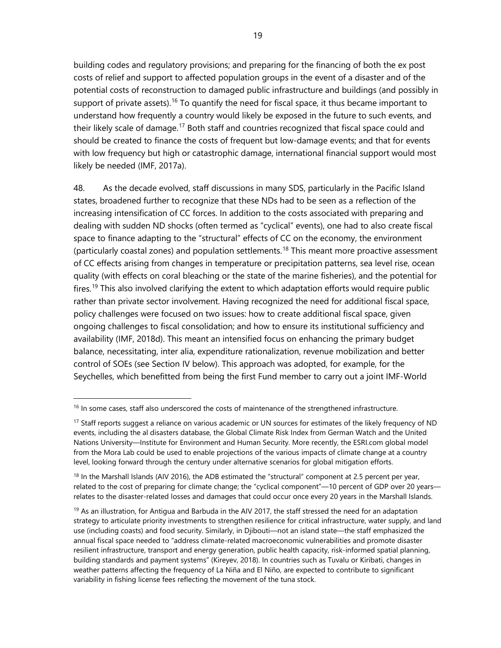building codes and regulatory provisions; and preparing for the financing of both the ex post costs of relief and support to affected population groups in the event of a disaster and of the potential costs of reconstruction to damaged public infrastructure and buildings (and possibly in support of private assets).<sup>[16](#page-26-0)</sup> To quantify the need for fiscal space, it thus became important to understand how frequently a country would likely be exposed in the future to such events, and their likely scale of damage.<sup>[17](#page-26-1)</sup> Both staff and countries recognized that fiscal space could and should be created to finance the costs of frequent but low-damage events; and that for events with low frequency but high or catastrophic damage, international financial support would most likely be needed (IMF, 2017a).

48. As the decade evolved, staff discussions in many SDS, particularly in the Pacific Island states, broadened further to recognize that these NDs had to be seen as a reflection of the increasing intensification of CC forces. In addition to the costs associated with preparing and dealing with sudden ND shocks (often termed as "cyclical" events), one had to also create fiscal space to finance adapting to the "structural" effects of CC on the economy, the environment (particularly coastal zones) and population settlements.<sup>[18](#page-26-2)</sup> This meant more proactive assessment of CC effects arising from changes in temperature or precipitation patterns, sea level rise, ocean quality (with effects on coral bleaching or the state of the marine fisheries), and the potential for fires.<sup>[19](#page-26-3)</sup> This also involved clarifying the extent to which adaptation efforts would require public rather than private sector involvement. Having recognized the need for additional fiscal space, policy challenges were focused on two issues: how to create additional fiscal space, given ongoing challenges to fiscal consolidation; and how to ensure its institutional sufficiency and availability (IMF, 2018d). This meant an intensified focus on enhancing the primary budget balance, necessitating, inter alia, expenditure rationalization, revenue mobilization and better control of SOEs (see Section IV below). This approach was adopted, for example, for the Seychelles, which benefitted from being the first Fund member to carry out a joint IMF-World

<span id="page-26-0"></span><sup>&</sup>lt;sup>16</sup> In some cases, staff also underscored the costs of maintenance of the strengthened infrastructure.

<span id="page-26-1"></span><sup>&</sup>lt;sup>17</sup> Staff reports suggest a reliance on various academic or UN sources for estimates of the likely frequency of ND events, including the al disasters database, the Global Climate Risk Index from German Watch and the United Nations University—Institute for Environment and Human Security. More recently, the ESRI.com global model from the Mora Lab could be used to enable projections of the various impacts of climate change at a country level, looking forward through the century under alternative scenarios for global mitigation efforts.

<span id="page-26-2"></span><sup>&</sup>lt;sup>18</sup> In the Marshall Islands (AIV 2016), the ADB estimated the "structural" component at 2.5 percent per year, related to the cost of preparing for climate change; the "cyclical component"—10 percent of GDP over 20 years relates to the disaster-related losses and damages that could occur once every 20 years in the Marshall Islands.

<span id="page-26-3"></span> $19$  As an illustration, for Antigua and Barbuda in the AIV 2017, the staff stressed the need for an adaptation strategy to articulate priority investments to strengthen resilience for critical infrastructure, water supply, and land use (including coasts) and food security. Similarly, in Djibouti—not an island state—the staff emphasized the annual fiscal space needed to "address climate-related macroeconomic vulnerabilities and promote disaster resilient infrastructure, transport and energy generation, public health capacity, risk-informed spatial planning, building standards and payment systems" (Kireyev, 2018). In countries such as Tuvalu or Kiribati, changes in weather patterns affecting the frequency of La Niña and El Niño, are expected to contribute to significant variability in fishing license fees reflecting the movement of the tuna stock.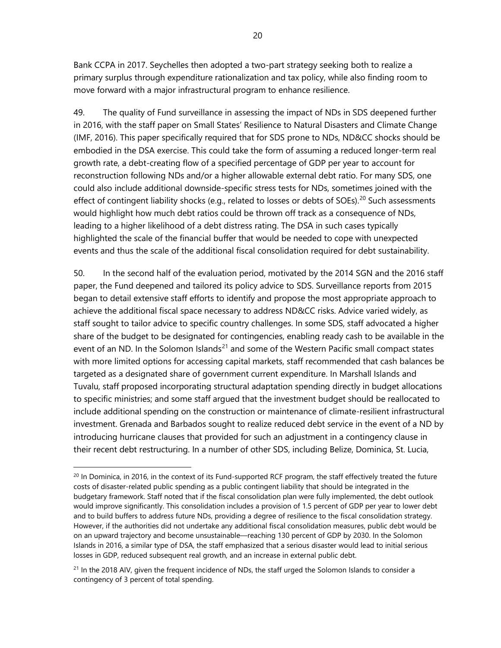Bank CCPA in 2017. Seychelles then adopted a two-part strategy seeking both to realize a primary surplus through expenditure rationalization and tax policy, while also finding room to move forward with a major infrastructural program to enhance resilience.

49. The quality of Fund surveillance in assessing the impact of NDs in SDS deepened further in 2016, with the staff paper on Small States' Resilience to Natural Disasters and Climate Change (IMF, 2016). This paper specifically required that for SDS prone to NDs, ND&CC shocks should be embodied in the DSA exercise. This could take the form of assuming a reduced longer-term real growth rate, a debt-creating flow of a specified percentage of GDP per year to account for reconstruction following NDs and/or a higher allowable external debt ratio. For many SDS, one could also include additional downside-specific stress tests for NDs, sometimes joined with the effect of contingent liability shocks (e.g., related to losses or debts of SOEs).<sup>[20](#page-27-0)</sup> Such assessments would highlight how much debt ratios could be thrown off track as a consequence of NDs, leading to a higher likelihood of a debt distress rating. The DSA in such cases typically highlighted the scale of the financial buffer that would be needed to cope with unexpected events and thus the scale of the additional fiscal consolidation required for debt sustainability.

50. In the second half of the evaluation period, motivated by the 2014 SGN and the 2016 staff paper, the Fund deepened and tailored its policy advice to SDS. Surveillance reports from 2015 began to detail extensive staff efforts to identify and propose the most appropriate approach to achieve the additional fiscal space necessary to address ND&CC risks. Advice varied widely, as staff sought to tailor advice to specific country challenges. In some SDS, staff advocated a higher share of the budget to be designated for contingencies, enabling ready cash to be available in the event of an ND. In the Solomon Islands<sup>[21](#page-27-1)</sup> and some of the Western Pacific small compact states with more limited options for accessing capital markets, staff recommended that cash balances be targeted as a designated share of government current expenditure. In Marshall Islands and Tuvalu, staff proposed incorporating structural adaptation spending directly in budget allocations to specific ministries; and some staff argued that the investment budget should be reallocated to include additional spending on the construction or maintenance of climate-resilient infrastructural investment. Grenada and Barbados sought to realize reduced debt service in the event of a ND by introducing hurricane clauses that provided for such an adjustment in a contingency clause in their recent debt restructuring. In a number of other SDS, including Belize, Dominica, St. Lucia,

<span id="page-27-0"></span><sup>&</sup>lt;sup>20</sup> In Dominica, in 2016, in the context of its Fund-supported RCF program, the staff effectively treated the future costs of disaster-related public spending as a public contingent liability that should be integrated in the budgetary framework. Staff noted that if the fiscal consolidation plan were fully implemented, the debt outlook would improve significantly. This consolidation includes a provision of 1.5 percent of GDP per year to lower debt and to build buffers to address future NDs, providing a degree of resilience to the fiscal consolidation strategy. However, if the authorities did not undertake any additional fiscal consolidation measures, public debt would be on an upward trajectory and become unsustainable—reaching 130 percent of GDP by 2030. In the Solomon Islands in 2016, a similar type of DSA, the staff emphasized that a serious disaster would lead to initial serious losses in GDP, reduced subsequent real growth, and an increase in external public debt.

<span id="page-27-1"></span> $21$  In the 2018 AIV, given the frequent incidence of NDs, the staff urged the Solomon Islands to consider a contingency of 3 percent of total spending.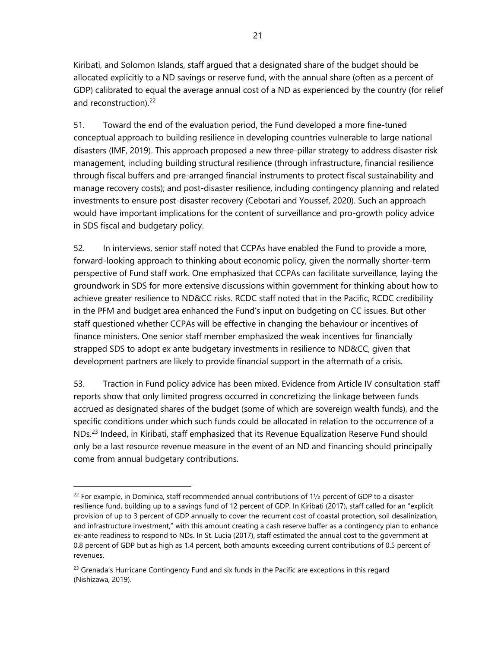Kiribati, and Solomon Islands, staff argued that a designated share of the budget should be allocated explicitly to a ND savings or reserve fund, with the annual share (often as a percent of GDP) calibrated to equal the average annual cost of a ND as experienced by the country (for relief and reconstruction).<sup>[22](#page-28-0)</sup>

51. Toward the end of the evaluation period, the Fund developed a more fine-tuned conceptual approach to building resilience in developing countries vulnerable to large national disasters (IMF, 2019). This approach proposed a new three-pillar strategy to address disaster risk management, including building structural resilience (through infrastructure, financial resilience through fiscal buffers and pre-arranged financial instruments to protect fiscal sustainability and manage recovery costs); and post-disaster resilience, including contingency planning and related investments to ensure post-disaster recovery (Cebotari and Youssef, 2020). Such an approach would have important implications for the content of surveillance and pro-growth policy advice in SDS fiscal and budgetary policy.

52. In interviews, senior staff noted that CCPAs have enabled the Fund to provide a more, forward-looking approach to thinking about economic policy, given the normally shorter-term perspective of Fund staff work. One emphasized that CCPAs can facilitate surveillance, laying the groundwork in SDS for more extensive discussions within government for thinking about how to achieve greater resilience to ND&CC risks. RCDC staff noted that in the Pacific, RCDC credibility in the PFM and budget area enhanced the Fund's input on budgeting on CC issues. But other staff questioned whether CCPAs will be effective in changing the behaviour or incentives of finance ministers. One senior staff member emphasized the weak incentives for financially strapped SDS to adopt ex ante budgetary investments in resilience to ND&CC, given that development partners are likely to provide financial support in the aftermath of a crisis.

53. Traction in Fund policy advice has been mixed. Evidence from Article IV consultation staff reports show that only limited progress occurred in concretizing the linkage between funds accrued as designated shares of the budget (some of which are sovereign wealth funds), and the specific conditions under which such funds could be allocated in relation to the occurrence of a NDs.<sup>[23](#page-28-1)</sup> Indeed, in Kiribati, staff emphasized that its Revenue Equalization Reserve Fund should only be a last resource revenue measure in the event of an ND and financing should principally come from annual budgetary contributions.

<span id="page-28-0"></span> $^{22}$  For example, in Dominica, staff recommended annual contributions of 1½ percent of GDP to a disaster resilience fund, building up to a savings fund of 12 percent of GDP. In Kiribati (2017), staff called for an "explicit provision of up to 3 percent of GDP annually to cover the recurrent cost of coastal protection, soil desalinization, and infrastructure investment," with this amount creating a cash reserve buffer as a contingency plan to enhance ex-ante readiness to respond to NDs. In St. Lucia (2017), staff estimated the annual cost to the government at 0.8 percent of GDP but as high as 1.4 percent, both amounts exceeding current contributions of 0.5 percent of revenues.

<span id="page-28-1"></span> $23$  Grenada's Hurricane Contingency Fund and six funds in the Pacific are exceptions in this regard (Nishizawa, 2019).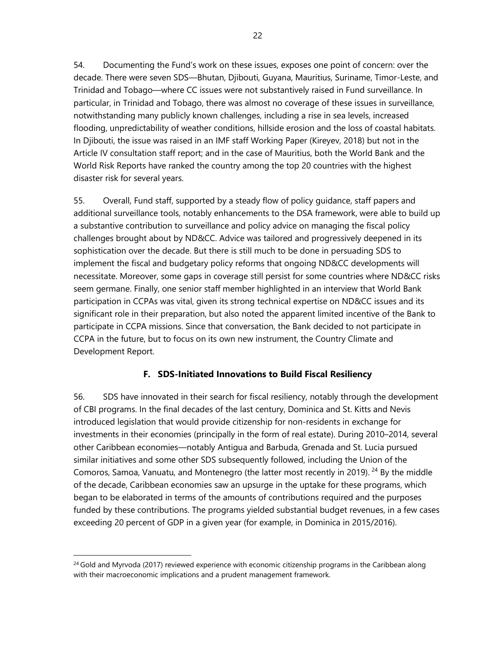54. Documenting the Fund's work on these issues, exposes one point of concern: over the decade. There were seven SDS—Bhutan, Djibouti, Guyana, Mauritius, Suriname, Timor-Leste, and Trinidad and Tobago—where CC issues were not substantively raised in Fund surveillance. In particular, in Trinidad and Tobago, there was almost no coverage of these issues in surveillance, notwithstanding many publicly known challenges, including a rise in sea levels, increased flooding, unpredictability of weather conditions, hillside erosion and the loss of coastal habitats. In Djibouti, the issue was raised in an IMF staff Working Paper (Kireyev, 2018) but not in the Article IV consultation staff report; and in the case of Mauritius, both the World Bank and the World Risk Reports have ranked the country among the top 20 countries with the highest disaster risk for several years.

55. Overall, Fund staff, supported by a steady flow of policy guidance, staff papers and additional surveillance tools, notably enhancements to the DSA framework, were able to build up a substantive contribution to surveillance and policy advice on managing the fiscal policy challenges brought about by ND&CC. Advice was tailored and progressively deepened in its sophistication over the decade. But there is still much to be done in persuading SDS to implement the fiscal and budgetary policy reforms that ongoing ND&CC developments will necessitate. Moreover, some gaps in coverage still persist for some countries where ND&CC risks seem germane. Finally, one senior staff member highlighted in an interview that World Bank participation in CCPAs was vital, given its strong technical expertise on ND&CC issues and its significant role in their preparation, but also noted the apparent limited incentive of the Bank to participate in CCPA missions. Since that conversation, the Bank decided to not participate in CCPA in the future, but to focus on its own new instrument, the Country Climate and Development Report.

# **F. SDS-Initiated Innovations to Build Fiscal Resiliency**

56. SDS have innovated in their search for fiscal resiliency, notably through the development of CBI programs. In the final decades of the last century, Dominica and St. Kitts and Nevis introduced legislation that would provide citizenship for non-residents in exchange for investments in their economies (principally in the form of real estate). During 2010–2014, several other Caribbean economies—notably Antigua and Barbuda, Grenada and St. Lucia pursued similar initiatives and some other SDS subsequently followed, including the Union of the Comoros, Samoa, Vanuatu, and Montenegro (the latter most recently in 2019). <sup>[24](#page-29-0)</sup> By the middle of the decade, Caribbean economies saw an upsurge in the uptake for these programs, which began to be elaborated in terms of the amounts of contributions required and the purposes funded by these contributions. The programs yielded substantial budget revenues, in a few cases exceeding 20 percent of GDP in a given year (for example, in Dominica in 2015/2016).

<span id="page-29-0"></span><sup>&</sup>lt;sup>24</sup> Gold and Myrvoda (2017) reviewed experience with economic citizenship programs in the Caribbean along with their macroeconomic implications and a prudent management framework.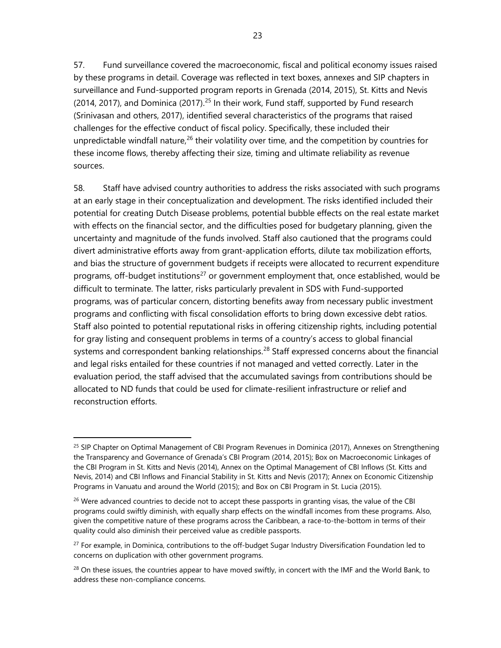57. Fund surveillance covered the macroeconomic, fiscal and political economy issues raised by these programs in detail. Coverage was reflected in text boxes, annexes and SIP chapters in surveillance and Fund-supported program reports in Grenada (2014, 2015), St. Kitts and Nevis (2014, 2017), and Dominica (2017).<sup>[25](#page-30-0)</sup> In their work, Fund staff, supported by Fund research (Srinivasan and others, 2017), identified several characteristics of the programs that raised challenges for the effective conduct of fiscal policy. Specifically, these included their unpredictable windfall nature,<sup>[26](#page-30-1)</sup> their volatility over time, and the competition by countries for these income flows, thereby affecting their size, timing and ultimate reliability as revenue sources.

58. Staff have advised country authorities to address the risks associated with such programs at an early stage in their conceptualization and development. The risks identified included their potential for creating Dutch Disease problems, potential bubble effects on the real estate market with effects on the financial sector, and the difficulties posed for budgetary planning, given the uncertainty and magnitude of the funds involved. Staff also cautioned that the programs could divert administrative efforts away from grant-application efforts, dilute tax mobilization efforts, and bias the structure of government budgets if receipts were allocated to recurrent expenditure programs, off-budget institutions<sup>[27](#page-30-2)</sup> or government employment that, once established, would be difficult to terminate. The latter, risks particularly prevalent in SDS with Fund-supported programs, was of particular concern, distorting benefits away from necessary public investment programs and conflicting with fiscal consolidation efforts to bring down excessive debt ratios. Staff also pointed to potential reputational risks in offering citizenship rights, including potential for gray listing and consequent problems in terms of a country's access to global financial systems and correspondent banking relationships.<sup>[28](#page-30-3)</sup> Staff expressed concerns about the financial and legal risks entailed for these countries if not managed and vetted correctly. Later in the evaluation period, the staff advised that the accumulated savings from contributions should be allocated to ND funds that could be used for climate-resilient infrastructure or relief and reconstruction efforts.

<span id="page-30-0"></span><sup>&</sup>lt;sup>25</sup> SIP Chapter on Optimal Management of CBI Program Revenues in Dominica (2017), Annexes on Strengthening the Transparency and Governance of Grenada's CBI Program (2014, 2015); Box on Macroeconomic Linkages of the CBI Program in St. Kitts and Nevis (2014), Annex on the Optimal Management of CBI Inflows (St. Kitts and Nevis, 2014) and CBI Inflows and Financial Stability in St. Kitts and Nevis (2017); Annex on Economic Citizenship Programs in Vanuatu and around the World (2015); and Box on CBI Program in St. Lucia (2015).

<span id="page-30-1"></span><sup>&</sup>lt;sup>26</sup> Were advanced countries to decide not to accept these passports in granting visas, the value of the CBI programs could swiftly diminish, with equally sharp effects on the windfall incomes from these programs. Also, given the competitive nature of these programs across the Caribbean, a race-to-the-bottom in terms of their quality could also diminish their perceived value as credible passports.

<span id="page-30-2"></span><sup>&</sup>lt;sup>27</sup> For example, in Dominica, contributions to the off-budget Sugar Industry Diversification Foundation led to concerns on duplication with other government programs.

<span id="page-30-3"></span> $^{28}$  On these issues, the countries appear to have moved swiftly, in concert with the IMF and the World Bank, to address these non-compliance concerns.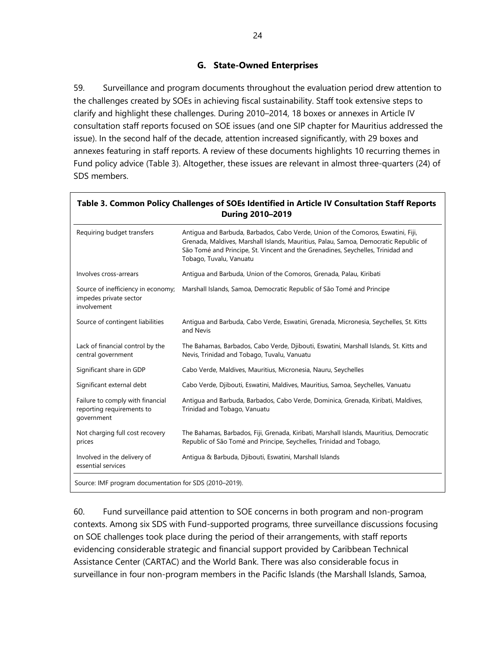## **G. State-Owned Enterprises**

59. Surveillance and program documents throughout the evaluation period drew attention to the challenges created by SOEs in achieving fiscal sustainability. Staff took extensive steps to clarify and highlight these challenges. During 2010–2014, 18 boxes or annexes in Article IV consultation staff reports focused on SOE issues (and one SIP chapter for Mauritius addressed the issue). In the second half of the decade, attention increased significantly, with 29 boxes and annexes featuring in staff reports. A review of these documents highlights 10 recurring themes in Fund policy advice (Table 3). Altogether, these issues are relevant in almost three-quarters (24) of SDS members.

| Requiring budget transfers                                                  | Antiqua and Barbuda, Barbados, Cabo Verde, Union of the Comoros, Eswatini, Fiji,<br>Grenada, Maldives, Marshall Islands, Mauritius, Palau, Samoa, Democratic Republic of<br>São Tomé and Principe, St. Vincent and the Grenadines, Seychelles, Trinidad and<br>Tobago, Tuvalu, Vanuatu |
|-----------------------------------------------------------------------------|----------------------------------------------------------------------------------------------------------------------------------------------------------------------------------------------------------------------------------------------------------------------------------------|
| Involves cross-arrears                                                      | Antigua and Barbuda, Union of the Comoros, Grenada, Palau, Kiribati                                                                                                                                                                                                                    |
| Source of inefficiency in economy;<br>impedes private sector<br>involvement | Marshall Islands, Samoa, Democratic Republic of São Tomé and Principe                                                                                                                                                                                                                  |
| Source of contingent liabilities                                            | Antigua and Barbuda, Cabo Verde, Eswatini, Grenada, Micronesia, Seychelles, St. Kitts<br>and Nevis                                                                                                                                                                                     |
| Lack of financial control by the<br>central government                      | The Bahamas, Barbados, Cabo Verde, Djibouti, Eswatini, Marshall Islands, St. Kitts and<br>Nevis, Trinidad and Tobago, Tuvalu, Vanuatu                                                                                                                                                  |
| Significant share in GDP                                                    | Cabo Verde, Maldives, Mauritius, Micronesia, Nauru, Seychelles                                                                                                                                                                                                                         |
| Significant external debt                                                   | Cabo Verde, Djibouti, Eswatini, Maldives, Mauritius, Samoa, Seychelles, Vanuatu                                                                                                                                                                                                        |
| Failure to comply with financial<br>reporting requirements to<br>government | Antigua and Barbuda, Barbados, Cabo Verde, Dominica, Grenada, Kiribati, Maldives,<br>Trinidad and Tobago, Vanuatu                                                                                                                                                                      |
| Not charging full cost recovery<br>prices                                   | The Bahamas, Barbados, Fiji, Grenada, Kiribati, Marshall Islands, Mauritius, Democratic<br>Republic of São Tomé and Principe, Seychelles, Trinidad and Tobago,                                                                                                                         |
| Involved in the delivery of<br>essential services                           | Antiqua & Barbuda, Djibouti, Eswatini, Marshall Islands                                                                                                                                                                                                                                |

60. Fund surveillance paid attention to SOE concerns in both program and non-program contexts. Among six SDS with Fund-supported programs, three surveillance discussions focusing on SOE challenges took place during the period of their arrangements, with staff reports evidencing considerable strategic and financial support provided by Caribbean Technical Assistance Center (CARTAC) and the World Bank. There was also considerable focus in surveillance in four non-program members in the Pacific Islands (the Marshall Islands, Samoa,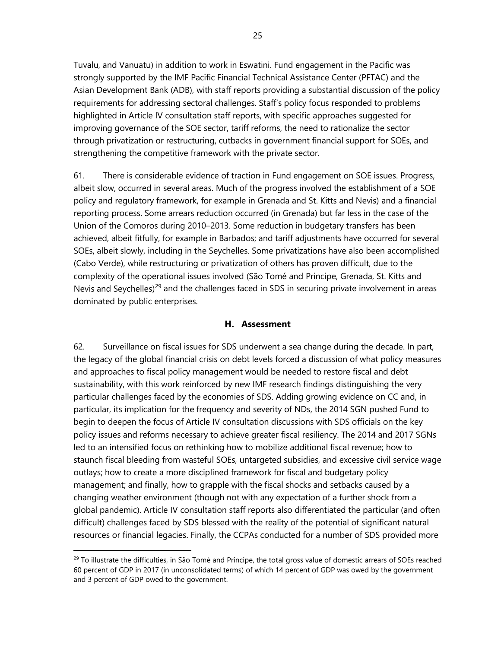Tuvalu, and Vanuatu) in addition to work in Eswatini. Fund engagement in the Pacific was strongly supported by the IMF Pacific Financial Technical Assistance Center (PFTAC) and the Asian Development Bank (ADB), with staff reports providing a substantial discussion of the policy requirements for addressing sectoral challenges. Staff's policy focus responded to problems highlighted in Article IV consultation staff reports, with specific approaches suggested for improving governance of the SOE sector, tariff reforms, the need to rationalize the sector through privatization or restructuring, cutbacks in government financial support for SOEs, and strengthening the competitive framework with the private sector.

61. There is considerable evidence of traction in Fund engagement on SOE issues. Progress, albeit slow, occurred in several areas. Much of the progress involved the establishment of a SOE policy and regulatory framework, for example in Grenada and St. Kitts and Nevis) and a financial reporting process. Some arrears reduction occurred (in Grenada) but far less in the case of the Union of the Comoros during 2010–2013. Some reduction in budgetary transfers has been achieved, albeit fitfully, for example in Barbados; and tariff adjustments have occurred for several SOEs, albeit slowly, including in the Seychelles. Some privatizations have also been accomplished (Cabo Verde), while restructuring or privatization of others has proven difficult, due to the complexity of the operational issues involved (São Tomé and Principe, Grenada, St. Kitts and Nevis and Seychelles)<sup>[29](#page-32-0)</sup> and the challenges faced in SDS in securing private involvement in areas dominated by public enterprises.

#### **H. Assessment**

62. Surveillance on fiscal issues for SDS underwent a sea change during the decade. In part, the legacy of the global financial crisis on debt levels forced a discussion of what policy measures and approaches to fiscal policy management would be needed to restore fiscal and debt sustainability, with this work reinforced by new IMF research findings distinguishing the very particular challenges faced by the economies of SDS. Adding growing evidence on CC and, in particular, its implication for the frequency and severity of NDs, the 2014 SGN pushed Fund to begin to deepen the focus of Article IV consultation discussions with SDS officials on the key policy issues and reforms necessary to achieve greater fiscal resiliency. The 2014 and 2017 SGNs led to an intensified focus on rethinking how to mobilize additional fiscal revenue; how to staunch fiscal bleeding from wasteful SOEs, untargeted subsidies, and excessive civil service wage outlays; how to create a more disciplined framework for fiscal and budgetary policy management; and finally, how to grapple with the fiscal shocks and setbacks caused by a changing weather environment (though not with any expectation of a further shock from a global pandemic). Article IV consultation staff reports also differentiated the particular (and often difficult) challenges faced by SDS blessed with the reality of the potential of significant natural resources or financial legacies. Finally, the CCPAs conducted for a number of SDS provided more

<span id="page-32-0"></span> $^{29}$  To illustrate the difficulties, in São Tomé and Principe, the total gross value of domestic arrears of SOEs reached 60 percent of GDP in 2017 (in unconsolidated terms) of which 14 percent of GDP was owed by the government and 3 percent of GDP owed to the government.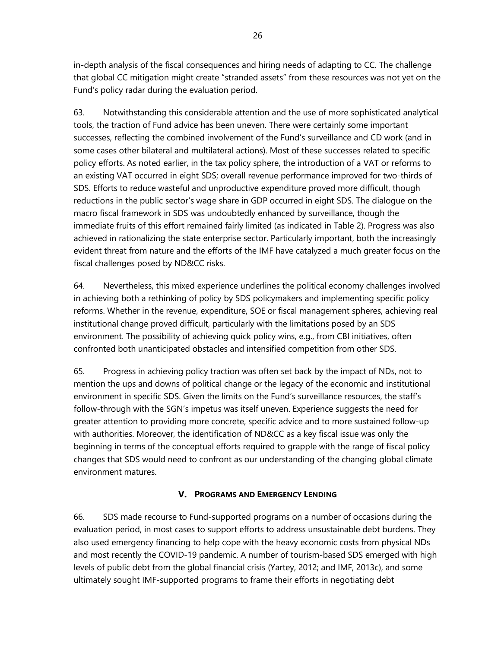in-depth analysis of the fiscal consequences and hiring needs of adapting to CC. The challenge that global CC mitigation might create "stranded assets" from these resources was not yet on the Fund's policy radar during the evaluation period.

63. Notwithstanding this considerable attention and the use of more sophisticated analytical tools, the traction of Fund advice has been uneven. There were certainly some important successes, reflecting the combined involvement of the Fund's surveillance and CD work (and in some cases other bilateral and multilateral actions). Most of these successes related to specific policy efforts. As noted earlier, in the tax policy sphere, the introduction of a VAT or reforms to an existing VAT occurred in eight SDS; overall revenue performance improved for two-thirds of SDS. Efforts to reduce wasteful and unproductive expenditure proved more difficult, though reductions in the public sector's wage share in GDP occurred in eight SDS. The dialogue on the macro fiscal framework in SDS was undoubtedly enhanced by surveillance, though the immediate fruits of this effort remained fairly limited (as indicated in Table 2). Progress was also achieved in rationalizing the state enterprise sector. Particularly important, both the increasingly evident threat from nature and the efforts of the IMF have catalyzed a much greater focus on the fiscal challenges posed by ND&CC risks.

64. Nevertheless, this mixed experience underlines the political economy challenges involved in achieving both a rethinking of policy by SDS policymakers and implementing specific policy reforms. Whether in the revenue, expenditure, SOE or fiscal management spheres, achieving real institutional change proved difficult, particularly with the limitations posed by an SDS environment. The possibility of achieving quick policy wins, e.g., from CBI initiatives, often confronted both unanticipated obstacles and intensified competition from other SDS.

65. Progress in achieving policy traction was often set back by the impact of NDs, not to mention the ups and downs of political change or the legacy of the economic and institutional environment in specific SDS. Given the limits on the Fund's surveillance resources, the staff's follow-through with the SGN's impetus was itself uneven. Experience suggests the need for greater attention to providing more concrete, specific advice and to more sustained follow-up with authorities. Moreover, the identification of ND&CC as a key fiscal issue was only the beginning in terms of the conceptual efforts required to grapple with the range of fiscal policy changes that SDS would need to confront as our understanding of the changing global climate environment matures.

# **V. PROGRAMS AND EMERGENCY LENDING**

66. SDS made recourse to Fund-supported programs on a number of occasions during the evaluation period, in most cases to support efforts to address unsustainable debt burdens. They also used emergency financing to help cope with the heavy economic costs from physical NDs and most recently the COVID-19 pandemic. A number of tourism-based SDS emerged with high levels of public debt from the global financial crisis (Yartey, 2012; and IMF, 2013c), and some ultimately sought IMF-supported programs to frame their efforts in negotiating debt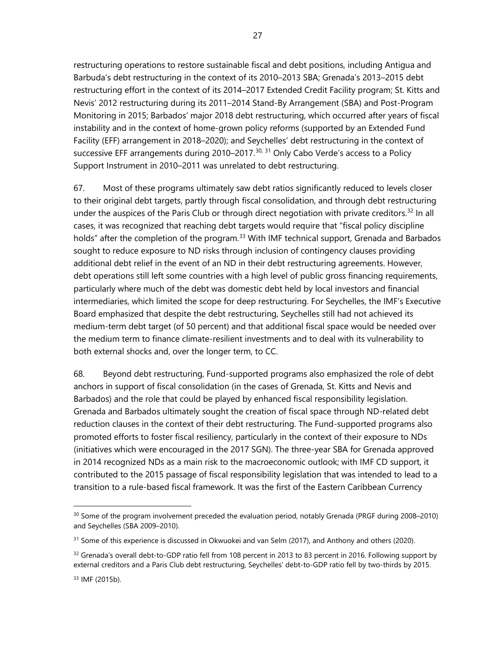restructuring operations to restore sustainable fiscal and debt positions, including Antigua and Barbuda's debt restructuring in the context of its 2010–2013 SBA; Grenada's 2013–2015 debt restructuring effort in the context of its 2014–2017 Extended Credit Facility program; St. Kitts and Nevis' 2012 restructuring during its 2011–2014 Stand-By Arrangement (SBA) and Post-Program Monitoring in 2015; Barbados' major 2018 debt restructuring, which occurred after years of fiscal instability and in the context of home-grown policy reforms (supported by an Extended Fund Facility (EFF) arrangement in 2018–2020); and Seychelles' debt restructuring in the context of successive EFF arrangements during 2010–2017.<sup>[30,](#page-34-0) [31](#page-34-1)</sup> Only Cabo Verde's access to a Policy Support Instrument in 2010–2011 was unrelated to debt restructuring.

67. Most of these programs ultimately saw debt ratios significantly reduced to levels closer to their original debt targets, partly through fiscal consolidation, and through debt restructuring under the auspices of the Paris Club or through direct negotiation with private creditors.<sup>[32](#page-34-2)</sup> In all cases, it was recognized that reaching debt targets would require that "fiscal policy discipline holds" after the completion of the program.<sup>[33](#page-34-3)</sup> With IMF technical support, Grenada and Barbados sought to reduce exposure to ND risks through inclusion of contingency clauses providing additional debt relief in the event of an ND in their debt restructuring agreements. However, debt operations still left some countries with a high level of public gross financing requirements, particularly where much of the debt was domestic debt held by local investors and financial intermediaries, which limited the scope for deep restructuring. For Seychelles, the IMF's Executive Board emphasized that despite the debt restructuring, Seychelles still had not achieved its medium-term debt target (of 50 percent) and that additional fiscal space would be needed over the medium term to finance climate-resilient investments and to deal with its vulnerability to both external shocks and, over the longer term, to CC.

68. Beyond debt restructuring, Fund-supported programs also emphasized the role of debt anchors in support of fiscal consolidation (in the cases of Grenada, St. Kitts and Nevis and Barbados) and the role that could be played by enhanced fiscal responsibility legislation. Grenada and Barbados ultimately sought the creation of fiscal space through ND-related debt reduction clauses in the context of their debt restructuring. The Fund-supported programs also promoted efforts to foster fiscal resiliency, particularly in the context of their exposure to NDs (initiatives which were encouraged in the 2017 SGN). The three-year SBA for Grenada approved in 2014 recognized NDs as a main risk to the macroeconomic outlook; with IMF CD support, it contributed to the 2015 passage of fiscal responsibility legislation that was intended to lead to a transition to a rule-based fiscal framework. It was the first of the Eastern Caribbean Currency

<span id="page-34-0"></span><sup>30</sup> Some of the program involvement preceded the evaluation period, notably Grenada (PRGF during 2008–2010) and Seychelles (SBA 2009–2010).

<span id="page-34-1"></span><sup>&</sup>lt;sup>31</sup> Some of this experience is discussed in Okwuokei and van Selm (2017), and Anthony and others (2020).

<span id="page-34-2"></span> $32$  Grenada's overall debt-to-GDP ratio fell from 108 percent in 2013 to 83 percent in 2016. Following support by external creditors and a Paris Club debt restructuring, Seychelles' debt-to-GDP ratio fell by two-thirds by 2015.

<span id="page-34-3"></span><sup>33</sup> IMF (2015b).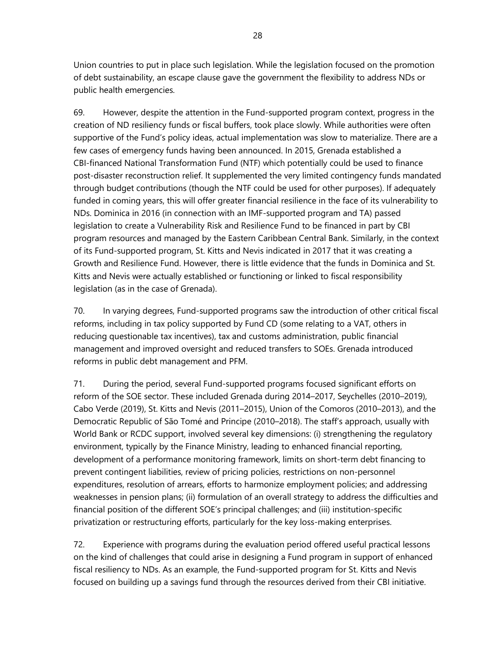Union countries to put in place such legislation. While the legislation focused on the promotion of debt sustainability, an escape clause gave the government the flexibility to address NDs or public health emergencies.

69. However, despite the attention in the Fund-supported program context, progress in the creation of ND resiliency funds or fiscal buffers, took place slowly. While authorities were often supportive of the Fund's policy ideas, actual implementation was slow to materialize. There are a few cases of emergency funds having been announced. In 2015, Grenada established a CBI-financed National Transformation Fund (NTF) which potentially could be used to finance post-disaster reconstruction relief. It supplemented the very limited contingency funds mandated through budget contributions (though the NTF could be used for other purposes). If adequately funded in coming years, this will offer greater financial resilience in the face of its vulnerability to NDs. Dominica in 2016 (in connection with an IMF-supported program and TA) passed legislation to create a Vulnerability Risk and Resilience Fund to be financed in part by CBI program resources and managed by the Eastern Caribbean Central Bank. Similarly, in the context of its Fund-supported program, St. Kitts and Nevis indicated in 2017 that it was creating a Growth and Resilience Fund. However, there is little evidence that the funds in Dominica and St. Kitts and Nevis were actually established or functioning or linked to fiscal responsibility legislation (as in the case of Grenada).

70. In varying degrees, Fund-supported programs saw the introduction of other critical fiscal reforms, including in tax policy supported by Fund CD (some relating to a VAT, others in reducing questionable tax incentives), tax and customs administration, public financial management and improved oversight and reduced transfers to SOEs. Grenada introduced reforms in public debt management and PFM.

71. During the period, several Fund-supported programs focused significant efforts on reform of the SOE sector. These included Grenada during 2014–2017, Seychelles (2010–2019), Cabo Verde (2019), St. Kitts and Nevis (2011–2015), Union of the Comoros (2010–2013), and the Democratic Republic of São Tomé and Principe (2010–2018). The staff's approach, usually with World Bank or RCDC support, involved several key dimensions: (i) strengthening the regulatory environment, typically by the Finance Ministry, leading to enhanced financial reporting, development of a performance monitoring framework, limits on short-term debt financing to prevent contingent liabilities, review of pricing policies, restrictions on non-personnel expenditures, resolution of arrears, efforts to harmonize employment policies; and addressing weaknesses in pension plans; (ii) formulation of an overall strategy to address the difficulties and financial position of the different SOE's principal challenges; and (iii) institution-specific privatization or restructuring efforts, particularly for the key loss-making enterprises.

72. Experience with programs during the evaluation period offered useful practical lessons on the kind of challenges that could arise in designing a Fund program in support of enhanced fiscal resiliency to NDs. As an example, the Fund-supported program for St. Kitts and Nevis focused on building up a savings fund through the resources derived from their CBI initiative.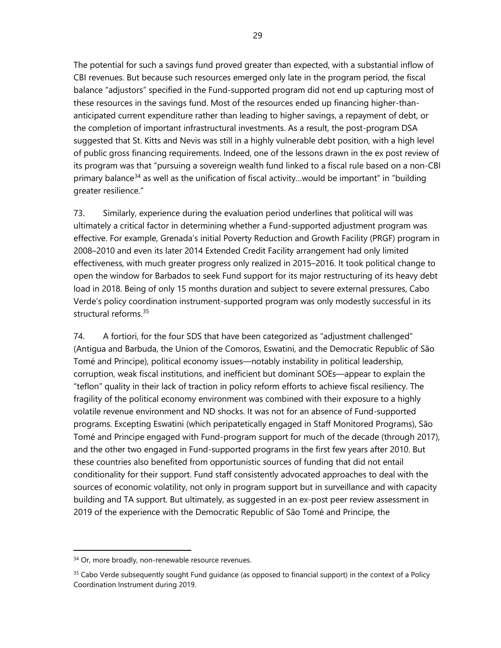The potential for such a savings fund proved greater than expected, with a substantial inflow of CBI revenues. But because such resources emerged only late in the program period, the fiscal balance "adjustors" specified in the Fund-supported program did not end up capturing most of these resources in the savings fund. Most of the resources ended up financing higher-thananticipated current expenditure rather than leading to higher savings, a repayment of debt, or the completion of important infrastructural investments. As a result, the post-program DSA suggested that St. Kitts and Nevis was still in a highly vulnerable debt position, with a high level of public gross financing requirements. Indeed, one of the lessons drawn in the ex post review of its program was that "pursuing a sovereign wealth fund linked to a fiscal rule based on a non-CBI primary balance<sup>[34](#page-36-0)</sup> as well as the unification of fiscal activity...would be important" in "building greater resilience."

73. Similarly, experience during the evaluation period underlines that political will was ultimately a critical factor in determining whether a Fund-supported adjustment program was effective. For example, Grenada's initial Poverty Reduction and Growth Facility (PRGF) program in 2008–2010 and even its later 2014 Extended Credit Facility arrangement had only limited effectiveness, with much greater progress only realized in 2015–2016. It took political change to open the window for Barbados to seek Fund support for its major restructuring of its heavy debt load in 2018. Being of only 15 months duration and subject to severe external pressures, Cabo Verde's policy coordination instrument-supported program was only modestly successful in its structural reforms.[35](#page-36-1)

74. A fortiori, for the four SDS that have been categorized as "adjustment challenged" (Antigua and Barbuda, the Union of the Comoros, Eswatini, and the Democratic Republic of São Tomé and Principe), political economy issues—notably instability in political leadership, corruption, weak fiscal institutions, and inefficient but dominant SOEs—appear to explain the "teflon" quality in their lack of traction in policy reform efforts to achieve fiscal resiliency. The fragility of the political economy environment was combined with their exposure to a highly volatile revenue environment and ND shocks. It was not for an absence of Fund-supported programs. Excepting Eswatini (which peripatetically engaged in Staff Monitored Programs), São Tomé and Principe engaged with Fund-program support for much of the decade (through 2017), and the other two engaged in Fund-supported programs in the first few years after 2010. But these countries also benefited from opportunistic sources of funding that did not entail conditionality for their support. Fund staff consistently advocated approaches to deal with the sources of economic volatility, not only in program support but in surveillance and with capacity building and TA support. But ultimately, as suggested in an ex-post peer review assessment in 2019 of the experience with the Democratic Republic of São Tomé and Principe, the

<span id="page-36-0"></span><sup>&</sup>lt;sup>34</sup> Or, more broadly, non-renewable resource revenues.

<span id="page-36-1"></span><sup>&</sup>lt;sup>35</sup> Cabo Verde subsequently sought Fund guidance (as opposed to financial support) in the context of a Policy Coordination Instrument during 2019.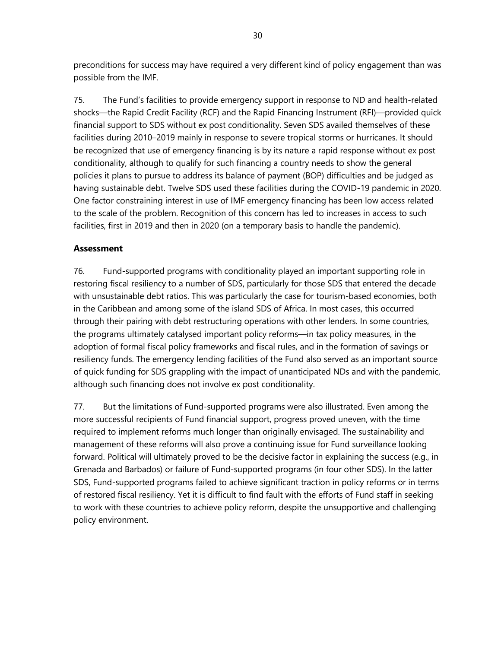preconditions for success may have required a very different kind of policy engagement than was possible from the IMF.

75. The Fund's facilities to provide emergency support in response to ND and health-related shocks—the Rapid Credit Facility (RCF) and the Rapid Financing Instrument (RFI)—provided quick financial support to SDS without ex post conditionality. Seven SDS availed themselves of these facilities during 2010–2019 mainly in response to severe tropical storms or hurricanes. It should be recognized that use of emergency financing is by its nature a rapid response without ex post conditionality, although to qualify for such financing a country needs to show the general policies it plans to pursue to address its balance of payment (BOP) difficulties and be judged as having sustainable debt. Twelve SDS used these facilities during the COVID-19 pandemic in 2020. One factor constraining interest in use of IMF emergency financing has been low access related to the scale of the problem. Recognition of this concern has led to increases in access to such facilities, first in 2019 and then in 2020 (on a temporary basis to handle the pandemic).

## **Assessment**

76. Fund-supported programs with conditionality played an important supporting role in restoring fiscal resiliency to a number of SDS, particularly for those SDS that entered the decade with unsustainable debt ratios. This was particularly the case for tourism-based economies, both in the Caribbean and among some of the island SDS of Africa. In most cases, this occurred through their pairing with debt restructuring operations with other lenders. In some countries, the programs ultimately catalysed important policy reforms—in tax policy measures, in the adoption of formal fiscal policy frameworks and fiscal rules, and in the formation of savings or resiliency funds. The emergency lending facilities of the Fund also served as an important source of quick funding for SDS grappling with the impact of unanticipated NDs and with the pandemic, although such financing does not involve ex post conditionality.

77. But the limitations of Fund-supported programs were also illustrated. Even among the more successful recipients of Fund financial support, progress proved uneven, with the time required to implement reforms much longer than originally envisaged. The sustainability and management of these reforms will also prove a continuing issue for Fund surveillance looking forward. Political will ultimately proved to be the decisive factor in explaining the success (e.g., in Grenada and Barbados) or failure of Fund-supported programs (in four other SDS). In the latter SDS, Fund-supported programs failed to achieve significant traction in policy reforms or in terms of restored fiscal resiliency. Yet it is difficult to find fault with the efforts of Fund staff in seeking to work with these countries to achieve policy reform, despite the unsupportive and challenging policy environment.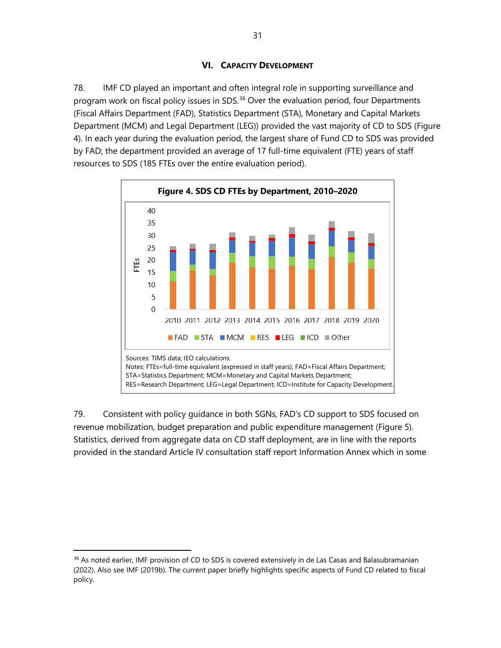## **VI. CAPACITY DEVELOPMENT**

78. IMF CD played an important and often integral role in supporting surveillance and program work on fiscal policy issues in SDS. $36$  Over the evaluation period, four Departments (Fiscal Affairs Department (FAD), Statistics Department (STA), Monetary and Capital Markets Department (MCM) and Legal Department (LEG)) provided the vast majority of CD to SDS (Figure 4). In each year during the evaluation period, the largest share of Fund CD to SDS was provided by FAD; the department provided an average of 17 full-time equivalent (FTE) years of staff resources to SDS (185 FTEs over the entire evaluation period).



79. Consistent with policy guidance in both SGNs, FAD's CD support to SDS focused on revenue mobilization, budget preparation and public expenditure management (Figure 5). Statistics, derived from aggregate data on CD staff deployment, are in line with the reports provided in the standard Article IV consultation staff report Information Annex which in some

<span id="page-38-0"></span><sup>&</sup>lt;sup>36</sup> As noted earlier, IMF provision of CD to SDS is covered extensively in de Las Casas and Balasubramanian (2022). Also see IMF (2019b). The current paper briefly highlights specific aspects of Fund CD related to fiscal policy.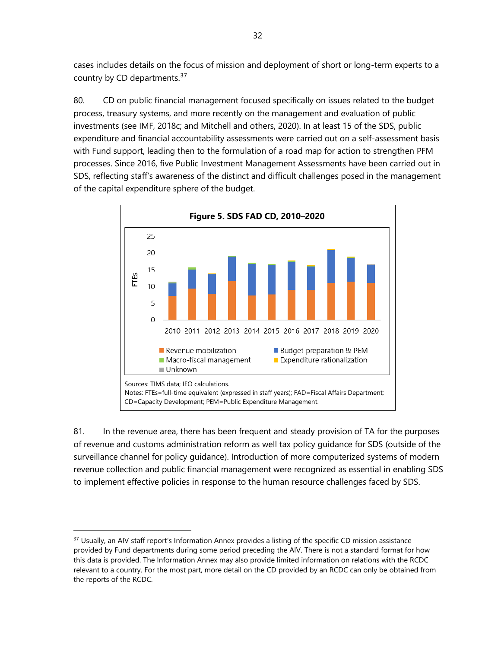cases includes details on the focus of mission and deployment of short or long-term experts to a country by CD departments.<sup>[37](#page-39-0)</sup>

80. CD on public financial management focused specifically on issues related to the budget process, treasury systems, and more recently on the management and evaluation of public investments (see IMF, 2018c; and Mitchell and others, 2020). In at least 15 of the SDS, public expenditure and financial accountability assessments were carried out on a self-assessment basis with Fund support, leading then to the formulation of a road map for action to strengthen PFM processes. Since 2016, five Public Investment Management Assessments have been carried out in SDS, reflecting staff's awareness of the distinct and difficult challenges posed in the management of the capital expenditure sphere of the budget.



81. In the revenue area, there has been frequent and steady provision of TA for the purposes of revenue and customs administration reform as well tax policy guidance for SDS (outside of the surveillance channel for policy guidance). Introduction of more computerized systems of modern revenue collection and public financial management were recognized as essential in enabling SDS to implement effective policies in response to the human resource challenges faced by SDS.

<span id="page-39-0"></span><sup>&</sup>lt;sup>37</sup> Usually, an AIV staff report's Information Annex provides a listing of the specific CD mission assistance provided by Fund departments during some period preceding the AIV. There is not a standard format for how this data is provided. The Information Annex may also provide limited information on relations with the RCDC relevant to a country. For the most part, more detail on the CD provided by an RCDC can only be obtained from the reports of the RCDC.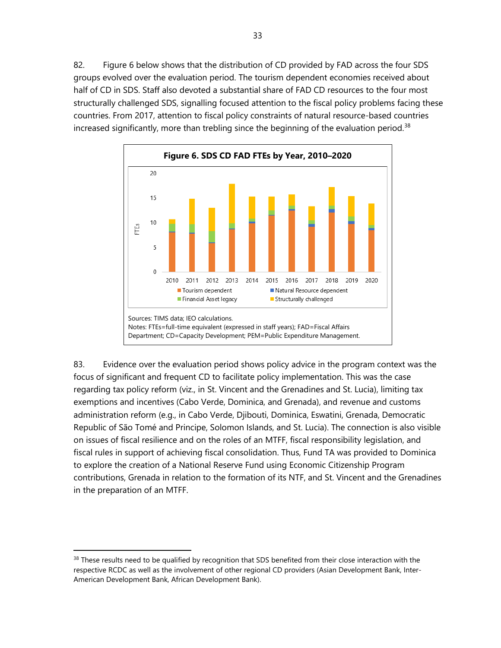82. Figure 6 below shows that the distribution of CD provided by FAD across the four SDS groups evolved over the evaluation period. The tourism dependent economies received about half of CD in SDS. Staff also devoted a substantial share of FAD CD resources to the four most structurally challenged SDS, signalling focused attention to the fiscal policy problems facing these countries. From 2017, attention to fiscal policy constraints of natural resource-based countries increased significantly, more than trebling since the beginning of the evaluation period.<sup>[38](#page-40-0)</sup>



83. Evidence over the evaluation period shows policy advice in the program context was the focus of significant and frequent CD to facilitate policy implementation. This was the case regarding tax policy reform (viz., in St. Vincent and the Grenadines and St. Lucia), limiting tax exemptions and incentives (Cabo Verde, Dominica, and Grenada), and revenue and customs administration reform (e.g., in Cabo Verde, Djibouti, Dominica, Eswatini, Grenada, Democratic Republic of São Tomé and Principe, Solomon Islands, and St. Lucia). The connection is also visible on issues of fiscal resilience and on the roles of an MTFF, fiscal responsibility legislation, and fiscal rules in support of achieving fiscal consolidation. Thus, Fund TA was provided to Dominica to explore the creation of a National Reserve Fund using Economic Citizenship Program contributions, Grenada in relation to the formation of its NTF, and St. Vincent and the Grenadines in the preparation of an MTFF.

<span id="page-40-0"></span><sup>&</sup>lt;sup>38</sup> These results need to be qualified by recognition that SDS benefited from their close interaction with the respective RCDC as well as the involvement of other regional CD providers (Asian Development Bank, Inter-American Development Bank, African Development Bank).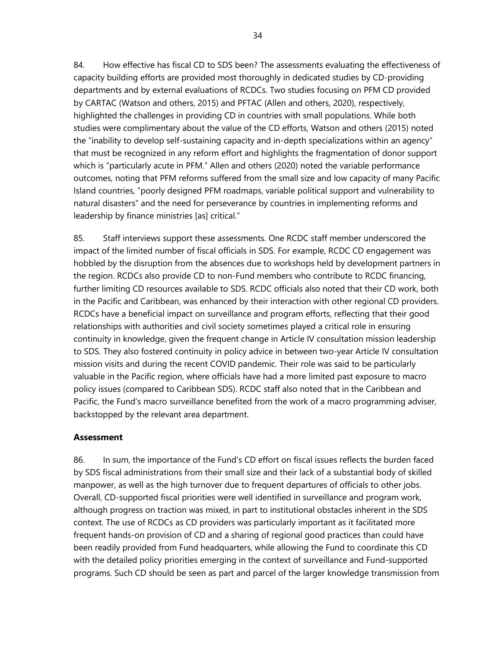84. How effective has fiscal CD to SDS been? The assessments evaluating the effectiveness of capacity building efforts are provided most thoroughly in dedicated studies by CD-providing departments and by external evaluations of RCDCs. Two studies focusing on PFM CD provided by CARTAC (Watson and others, 2015) and PFTAC (Allen and others, 2020), respectively, highlighted the challenges in providing CD in countries with small populations. While both studies were complimentary about the value of the CD efforts, Watson and others (2015) noted the "inability to develop self-sustaining capacity and in-depth specializations within an agency" that must be recognized in any reform effort and highlights the fragmentation of donor support which is "particularly acute in PFM." Allen and others (2020) noted the variable performance outcomes, noting that PFM reforms suffered from the small size and low capacity of many Pacific Island countries, "poorly designed PFM roadmaps, variable political support and vulnerability to natural disasters" and the need for perseverance by countries in implementing reforms and leadership by finance ministries [as] critical."

85. Staff interviews support these assessments. One RCDC staff member underscored the impact of the limited number of fiscal officials in SDS. For example, RCDC CD engagement was hobbled by the disruption from the absences due to workshops held by development partners in the region. RCDCs also provide CD to non-Fund members who contribute to RCDC financing, further limiting CD resources available to SDS. RCDC officials also noted that their CD work, both in the Pacific and Caribbean, was enhanced by their interaction with other regional CD providers. RCDCs have a beneficial impact on surveillance and program efforts, reflecting that their good relationships with authorities and civil society sometimes played a critical role in ensuring continuity in knowledge, given the frequent change in Article IV consultation mission leadership to SDS. They also fostered continuity in policy advice in between two-year Article IV consultation mission visits and during the recent COVID pandemic. Their role was said to be particularly valuable in the Pacific region, where officials have had a more limited past exposure to macro policy issues (compared to Caribbean SDS). RCDC staff also noted that in the Caribbean and Pacific, the Fund's macro surveillance benefited from the work of a macro programming adviser, backstopped by the relevant area department.

## **Assessment**

86. In sum, the importance of the Fund's CD effort on fiscal issues reflects the burden faced by SDS fiscal administrations from their small size and their lack of a substantial body of skilled manpower, as well as the high turnover due to frequent departures of officials to other jobs. Overall, CD-supported fiscal priorities were well identified in surveillance and program work, although progress on traction was mixed, in part to institutional obstacles inherent in the SDS context. The use of RCDCs as CD providers was particularly important as it facilitated more frequent hands-on provision of CD and a sharing of regional good practices than could have been readily provided from Fund headquarters, while allowing the Fund to coordinate this CD with the detailed policy priorities emerging in the context of surveillance and Fund-supported programs. Such CD should be seen as part and parcel of the larger knowledge transmission from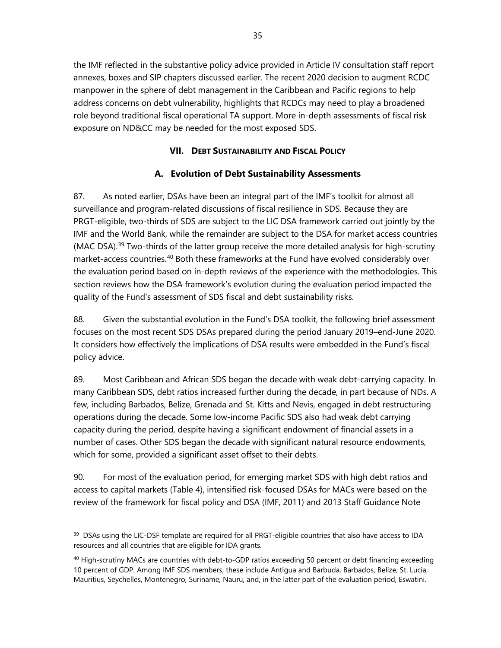the IMF reflected in the substantive policy advice provided in Article IV consultation staff report annexes, boxes and SIP chapters discussed earlier. The recent 2020 decision to augment RCDC manpower in the sphere of debt management in the Caribbean and Pacific regions to help address concerns on debt vulnerability, highlights that RCDCs may need to play a broadened role beyond traditional fiscal operational TA support. More in-depth assessments of fiscal risk exposure on ND&CC may be needed for the most exposed SDS.

# **VII. DEBT SUSTAINABILITY AND FISCAL POLICY**

# **A. Evolution of Debt Sustainability Assessments**

87. As noted earlier, DSAs have been an integral part of the IMF's toolkit for almost all surveillance and program-related discussions of fiscal resilience in SDS. Because they are PRGT-eligible, two-thirds of SDS are subject to the LIC DSA framework carried out jointly by the IMF and the World Bank, while the remainder are subject to the DSA for market access countries (MAC DSA).<sup>[39](#page-42-0)</sup> Two-thirds of the latter group receive the more detailed analysis for high-scrutiny market-access countries.<sup>[40](#page-42-1)</sup> Both these frameworks at the Fund have evolved considerably over the evaluation period based on in-depth reviews of the experience with the methodologies. This section reviews how the DSA framework's evolution during the evaluation period impacted the quality of the Fund's assessment of SDS fiscal and debt sustainability risks.

88. Given the substantial evolution in the Fund's DSA toolkit, the following brief assessment focuses on the most recent SDS DSAs prepared during the period January 2019–end-June 2020. It considers how effectively the implications of DSA results were embedded in the Fund's fiscal policy advice.

89. Most Caribbean and African SDS began the decade with weak debt-carrying capacity. In many Caribbean SDS, debt ratios increased further during the decade, in part because of NDs. A few, including Barbados, Belize, Grenada and St. Kitts and Nevis, engaged in debt restructuring operations during the decade. Some low-income Pacific SDS also had weak debt carrying capacity during the period, despite having a significant endowment of financial assets in a number of cases. Other SDS began the decade with significant natural resource endowments, which for some, provided a significant asset offset to their debts.

90. For most of the evaluation period, for emerging market SDS with high debt ratios and access to capital markets (Table 4), intensified risk-focused DSAs for MACs were based on the review of the framework for fiscal policy and DSA (IMF, 2011) and 2013 Staff Guidance Note

<span id="page-42-0"></span><sup>&</sup>lt;sup>39</sup> DSAs using the LIC-DSF template are required for all PRGT-eligible countries that also have access to IDA resources and all countries that are eligible for IDA grants.

<span id="page-42-1"></span><sup>&</sup>lt;sup>40</sup> High-scrutiny MACs are countries with debt-to-GDP ratios exceeding 50 percent or debt financing exceeding 10 percent of GDP. Among IMF SDS members, these include Antigua and Barbuda, Barbados, Belize, St. Lucia, Mauritius, Seychelles, Montenegro, Suriname, Nauru, and, in the latter part of the evaluation period, Eswatini.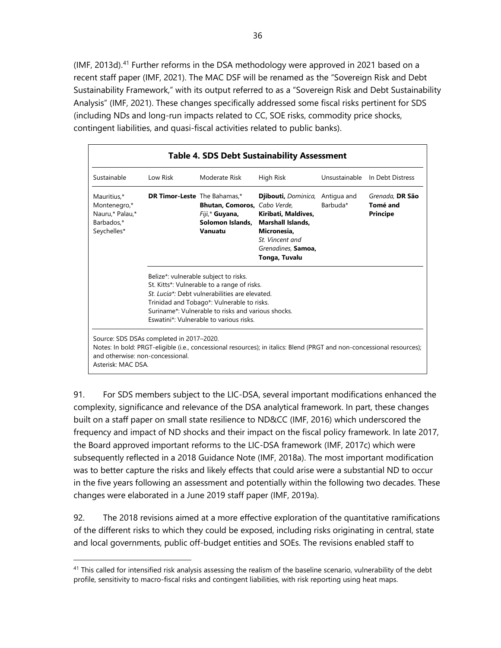(IMF, 2013d).<sup>[41](#page-43-0)</sup> Further reforms in the DSA methodology were approved in 2021 based on a recent staff paper (IMF, 2021). The MAC DSF will be renamed as the "Sovereign Risk and Debt Sustainability Framework," with its output referred to as a "Sovereign Risk and Debt Sustainability Analysis" (IMF, 2021). These changes specifically addressed some fiscal risks pertinent for SDS (including NDs and long-run impacts related to CC, SOE risks, commodity price shocks, contingent liabilities, and quasi-fiscal activities related to public banks).

| <b>Table 4. SDS Debt Sustainability Assessment</b>                          |                                                                                                                                                                                                                                                                                     |                                                                                       |                                                                                                                                                                   |               |                                                |
|-----------------------------------------------------------------------------|-------------------------------------------------------------------------------------------------------------------------------------------------------------------------------------------------------------------------------------------------------------------------------------|---------------------------------------------------------------------------------------|-------------------------------------------------------------------------------------------------------------------------------------------------------------------|---------------|------------------------------------------------|
| Sustainable                                                                 | Low Risk                                                                                                                                                                                                                                                                            | Moderate Risk                                                                         | High Risk                                                                                                                                                         | Unsustainable | In Debt Distress                               |
| Mauritius,*<br>Montenegro,*<br>Nauru,* Palau,*<br>Barbados.*<br>Seychelles* | <b>DR Timor-Leste</b> The Bahamas,*                                                                                                                                                                                                                                                 | Bhutan, Comoros, Cabo Verde,<br>Fiji,* <b>Guyana</b> ,<br>Solomon Islands,<br>Vanuatu | <b>Djibouti, Dominica, Antigua and</b><br>Kiribati, Maldives,<br><b>Marshall Islands.</b><br>Micronesia.<br>St Vincent and<br>Grenadines, Samoa,<br>Tonga, Tuvalu | Barbuda*      | Grenada, DR São<br>Tomé and<br><b>Principe</b> |
|                                                                             | Belize*: vulnerable subject to risks.<br>St. Kitts*: Vulnerable to a range of risks.<br>St. Lucia*: Debt vulnerabilities are elevated<br>Trinidad and Tobago*: Vulnerable to risks.<br>Suriname*: Vulnerable to risks and various shocks<br>Eswatini*: Vulnerable to various risks. |                                                                                       |                                                                                                                                                                   |               |                                                |
| and otherwise: non-concessional.<br>Asterisk: MAC DSA.                      | Source: SDS DSAs completed in 2017-2020.                                                                                                                                                                                                                                            |                                                                                       | Notes: In bold: PRGT-eligible (i.e., concessional resources); in italics: Blend (PRGT and non-concessional resources);                                            |               |                                                |

91. For SDS members subject to the LIC-DSA, several important modifications enhanced the complexity, significance and relevance of the DSA analytical framework. In part, these changes built on a staff paper on small state resilience to ND&CC (IMF, 2016) which underscored the frequency and impact of ND shocks and their impact on the fiscal policy framework. In late 2017, the Board approved important reforms to the LIC-DSA framework (IMF, 2017c) which were subsequently reflected in a 2018 Guidance Note (IMF, 2018a). The most important modification was to better capture the risks and likely effects that could arise were a substantial ND to occur in the five years following an assessment and potentially within the following two decades. These changes were elaborated in a June 2019 staff paper (IMF, 2019a).

92. The 2018 revisions aimed at a more effective exploration of the quantitative ramifications of the different risks to which they could be exposed, including risks originating in central, state and local governments, public off-budget entities and SOEs. The revisions enabled staff to

<span id="page-43-0"></span> $41$  This called for intensified risk analysis assessing the realism of the baseline scenario, vulnerability of the debt profile, sensitivity to macro-fiscal risks and contingent liabilities, with risk reporting using heat maps.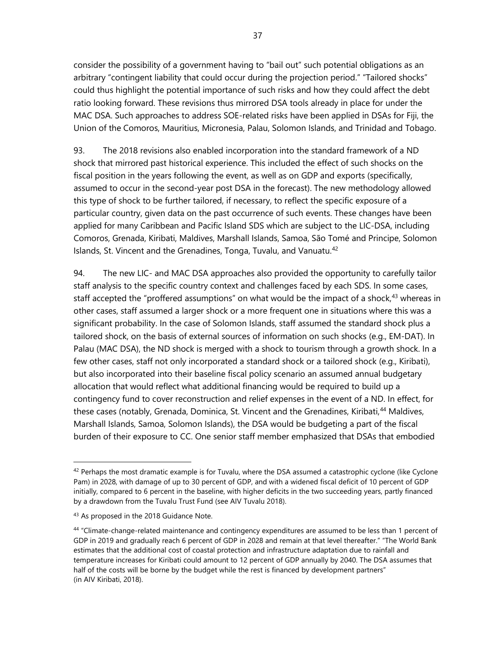consider the possibility of a government having to "bail out" such potential obligations as an arbitrary "contingent liability that could occur during the projection period." "Tailored shocks" could thus highlight the potential importance of such risks and how they could affect the debt ratio looking forward. These revisions thus mirrored DSA tools already in place for under the MAC DSA. Such approaches to address SOE-related risks have been applied in DSAs for Fiji, the Union of the Comoros, Mauritius, Micronesia, Palau, Solomon Islands, and Trinidad and Tobago.

93. The 2018 revisions also enabled incorporation into the standard framework of a ND shock that mirrored past historical experience. This included the effect of such shocks on the fiscal position in the years following the event, as well as on GDP and exports (specifically, assumed to occur in the second-year post DSA in the forecast). The new methodology allowed this type of shock to be further tailored, if necessary, to reflect the specific exposure of a particular country, given data on the past occurrence of such events. These changes have been applied for many Caribbean and Pacific Island SDS which are subject to the LIC-DSA, including Comoros, Grenada, Kiribati, Maldives, Marshall Islands, Samoa, São Tomé and Principe, Solomon Islands, St. Vincent and the Grenadines, Tonga, Tuvalu, and Vanuatu.<sup>[42](#page-44-0)</sup>

94. The new LIC- and MAC DSA approaches also provided the opportunity to carefully tailor staff analysis to the specific country context and challenges faced by each SDS. In some cases, staff accepted the "proffered assumptions" on what would be the impact of a shock,<sup>[43](#page-44-1)</sup> whereas in other cases, staff assumed a larger shock or a more frequent one in situations where this was a significant probability. In the case of Solomon Islands, staff assumed the standard shock plus a tailored shock, on the basis of external sources of information on such shocks (e.g., EM-DAT). In Palau (MAC DSA), the ND shock is merged with a shock to tourism through a growth shock. In a few other cases, staff not only incorporated a standard shock or a tailored shock (e.g., Kiribati), but also incorporated into their baseline fiscal policy scenario an assumed annual budgetary allocation that would reflect what additional financing would be required to build up a contingency fund to cover reconstruction and relief expenses in the event of a ND. In effect, for these cases (notably, Grenada, Dominica, St. Vincent and the Grenadines, Kiribati,<sup>[44](#page-44-2)</sup> Maldives, Marshall Islands, Samoa, Solomon Islands), the DSA would be budgeting a part of the fiscal burden of their exposure to CC. One senior staff member emphasized that DSAs that embodied

<span id="page-44-0"></span> $42$  Perhaps the most dramatic example is for Tuvalu, where the DSA assumed a catastrophic cyclone (like Cyclone Pam) in 2028, with damage of up to 30 percent of GDP, and with a widened fiscal deficit of 10 percent of GDP initially, compared to 6 percent in the baseline, with higher deficits in the two succeeding years, partly financed by a drawdown from the Tuvalu Trust Fund (see AIV Tuvalu 2018).

<span id="page-44-1"></span><sup>43</sup> As proposed in the 2018 Guidance Note.

<span id="page-44-2"></span><sup>44 &</sup>quot;Climate-change-related maintenance and contingency expenditures are assumed to be less than 1 percent of GDP in 2019 and gradually reach 6 percent of GDP in 2028 and remain at that level thereafter." "The World Bank estimates that the additional cost of coastal protection and infrastructure adaptation due to rainfall and temperature increases for Kiribati could amount to 12 percent of GDP annually by 2040. The DSA assumes that half of the costs will be borne by the budget while the rest is financed by development partners" (in AIV Kiribati, 2018).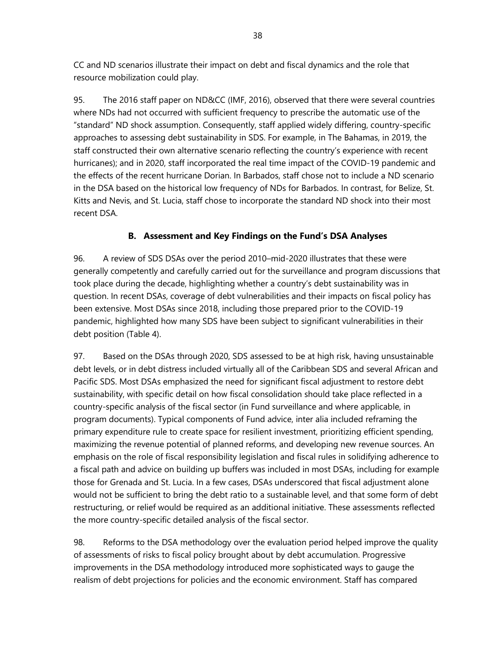CC and ND scenarios illustrate their impact on debt and fiscal dynamics and the role that resource mobilization could play.

95. The 2016 staff paper on ND&CC (IMF, 2016), observed that there were several countries where NDs had not occurred with sufficient frequency to prescribe the automatic use of the "standard" ND shock assumption. Consequently, staff applied widely differing, country-specific approaches to assessing debt sustainability in SDS. For example, in The Bahamas, in 2019, the staff constructed their own alternative scenario reflecting the country's experience with recent hurricanes); and in 2020, staff incorporated the real time impact of the COVID-19 pandemic and the effects of the recent hurricane Dorian. In Barbados, staff chose not to include a ND scenario in the DSA based on the historical low frequency of NDs for Barbados. In contrast, for Belize, St. Kitts and Nevis, and St. Lucia, staff chose to incorporate the standard ND shock into their most recent DSA.

# **B. Assessment and Key Findings on the Fund's DSA Analyses**

96. A review of SDS DSAs over the period 2010–mid-2020 illustrates that these were generally competently and carefully carried out for the surveillance and program discussions that took place during the decade, highlighting whether a country's debt sustainability was in question. In recent DSAs, coverage of debt vulnerabilities and their impacts on fiscal policy has been extensive. Most DSAs since 2018, including those prepared prior to the COVID-19 pandemic, highlighted how many SDS have been subject to significant vulnerabilities in their debt position (Table 4).

97. Based on the DSAs through 2020, SDS assessed to be at high risk, having unsustainable debt levels, or in debt distress included virtually all of the Caribbean SDS and several African and Pacific SDS. Most DSAs emphasized the need for significant fiscal adjustment to restore debt sustainability, with specific detail on how fiscal consolidation should take place reflected in a country-specific analysis of the fiscal sector (in Fund surveillance and where applicable, in program documents). Typical components of Fund advice, inter alia included reframing the primary expenditure rule to create space for resilient investment, prioritizing efficient spending, maximizing the revenue potential of planned reforms, and developing new revenue sources. An emphasis on the role of fiscal responsibility legislation and fiscal rules in solidifying adherence to a fiscal path and advice on building up buffers was included in most DSAs, including for example those for Grenada and St. Lucia. In a few cases, DSAs underscored that fiscal adjustment alone would not be sufficient to bring the debt ratio to a sustainable level, and that some form of debt restructuring, or relief would be required as an additional initiative. These assessments reflected the more country-specific detailed analysis of the fiscal sector.

98. Reforms to the DSA methodology over the evaluation period helped improve the quality of assessments of risks to fiscal policy brought about by debt accumulation. Progressive improvements in the DSA methodology introduced more sophisticated ways to gauge the realism of debt projections for policies and the economic environment. Staff has compared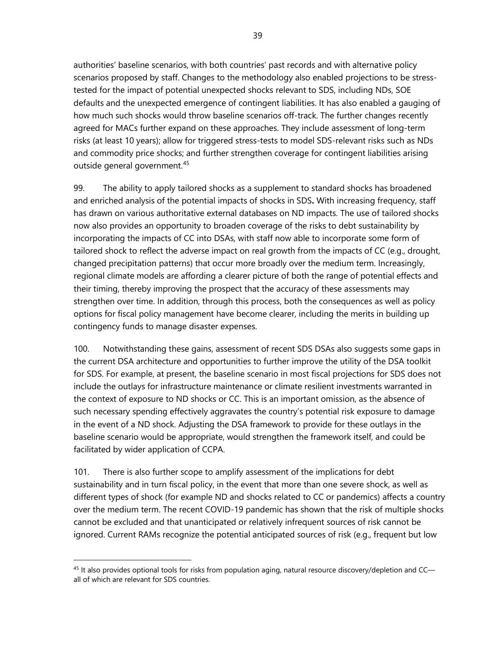authorities' baseline scenarios, with both countries' past records and with alternative policy scenarios proposed by staff. Changes to the methodology also enabled projections to be stresstested for the impact of potential unexpected shocks relevant to SDS, including NDs, SOE defaults and the unexpected emergence of contingent liabilities. It has also enabled a gauging of how much such shocks would throw baseline scenarios off-track. The further changes recently agreed for MACs further expand on these approaches. They include assessment of long-term risks (at least 10 years); allow for triggered stress-tests to model SDS-relevant risks such as NDs and commodity price shocks; and further strengthen coverage for contingent liabilities arising outside general government. [45](#page-46-0)

99. The ability to apply tailored shocks as a supplement to standard shocks has broadened and enriched analysis of the potential impacts of shocks in SDS**.** With increasing frequency, staff has drawn on various authoritative external databases on ND impacts. The use of tailored shocks now also provides an opportunity to broaden coverage of the risks to debt sustainability by incorporating the impacts of CC into DSAs, with staff now able to incorporate some form of tailored shock to reflect the adverse impact on real growth from the impacts of CC (e.g., drought, changed precipitation patterns) that occur more broadly over the medium term. Increasingly, regional climate models are affording a clearer picture of both the range of potential effects and their timing, thereby improving the prospect that the accuracy of these assessments may strengthen over time. In addition, through this process, both the consequences as well as policy options for fiscal policy management have become clearer, including the merits in building up contingency funds to manage disaster expenses.

100. Notwithstanding these gains, assessment of recent SDS DSAs also suggests some gaps in the current DSA architecture and opportunities to further improve the utility of the DSA toolkit for SDS. For example, at present, the baseline scenario in most fiscal projections for SDS does not include the outlays for infrastructure maintenance or climate resilient investments warranted in the context of exposure to ND shocks or CC. This is an important omission, as the absence of such necessary spending effectively aggravates the country's potential risk exposure to damage in the event of a ND shock. Adjusting the DSA framework to provide for these outlays in the baseline scenario would be appropriate, would strengthen the framework itself, and could be facilitated by wider application of CCPA.

101. There is also further scope to amplify assessment of the implications for debt sustainability and in turn fiscal policy, in the event that more than one severe shock, as well as different types of shock (for example ND and shocks related to CC or pandemics) affects a country over the medium term. The recent COVID-19 pandemic has shown that the risk of multiple shocks cannot be excluded and that unanticipated or relatively infrequent sources of risk cannot be ignored. Current RAMs recognize the potential anticipated sources of risk (e.g., frequent but low

<span id="page-46-0"></span><sup>&</sup>lt;sup>45</sup> It also provides optional tools for risks from population aging, natural resource discovery/depletion and CCall of which are relevant for SDS countries.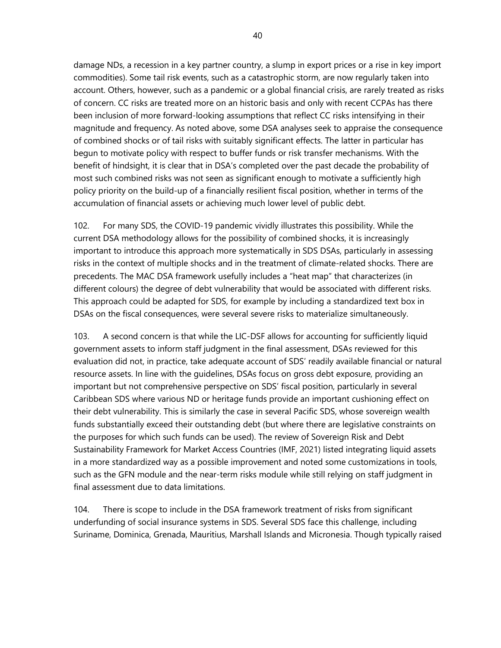damage NDs, a recession in a key partner country, a slump in export prices or a rise in key import commodities). Some tail risk events, such as a catastrophic storm, are now regularly taken into account. Others, however, such as a pandemic or a global financial crisis, are rarely treated as risks of concern. CC risks are treated more on an historic basis and only with recent CCPAs has there been inclusion of more forward-looking assumptions that reflect CC risks intensifying in their magnitude and frequency. As noted above, some DSA analyses seek to appraise the consequence of combined shocks or of tail risks with suitably significant effects. The latter in particular has begun to motivate policy with respect to buffer funds or risk transfer mechanisms. With the benefit of hindsight, it is clear that in DSA's completed over the past decade the probability of most such combined risks was not seen as significant enough to motivate a sufficiently high policy priority on the build-up of a financially resilient fiscal position, whether in terms of the accumulation of financial assets or achieving much lower level of public debt.

102. For many SDS, the COVID-19 pandemic vividly illustrates this possibility. While the current DSA methodology allows for the possibility of combined shocks, it is increasingly important to introduce this approach more systematically in SDS DSAs, particularly in assessing risks in the context of multiple shocks and in the treatment of climate-related shocks. There are precedents. The MAC DSA framework usefully includes a "heat map" that characterizes (in different colours) the degree of debt vulnerability that would be associated with different risks. This approach could be adapted for SDS, for example by including a standardized text box in DSAs on the fiscal consequences, were several severe risks to materialize simultaneously.

103. A second concern is that while the LIC-DSF allows for accounting for sufficiently liquid government assets to inform staff judgment in the final assessment, DSAs reviewed for this evaluation did not, in practice, take adequate account of SDS' readily available financial or natural resource assets. In line with the guidelines, DSAs focus on gross debt exposure, providing an important but not comprehensive perspective on SDS' fiscal position, particularly in several Caribbean SDS where various ND or heritage funds provide an important cushioning effect on their debt vulnerability. This is similarly the case in several Pacific SDS, whose sovereign wealth funds substantially exceed their outstanding debt (but where there are legislative constraints on the purposes for which such funds can be used). The review of Sovereign Risk and Debt Sustainability Framework for Market Access Countries (IMF, 2021) listed integrating liquid assets in a more standardized way as a possible improvement and noted some customizations in tools, such as the GFN module and the near-term risks module while still relying on staff judgment in final assessment due to data limitations.

104. There is scope to include in the DSA framework treatment of risks from significant underfunding of social insurance systems in SDS. Several SDS face this challenge, including Suriname, Dominica, Grenada, Mauritius, Marshall Islands and Micronesia. Though typically raised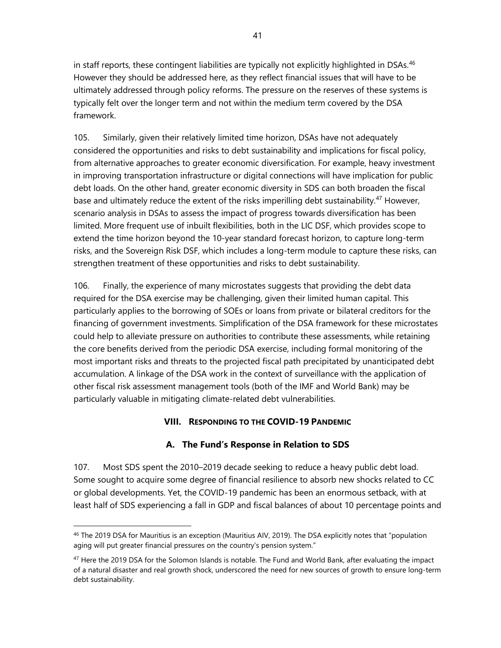in staff reports, these contingent liabilities are typically not explicitly highlighted in DSAs.<sup>[46](#page-48-0)</sup> However they should be addressed here, as they reflect financial issues that will have to be ultimately addressed through policy reforms. The pressure on the reserves of these systems is typically felt over the longer term and not within the medium term covered by the DSA framework.

105. Similarly, given their relatively limited time horizon, DSAs have not adequately considered the opportunities and risks to debt sustainability and implications for fiscal policy, from alternative approaches to greater economic diversification. For example, heavy investment in improving transportation infrastructure or digital connections will have implication for public debt loads. On the other hand, greater economic diversity in SDS can both broaden the fiscal base and ultimately reduce the extent of the risks imperilling debt sustainability.<sup>[47](#page-48-1)</sup> However, scenario analysis in DSAs to assess the impact of progress towards diversification has been limited. More frequent use of inbuilt flexibilities, both in the LIC DSF, which provides scope to extend the time horizon beyond the 10-year standard forecast horizon, to capture long-term risks, and the Sovereign Risk DSF, which includes a long-term module to capture these risks, can strengthen treatment of these opportunities and risks to debt sustainability.

106. Finally, the experience of many microstates suggests that providing the debt data required for the DSA exercise may be challenging, given their limited human capital. This particularly applies to the borrowing of SOEs or loans from private or bilateral creditors for the financing of government investments. Simplification of the DSA framework for these microstates could help to alleviate pressure on authorities to contribute these assessments, while retaining the core benefits derived from the periodic DSA exercise, including formal monitoring of the most important risks and threats to the projected fiscal path precipitated by unanticipated debt accumulation. A linkage of the DSA work in the context of surveillance with the application of other fiscal risk assessment management tools (both of the IMF and World Bank) may be particularly valuable in mitigating climate-related debt vulnerabilities.

## **VIII. RESPONDING TO THE COVID-19 PANDEMIC**

## **A. The Fund's Response in Relation to SDS**

107. Most SDS spent the 2010–2019 decade seeking to reduce a heavy public debt load. Some sought to acquire some degree of financial resilience to absorb new shocks related to CC or global developments. Yet, the COVID-19 pandemic has been an enormous setback, with at least half of SDS experiencing a fall in GDP and fiscal balances of about 10 percentage points and

<span id="page-48-0"></span><sup>46</sup> The 2019 DSA for Mauritius is an exception (Mauritius AIV, 2019). The DSA explicitly notes that "population aging will put greater financial pressures on the country's pension system."

<span id="page-48-1"></span><sup>&</sup>lt;sup>47</sup> Here the 2019 DSA for the Solomon Islands is notable. The Fund and World Bank, after evaluating the impact of a natural disaster and real growth shock, underscored the need for new sources of growth to ensure long-term debt sustainability.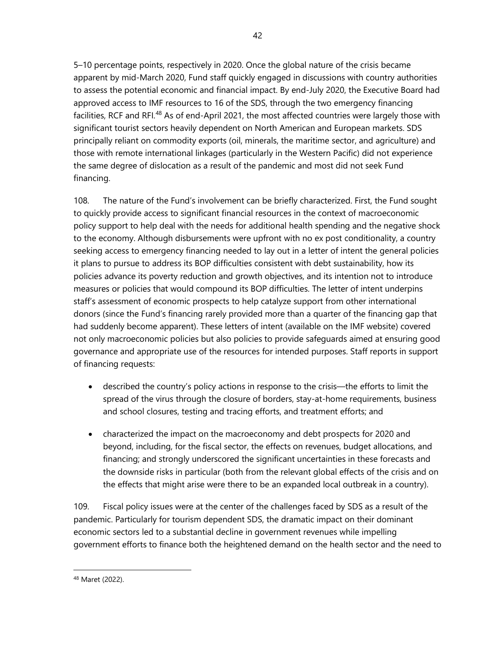5–10 percentage points, respectively in 2020. Once the global nature of the crisis became apparent by mid-March 2020, Fund staff quickly engaged in discussions with country authorities to assess the potential economic and financial impact. By end-July 2020, the Executive Board had approved access to IMF resources to 16 of the SDS, through the two emergency financing facilities, RCF and RFI.<sup>[48](#page-49-0)</sup> As of end-April 2021, the most affected countries were largely those with significant tourist sectors heavily dependent on North American and European markets. SDS principally reliant on commodity exports (oil, minerals, the maritime sector, and agriculture) and those with remote international linkages (particularly in the Western Pacific) did not experience the same degree of dislocation as a result of the pandemic and most did not seek Fund financing.

108. The nature of the Fund's involvement can be briefly characterized. First, the Fund sought to quickly provide access to significant financial resources in the context of macroeconomic policy support to help deal with the needs for additional health spending and the negative shock to the economy. Although disbursements were upfront with no ex post conditionality, a country seeking access to emergency financing needed to lay out in a letter of intent the general policies it plans to pursue to address its BOP difficulties consistent with debt sustainability, how its policies advance its poverty reduction and growth objectives, and its intention not to introduce measures or policies that would compound its BOP difficulties. The letter of intent underpins staff's assessment of economic prospects to help catalyze support from other international donors (since the Fund's financing rarely provided more than a quarter of the financing gap that had suddenly become apparent). These letters of intent (available on the IMF website) covered not only macroeconomic policies but also policies to provide safeguards aimed at ensuring good governance and appropriate use of the resources for intended purposes. Staff reports in support of financing requests:

- described the country's policy actions in response to the crisis—the efforts to limit the spread of the virus through the closure of borders, stay-at-home requirements, business and school closures, testing and tracing efforts, and treatment efforts; and
- characterized the impact on the macroeconomy and debt prospects for 2020 and beyond, including, for the fiscal sector, the effects on revenues, budget allocations, and financing; and strongly underscored the significant uncertainties in these forecasts and the downside risks in particular (both from the relevant global effects of the crisis and on the effects that might arise were there to be an expanded local outbreak in a country).

109. Fiscal policy issues were at the center of the challenges faced by SDS as a result of the pandemic. Particularly for tourism dependent SDS, the dramatic impact on their dominant economic sectors led to a substantial decline in government revenues while impelling government efforts to finance both the heightened demand on the health sector and the need to

<span id="page-49-0"></span><sup>48</sup> Maret (2022).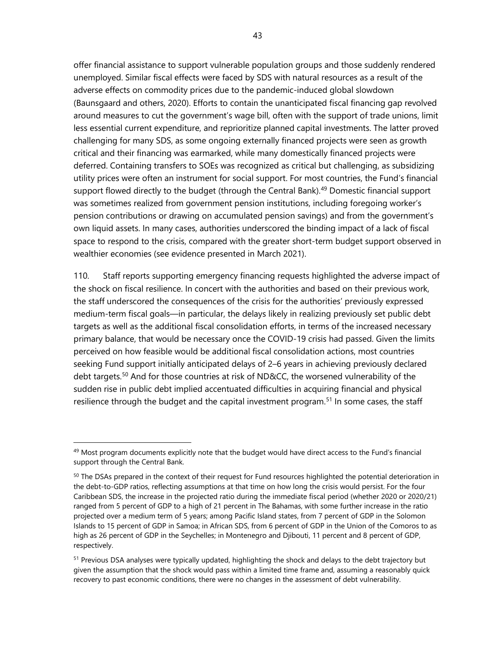offer financial assistance to support vulnerable population groups and those suddenly rendered unemployed. Similar fiscal effects were faced by SDS with natural resources as a result of the adverse effects on commodity prices due to the pandemic-induced global slowdown (Baunsgaard and others, 2020). Efforts to contain the unanticipated fiscal financing gap revolved around measures to cut the government's wage bill, often with the support of trade unions, limit less essential current expenditure, and reprioritize planned capital investments. The latter proved challenging for many SDS, as some ongoing externally financed projects were seen as growth critical and their financing was earmarked, while many domestically financed projects were deferred. Containing transfers to SOEs was recognized as critical but challenging, as subsidizing utility prices were often an instrument for social support. For most countries, the Fund's financial support flowed directly to the budget (through the Central Bank).<sup>[49](#page-50-0)</sup> Domestic financial support was sometimes realized from government pension institutions, including foregoing worker's pension contributions or drawing on accumulated pension savings) and from the government's own liquid assets. In many cases, authorities underscored the binding impact of a lack of fiscal space to respond to the crisis, compared with the greater short-term budget support observed in wealthier economies (see evidence presented in March 2021).

110. Staff reports supporting emergency financing requests highlighted the adverse impact of the shock on fiscal resilience. In concert with the authorities and based on their previous work, the staff underscored the consequences of the crisis for the authorities' previously expressed medium-term fiscal goals—in particular, the delays likely in realizing previously set public debt targets as well as the additional fiscal consolidation efforts, in terms of the increased necessary primary balance, that would be necessary once the COVID-19 crisis had passed. Given the limits perceived on how feasible would be additional fiscal consolidation actions, most countries seeking Fund support initially anticipated delays of 2–6 years in achieving previously declared debt targets.<sup>[50](#page-50-1)</sup> And for those countries at risk of ND&CC, the worsened vulnerability of the sudden rise in public debt implied accentuated difficulties in acquiring financial and physical resilience through the budget and the capital investment program.<sup>[51](#page-50-2)</sup> In some cases, the staff

<span id="page-50-0"></span> $49$  Most program documents explicitly note that the budget would have direct access to the Fund's financial support through the Central Bank.

<span id="page-50-1"></span><sup>&</sup>lt;sup>50</sup> The DSAs prepared in the context of their request for Fund resources highlighted the potential deterioration in the debt-to-GDP ratios, reflecting assumptions at that time on how long the crisis would persist. For the four Caribbean SDS, the increase in the projected ratio during the immediate fiscal period (whether 2020 or 2020/21) ranged from 5 percent of GDP to a high of 21 percent in The Bahamas, with some further increase in the ratio projected over a medium term of 5 years; among Pacific Island states, from 7 percent of GDP in the Solomon Islands to 15 percent of GDP in Samoa; in African SDS, from 6 percent of GDP in the Union of the Comoros to as high as 26 percent of GDP in the Seychelles; in Montenegro and Djibouti, 11 percent and 8 percent of GDP, respectively.

<span id="page-50-2"></span><sup>&</sup>lt;sup>51</sup> Previous DSA analyses were typically updated, highlighting the shock and delays to the debt trajectory but given the assumption that the shock would pass within a limited time frame and, assuming a reasonably quick recovery to past economic conditions, there were no changes in the assessment of debt vulnerability.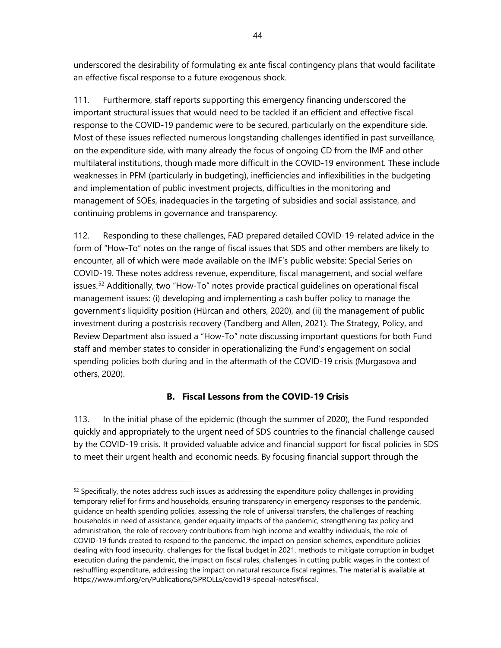underscored the desirability of formulating ex ante fiscal contingency plans that would facilitate an effective fiscal response to a future exogenous shock.

111. Furthermore, staff reports supporting this emergency financing underscored the important structural issues that would need to be tackled if an efficient and effective fiscal response to the COVID-19 pandemic were to be secured, particularly on the expenditure side. Most of these issues reflected numerous longstanding challenges identified in past surveillance, on the expenditure side, with many already the focus of ongoing CD from the IMF and other multilateral institutions, though made more difficult in the COVID-19 environment. These include weaknesses in PFM (particularly in budgeting), inefficiencies and inflexibilities in the budgeting and implementation of public investment projects, difficulties in the monitoring and management of SOEs, inadequacies in the targeting of subsidies and social assistance, and continuing problems in governance and transparency.

112. Responding to these challenges, FAD prepared detailed COVID-19-related advice in the form of "How-To" notes on the range of fiscal issues that SDS and other members are likely to encounter, all of which were made available on the IMF's public website: Special Series on COVID-19. These notes address revenue, expenditure, fiscal management, and social welfare issues.<sup>[52](#page-51-0)</sup> Additionally, two "How-To" notes provide practical quidelines on operational fiscal management issues: (i) developing and implementing a cash buffer policy to manage the government's liquidity position (Hürcan and others, 2020), and (ii) the management of public investment during a postcrisis recovery (Tandberg and Allen, 2021). The Strategy, Policy, and Review Department also issued a "How-To" note discussing important questions for both Fund staff and member states to consider in operationalizing the Fund's engagement on social spending policies both during and in the aftermath of the COVID-19 crisis (Murgasova and others, 2020).

# **B. Fiscal Lessons from the COVID-19 Crisis**

113. In the initial phase of the epidemic (though the summer of 2020), the Fund responded quickly and appropriately to the urgent need of SDS countries to the financial challenge caused by the COVID-19 crisis. It provided valuable advice and financial support for fiscal policies in SDS to meet their urgent health and economic needs. By focusing financial support through the

<span id="page-51-0"></span> $52$  Specifically, the notes address such issues as addressing the expenditure policy challenges in providing temporary relief for firms and households, ensuring transparency in emergency responses to the pandemic, guidance on health spending policies, assessing the role of universal transfers, the challenges of reaching households in need of assistance, gender equality impacts of the pandemic, strengthening tax policy and administration, the role of recovery contributions from high income and wealthy individuals, the role of COVID-19 funds created to respond to the pandemic, the impact on pension schemes, expenditure policies dealing with food insecurity, challenges for the fiscal budget in 2021, methods to mitigate corruption in budget execution during the pandemic, the impact on fiscal rules, challenges in cutting public wages in the context of reshuffling expenditure, addressing the impact on natural resource fiscal regimes. The material is available at [https://www.imf.org/en/Publications/SPROLLs/covid19-special-notes#fiscal.](https://www.imf.org/en/Publications/SPROLLs/covid19-special-notes#fiscal)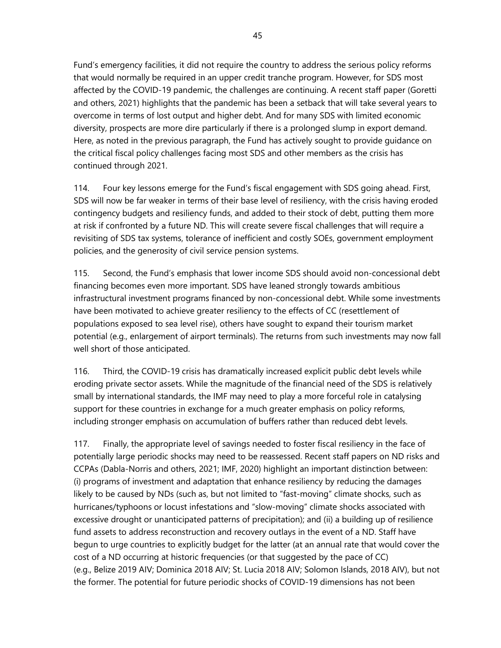Fund's emergency facilities, it did not require the country to address the serious policy reforms that would normally be required in an upper credit tranche program. However, for SDS most affected by the COVID-19 pandemic, the challenges are continuing. A recent staff paper (Goretti and others, 2021) highlights that the pandemic has been a setback that will take several years to overcome in terms of lost output and higher debt. And for many SDS with limited economic diversity, prospects are more dire particularly if there is a prolonged slump in export demand. Here, as noted in the previous paragraph, the Fund has actively sought to provide guidance on the critical fiscal policy challenges facing most SDS and other members as the crisis has continued through 2021.

114. Four key lessons emerge for the Fund's fiscal engagement with SDS going ahead. First, SDS will now be far weaker in terms of their base level of resiliency, with the crisis having eroded contingency budgets and resiliency funds, and added to their stock of debt, putting them more at risk if confronted by a future ND. This will create severe fiscal challenges that will require a revisiting of SDS tax systems, tolerance of inefficient and costly SOEs, government employment policies, and the generosity of civil service pension systems.

115. Second, the Fund's emphasis that lower income SDS should avoid non-concessional debt financing becomes even more important. SDS have leaned strongly towards ambitious infrastructural investment programs financed by non-concessional debt. While some investments have been motivated to achieve greater resiliency to the effects of CC (resettlement of populations exposed to sea level rise), others have sought to expand their tourism market potential (e.g., enlargement of airport terminals). The returns from such investments may now fall well short of those anticipated.

116. Third, the COVID-19 crisis has dramatically increased explicit public debt levels while eroding private sector assets. While the magnitude of the financial need of the SDS is relatively small by international standards, the IMF may need to play a more forceful role in catalysing support for these countries in exchange for a much greater emphasis on policy reforms, including stronger emphasis on accumulation of buffers rather than reduced debt levels.

117. Finally, the appropriate level of savings needed to foster fiscal resiliency in the face of potentially large periodic shocks may need to be reassessed. Recent staff papers on ND risks and CCPAs (Dabla-Norris and others, 2021; IMF, 2020) highlight an important distinction between: (i) programs of investment and adaptation that enhance resiliency by reducing the damages likely to be caused by NDs (such as, but not limited to "fast-moving" climate shocks, such as hurricanes/typhoons or locust infestations and "slow-moving" climate shocks associated with excessive drought or unanticipated patterns of precipitation); and (ii) a building up of resilience fund assets to address reconstruction and recovery outlays in the event of a ND. Staff have begun to urge countries to explicitly budget for the latter (at an annual rate that would cover the cost of a ND occurring at historic frequencies (or that suggested by the pace of CC) (e.g., Belize 2019 AIV; Dominica 2018 AIV; St. Lucia 2018 AIV; Solomon Islands, 2018 AIV), but not the former. The potential for future periodic shocks of COVID-19 dimensions has not been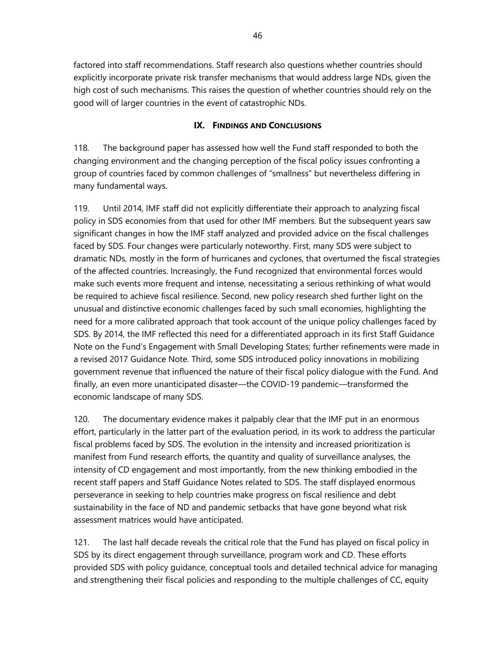factored into staff recommendations. Staff research also questions whether countries should explicitly incorporate private risk transfer mechanisms that would address large NDs, given the high cost of such mechanisms. This raises the question of whether countries should rely on the good will of larger countries in the event of catastrophic NDs.

#### **IX. FINDINGS AND CONCLUSIONS**

118. The background paper has assessed how well the Fund staff responded to both the changing environment and the changing perception of the fiscal policy issues confronting a group of countries faced by common challenges of "smallness" but nevertheless differing in many fundamental ways.

119. Until 2014, IMF staff did not explicitly differentiate their approach to analyzing fiscal policy in SDS economies from that used for other IMF members. But the subsequent years saw significant changes in how the IMF staff analyzed and provided advice on the fiscal challenges faced by SDS. Four changes were particularly noteworthy. First, many SDS were subject to dramatic NDs, mostly in the form of hurricanes and cyclones, that overturned the fiscal strategies of the affected countries. Increasingly, the Fund recognized that environmental forces would make such events more frequent and intense, necessitating a serious rethinking of what would be required to achieve fiscal resilience. Second, new policy research shed further light on the unusual and distinctive economic challenges faced by such small economies, highlighting the need for a more calibrated approach that took account of the unique policy challenges faced by SDS. By 2014, the IMF reflected this need for a differentiated approach in its first Staff Guidance Note on the Fund's Engagement with Small Developing States; further refinements were made in a revised 2017 Guidance Note. Third, some SDS introduced policy innovations in mobilizing government revenue that influenced the nature of their fiscal policy dialogue with the Fund. And finally, an even more unanticipated disaster—the COVID-19 pandemic—transformed the economic landscape of many SDS.

120. The documentary evidence makes it palpably clear that the IMF put in an enormous effort, particularly in the latter part of the evaluation period, in its work to address the particular fiscal problems faced by SDS. The evolution in the intensity and increased prioritization is manifest from Fund research efforts, the quantity and quality of surveillance analyses, the intensity of CD engagement and most importantly, from the new thinking embodied in the recent staff papers and Staff Guidance Notes related to SDS. The staff displayed enormous perseverance in seeking to help countries make progress on fiscal resilience and debt sustainability in the face of ND and pandemic setbacks that have gone beyond what risk assessment matrices would have anticipated.

121. The last half decade reveals the critical role that the Fund has played on fiscal policy in SDS by its direct engagement through surveillance, program work and CD. These efforts provided SDS with policy guidance, conceptual tools and detailed technical advice for managing and strengthening their fiscal policies and responding to the multiple challenges of CC, equity

46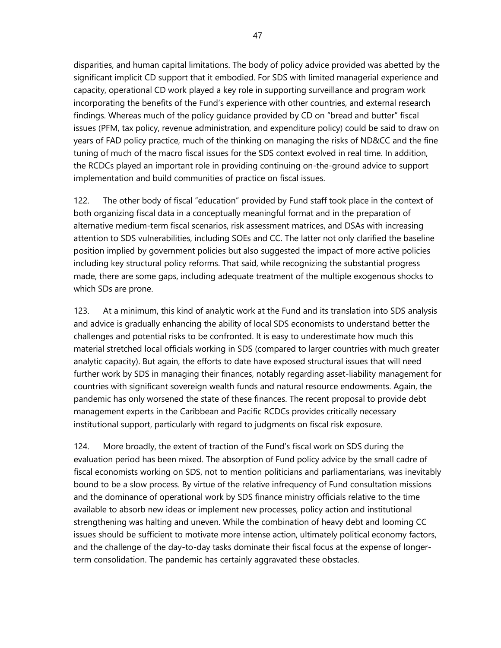disparities, and human capital limitations. The body of policy advice provided was abetted by the significant implicit CD support that it embodied. For SDS with limited managerial experience and capacity, operational CD work played a key role in supporting surveillance and program work incorporating the benefits of the Fund's experience with other countries, and external research findings. Whereas much of the policy guidance provided by CD on "bread and butter" fiscal issues (PFM, tax policy, revenue administration, and expenditure policy) could be said to draw on years of FAD policy practice, much of the thinking on managing the risks of ND&CC and the fine tuning of much of the macro fiscal issues for the SDS context evolved in real time. In addition, the RCDCs played an important role in providing continuing on-the-ground advice to support implementation and build communities of practice on fiscal issues.

122. The other body of fiscal "education" provided by Fund staff took place in the context of both organizing fiscal data in a conceptually meaningful format and in the preparation of alternative medium-term fiscal scenarios, risk assessment matrices, and DSAs with increasing attention to SDS vulnerabilities, including SOEs and CC. The latter not only clarified the baseline position implied by government policies but also suggested the impact of more active policies including key structural policy reforms. That said, while recognizing the substantial progress made, there are some gaps, including adequate treatment of the multiple exogenous shocks to which SDs are prone.

123. At a minimum, this kind of analytic work at the Fund and its translation into SDS analysis and advice is gradually enhancing the ability of local SDS economists to understand better the challenges and potential risks to be confronted. It is easy to underestimate how much this material stretched local officials working in SDS (compared to larger countries with much greater analytic capacity). But again, the efforts to date have exposed structural issues that will need further work by SDS in managing their finances, notably regarding asset-liability management for countries with significant sovereign wealth funds and natural resource endowments. Again, the pandemic has only worsened the state of these finances. The recent proposal to provide debt management experts in the Caribbean and Pacific RCDCs provides critically necessary institutional support, particularly with regard to judgments on fiscal risk exposure.

124. More broadly, the extent of traction of the Fund's fiscal work on SDS during the evaluation period has been mixed. The absorption of Fund policy advice by the small cadre of fiscal economists working on SDS, not to mention politicians and parliamentarians, was inevitably bound to be a slow process. By virtue of the relative infrequency of Fund consultation missions and the dominance of operational work by SDS finance ministry officials relative to the time available to absorb new ideas or implement new processes, policy action and institutional strengthening was halting and uneven. While the combination of heavy debt and looming CC issues should be sufficient to motivate more intense action, ultimately political economy factors, and the challenge of the day-to-day tasks dominate their fiscal focus at the expense of longerterm consolidation. The pandemic has certainly aggravated these obstacles.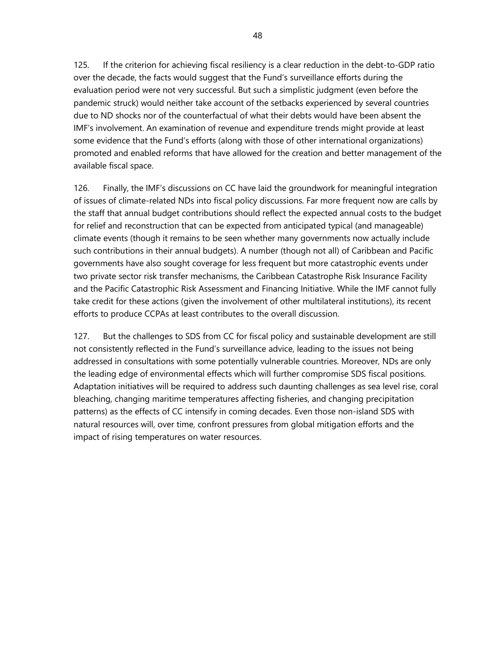125. If the criterion for achieving fiscal resiliency is a clear reduction in the debt-to-GDP ratio over the decade, the facts would suggest that the Fund's surveillance efforts during the evaluation period were not very successful. But such a simplistic judgment (even before the pandemic struck) would neither take account of the setbacks experienced by several countries due to ND shocks nor of the counterfactual of what their debts would have been absent the IMF's involvement. An examination of revenue and expenditure trends might provide at least some evidence that the Fund's efforts (along with those of other international organizations) promoted and enabled reforms that have allowed for the creation and better management of the available fiscal space.

126. Finally, the IMF's discussions on CC have laid the groundwork for meaningful integration of issues of climate-related NDs into fiscal policy discussions. Far more frequent now are calls by the staff that annual budget contributions should reflect the expected annual costs to the budget for relief and reconstruction that can be expected from anticipated typical (and manageable) climate events (though it remains to be seen whether many governments now actually include such contributions in their annual budgets). A number (though not all) of Caribbean and Pacific governments have also sought coverage for less frequent but more catastrophic events under two private sector risk transfer mechanisms, the Caribbean Catastrophe Risk Insurance Facility and the Pacific Catastrophic Risk Assessment and Financing Initiative. While the IMF cannot fully take credit for these actions (given the involvement of other multilateral institutions), its recent efforts to produce CCPAs at least contributes to the overall discussion.

127. But the challenges to SDS from CC for fiscal policy and sustainable development are still not consistently reflected in the Fund's surveillance advice, leading to the issues not being addressed in consultations with some potentially vulnerable countries. Moreover, NDs are only the leading edge of environmental effects which will further compromise SDS fiscal positions. Adaptation initiatives will be required to address such daunting challenges as sea level rise, coral bleaching, changing maritime temperatures affecting fisheries, and changing precipitation patterns) as the effects of CC intensify in coming decades. Even those non-island SDS with natural resources will, over time, confront pressures from global mitigation efforts and the impact of rising temperatures on water resources.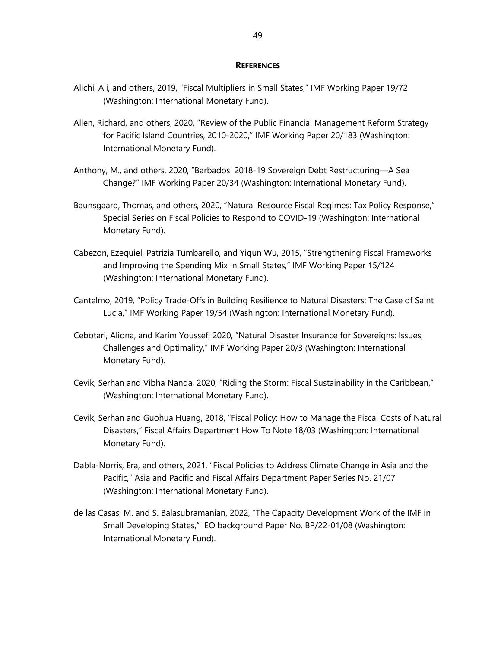#### **REFERENCES**

- Alichi, Ali, and others, 2019, "Fiscal Multipliers in Small States," IMF Working Paper 19/72 (Washington: International Monetary Fund).
- Allen, Richard, and others, 2020, "Review of the Public Financial Management Reform Strategy for Pacific Island Countries, 2010-2020," IMF Working Paper 20/183 (Washington: International Monetary Fund).
- Anthony, M., and others, 2020, "Barbados' 2018-19 Sovereign Debt Restructuring—A Sea Change?" IMF Working Paper 20/34 (Washington: International Monetary Fund).
- Baunsgaard, Thomas, and others, 2020, "Natural Resource Fiscal Regimes: Tax Policy Response," Special Series on Fiscal Policies to Respond to COVID-19 (Washington: International Monetary Fund).
- Cabezon, Ezequiel, Patrizia Tumbarello, and Yiqun Wu, 2015, "Strengthening Fiscal Frameworks and Improving the Spending Mix in Small States," IMF Working Paper 15/124 (Washington: International Monetary Fund).
- Cantelmo, 2019, "Policy Trade-Offs in Building Resilience to Natural Disasters: The Case of Saint Lucia," IMF Working Paper 19/54 (Washington: International Monetary Fund).
- Cebotari, Aliona, and Karim Youssef, 2020, "Natural Disaster Insurance for Sovereigns: Issues, Challenges and Optimality," IMF Working Paper 20/3 (Washington: International Monetary Fund).
- Cevik, Serhan and Vibha Nanda, 2020, "Riding the Storm: Fiscal Sustainability in the Caribbean," (Washington: International Monetary Fund).
- Cevik, Serhan and Guohua Huang, 2018, "Fiscal Policy: How to Manage the Fiscal Costs of Natural Disasters," Fiscal Affairs Department How To Note 18/03 (Washington: International Monetary Fund).
- Dabla-Norris, Era, and others, 2021, "Fiscal Policies to Address Climate Change in Asia and the Pacific," Asia and Pacific and Fiscal Affairs Department Paper Series No. 21/07 (Washington: International Monetary Fund).
- de las Casas, M. and S. Balasubramanian, 2022, "The Capacity Development Work of the IMF in Small Developing States," IEO background Paper No. BP/22-01/08 (Washington: International Monetary Fund).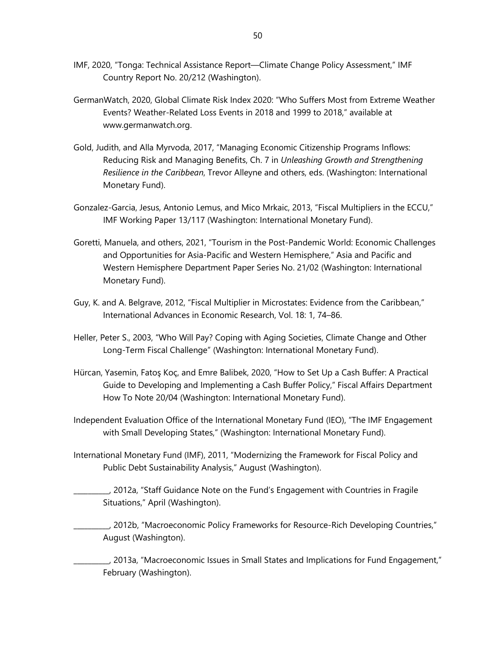- IMF, 2020, "Tonga: Technical Assistance Report—Climate Change Policy Assessment," IMF Country Report No. 20/212 (Washington).
- GermanWatch, 2020, Global Climate Risk Index 2020: "Who Suffers Most from Extreme Weather Events? Weather-Related Loss Events in 2018 and 1999 to 2018," available at [www.germanwatch.org.](http://www.germanwatch.org/)
- Gold, Judith, and Alla Myrvoda, 2017, "Managing Economic Citizenship Programs Inflows: Reducing Risk and Managing Benefits, Ch. 7 in *Unleashing Growth and Strengthening Resilience in the Caribbean*, Trevor Alleyne and others, eds. (Washington: International Monetary Fund).
- Gonzalez-Garcia, Jesus, Antonio Lemus, and Mico Mrkaic, 2013, "Fiscal Multipliers in the ECCU," IMF Working Paper 13/117 (Washington: International Monetary Fund).
- Goretti, Manuela, and others, 2021, "Tourism in the Post-Pandemic World: Economic Challenges and Opportunities for Asia-Pacific and Western Hemisphere," Asia and Pacific and Western Hemisphere Department Paper Series No. 21/02 (Washington: International Monetary Fund).
- Guy, K. and A. Belgrave, 2012, "Fiscal Multiplier in Microstates: Evidence from the Caribbean," International Advances in Economic Research, Vol. 18: 1, 74–86.
- Heller, Peter S., 2003, "Who Will Pay? Coping with Aging Societies, Climate Change and Other Long-Term Fiscal Challenge" (Washington: International Monetary Fund).
- Hürcan, Yasemin, Fatoş Koç, and Emre Balibek, 2020, "How to Set Up a Cash Buffer: A Practical Guide to Developing and Implementing a Cash Buffer Policy," Fiscal Affairs Department How To Note 20/04 (Washington: International Monetary Fund).
- Independent Evaluation Office of the International Monetary Fund (IEO), "The IMF Engagement with Small Developing States," (Washington: International Monetary Fund).
- International Monetary Fund (IMF), 2011, "Modernizing the Framework for Fiscal Policy and Public Debt Sustainability Analysis," August (Washington).
	- \_\_\_\_\_\_\_\_\_\_, 2012a, "Staff Guidance Note on the Fund's Engagement with Countries in Fragile Situations," April (Washington).
	- \_\_\_\_\_\_\_\_\_\_, 2012b, "Macroeconomic Policy Frameworks for Resource-Rich Developing Countries," August (Washington).
- $\_$ , 2013a, "Macroeconomic Issues in Small States and Implications for Fund Engagement,"  $\,$ February (Washington).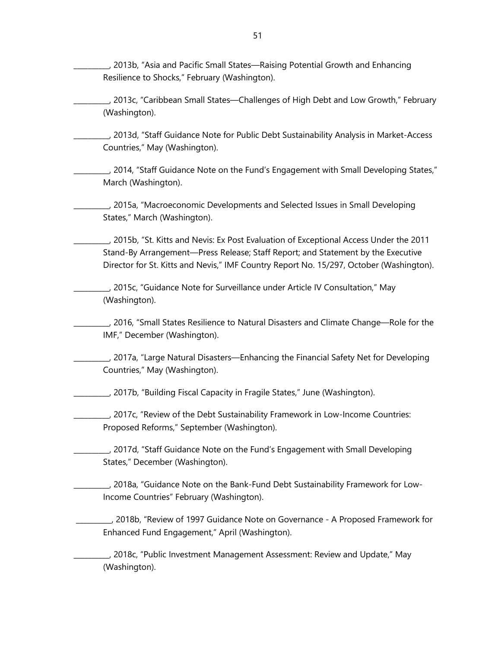\_\_\_\_\_\_\_\_\_\_, 2013b, "Asia and Pacific Small States—Raising Potential Growth and Enhancing Resilience to Shocks," February (Washington).

\_\_\_\_\_\_\_\_\_\_, 2013c, "Caribbean Small States—Challenges of High Debt and Low Growth," February (Washington).

\_\_\_\_\_\_\_\_\_\_, 2013d, "Staff Guidance Note for Public Debt Sustainability Analysis in Market-Access Countries," May (Washington).

\_\_\_\_\_\_\_\_\_\_, 2014, "Staff Guidance Note on the Fund's Engagement with Small Developing States," March (Washington).

\_\_\_\_\_\_\_\_\_\_, 2015a, "Macroeconomic Developments and Selected Issues in Small Developing States," March (Washington).

\_\_\_\_\_\_\_\_\_\_, 2015b, "St. Kitts and Nevis: Ex Post Evaluation of Exceptional Access Under the 2011 Stand-By Arrangement—Press Release; Staff Report; and Statement by the Executive Director for St. Kitts and Nevis," IMF Country Report No. 15/297, October (Washington).

\_\_\_\_\_\_\_\_\_\_, 2015c, "Guidance Note for Surveillance under Article IV Consultation," May (Washington).

\_\_\_\_\_\_\_\_\_\_, 2016, "Small States Resilience to Natural Disasters and Climate Change—Role for the IMF," December (Washington).

\_\_\_\_\_\_\_\_\_\_, 2017a, "Large Natural Disasters—Enhancing the Financial Safety Net for Developing Countries," May (Washington).

\_\_\_\_\_\_\_\_\_\_, 2017b, "Building Fiscal Capacity in Fragile States," June (Washington).

\_\_\_\_\_\_\_\_\_\_, 2017c, "Review of the Debt Sustainability Framework in Low-Income Countries: Proposed Reforms," September (Washington).

\_\_\_\_\_\_\_\_\_\_, 2017d, "Staff Guidance Note on the Fund's Engagement with Small Developing States," December (Washington).

\_\_\_\_\_\_\_\_\_\_, 2018a, "Guidance Note on the Bank-Fund Debt Sustainability Framework for Low-Income Countries" February (Washington).

\_\_\_\_\_\_\_\_\_\_, 2018b, "Review of 1997 Guidance Note on Governance - A Proposed Framework for Enhanced Fund Engagement," April (Washington).

\_\_\_\_\_\_\_\_\_\_, 2018c, "Public Investment Management Assessment: Review and Update," May (Washington).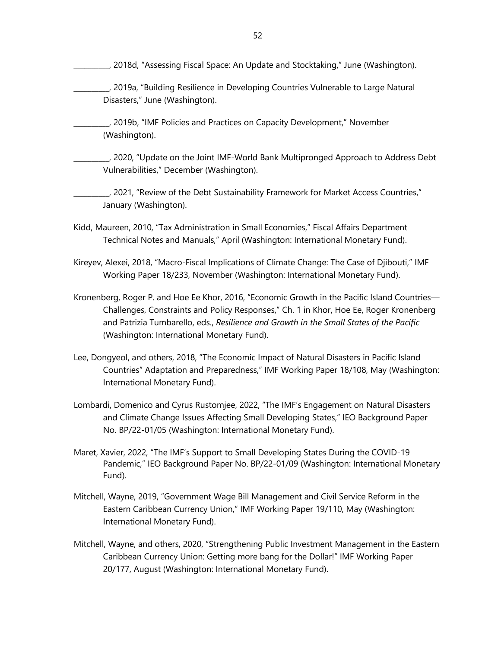- \_\_\_\_\_\_\_\_\_\_, 2018d, "Assessing Fiscal Space: An Update and Stocktaking," June (Washington).
- \_\_\_\_\_\_\_\_\_\_, 2019a, "Building Resilience in Developing Countries Vulnerable to Large Natural Disasters," June (Washington).
- \_\_\_\_\_\_\_\_\_\_, 2019b, "IMF Policies and Practices on Capacity Development," November (Washington).
- \_\_\_\_\_\_\_\_\_\_, 2020, "Update on the Joint IMF-World Bank Multipronged Approach to Address Debt Vulnerabilities," December (Washington).
- \_\_\_\_\_\_\_\_\_\_, 2021, "Review of the Debt Sustainability Framework for Market Access Countries," January (Washington).
- Kidd, Maureen, 2010, "Tax Administration in Small Economies," Fiscal Affairs Department Technical Notes and Manuals," April (Washington: International Monetary Fund).
- Kireyev, Alexei, 2018, "Macro-Fiscal Implications of Climate Change: The Case of Djibouti," IMF Working Paper 18/233, November (Washington: International Monetary Fund).
- Kronenberg, Roger P. and Hoe Ee Khor, 2016, "Economic Growth in the Pacific Island Countries— Challenges, Constraints and Policy Responses," Ch. 1 in Khor, Hoe Ee, Roger Kronenberg and Patrizia Tumbarello, eds., *Resilience and Growth in the Small States of the Pacific* (Washington: International Monetary Fund).
- Lee, Dongyeol, and others, 2018, "The Economic Impact of Natural Disasters in Pacific Island Countries" Adaptation and Preparedness," IMF Working Paper 18/108, May (Washington: International Monetary Fund).
- Lombardi, Domenico and Cyrus Rustomjee, 2022, "The IMF's Engagement on Natural Disasters and Climate Change Issues Affecting Small Developing States," IEO Background Paper No. BP/22-01/05 (Washington: International Monetary Fund).
- Maret, Xavier, 2022, "The IMF's Support to Small Developing States During the COVID-19 Pandemic," IEO Background Paper No. BP/22-01/09 (Washington: International Monetary Fund).
- Mitchell, Wayne, 2019, "Government Wage Bill Management and Civil Service Reform in the Eastern Caribbean Currency Union," IMF Working Paper 19/110, May (Washington: International Monetary Fund).
- Mitchell, Wayne, and others, 2020, "Strengthening Public Investment Management in the Eastern Caribbean Currency Union: Getting more bang for the Dollar!" IMF Working Paper 20/177, August (Washington: International Monetary Fund).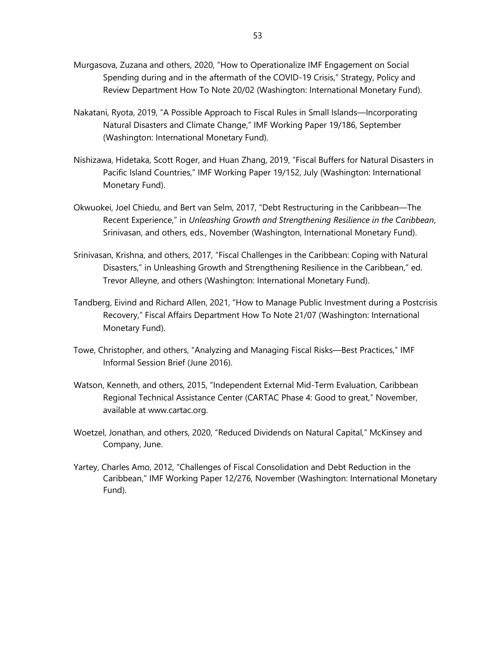- Murgasova, Zuzana and others, 2020, "How to Operationalize IMF Engagement on Social Spending during and in the aftermath of the COVID-19 Crisis," Strategy, Policy and Review Department How To Note 20/02 (Washington: International Monetary Fund).
- Nakatani, Ryota, 2019, "A Possible Approach to Fiscal Rules in Small Islands—Incorporating Natural Disasters and Climate Change," IMF Working Paper 19/186, September (Washington: International Monetary Fund).
- Nishizawa, Hidetaka, Scott Roger, and Huan Zhang, 2019, "Fiscal Buffers for Natural Disasters in Pacific Island Countries," IMF Working Paper 19/152, July (Washington: International Monetary Fund).
- Okwuokei, Joel Chiedu, and Bert van Selm, 2017, "Debt Restructuring in the Caribbean—The Recent Experience," in *Unleashing Growth and Strengthening Resilience in the Caribbean*, Srinivasan, and others, eds., November (Washington, International Monetary Fund).
- Srinivasan, Krishna, and others, 2017, "Fiscal Challenges in the Caribbean: Coping with Natural Disasters," in Unleashing Growth and Strengthening Resilience in the Caribbean," ed. Trevor Alleyne, and others (Washington: International Monetary Fund).
- Tandberg, Eivind and Richard Allen, 2021, "How to Manage Public Investment during a Postcrisis Recovery," Fiscal Affairs Department How To Note 21/07 (Washington: International Monetary Fund).
- Towe, Christopher, and others, "Analyzing and Managing Fiscal Risks—Best Practices," IMF Informal Session Brief (June 2016).
- Watson, Kenneth, and others, 2015, "Independent External Mid-Term Evaluation, Caribbean Regional Technical Assistance Center (CARTAC Phase 4: Good to great," November, available at www.cartac.org.
- Woetzel, Jonathan, and others, 2020, "Reduced Dividends on Natural Capital," McKinsey and Company, June.
- Yartey, Charles Amo, 2012, "Challenges of Fiscal Consolidation and Debt Reduction in the Caribbean," IMF Working Paper 12/276, November (Washington: International Monetary Fund).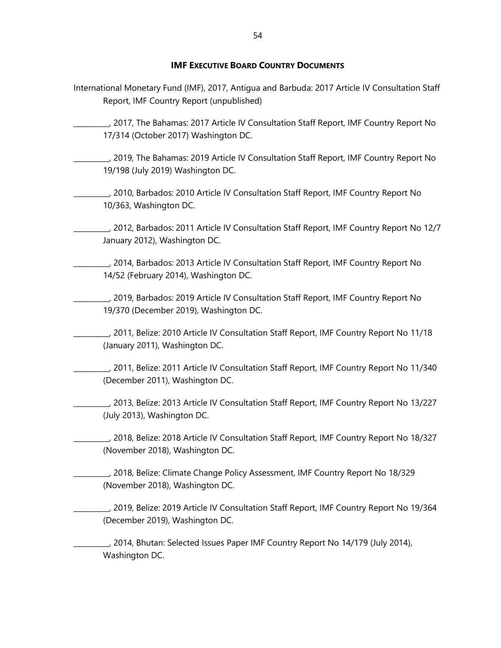#### **IMF EXECUTIVE BOARD COUNTRY DOCUMENTS**

- International Monetary Fund (IMF), 2017, Antigua and Barbuda: 2017 Article IV Consultation Staff Report, IMF Country Report (unpublished)
- \_\_\_\_\_\_\_\_\_\_, 2017, The Bahamas: 2017 Article IV Consultation Staff Report, IMF Country Report No 17/314 (October 2017) Washington DC.
- \_\_\_\_\_\_\_\_\_\_, 2019, The Bahamas: 2019 Article IV Consultation Staff Report, IMF Country Report No 19/198 (July 2019) Washington DC.
- \_\_\_\_\_\_\_\_\_\_, 2010, Barbados: 2010 Article IV Consultation Staff Report, IMF Country Report No 10/363, Washington DC.
- \_\_\_\_\_\_\_\_\_\_, 2012, Barbados: 2011 Article IV Consultation Staff Report, IMF Country Report No 12/7 January 2012), Washington DC.
- \_\_\_\_\_\_\_\_\_\_, 2014, Barbados: 2013 Article IV Consultation Staff Report, IMF Country Report No 14/52 (February 2014), Washington DC.
- \_\_\_\_\_\_\_\_\_\_, 2019, Barbados: 2019 Article IV Consultation Staff Report, IMF Country Report No 19/370 (December 2019), Washington DC.
- \_\_\_\_\_\_\_\_\_\_, 2011, Belize: 2010 Article IV Consultation Staff Report, IMF Country Report No 11/18 (January 2011), Washington DC.
- \_\_\_\_\_\_\_\_\_\_, 2011, Belize: 2011 Article IV Consultation Staff Report, IMF Country Report No 11/340 (December 2011), Washington DC.
	- \_\_\_\_\_\_\_\_\_\_, 2013, Belize: 2013 Article IV Consultation Staff Report, IMF Country Report No 13/227 (July 2013), Washington DC.
	- \_\_\_\_\_\_\_\_\_\_, 2018, Belize: 2018 Article IV Consultation Staff Report, IMF Country Report No 18/327 (November 2018), Washington DC.
- \_\_\_\_\_\_\_\_\_\_, 2018, Belize: Climate Change Policy Assessment, IMF Country Report No 18/329 (November 2018), Washington DC.
- \_\_\_\_\_\_\_\_\_\_, 2019, Belize: 2019 Article IV Consultation Staff Report, IMF Country Report No 19/364 (December 2019), Washington DC.
	- \_\_\_\_\_\_\_\_\_\_, 2014, Bhutan: Selected Issues Paper IMF Country Report No 14/179 (July 2014), Washington DC.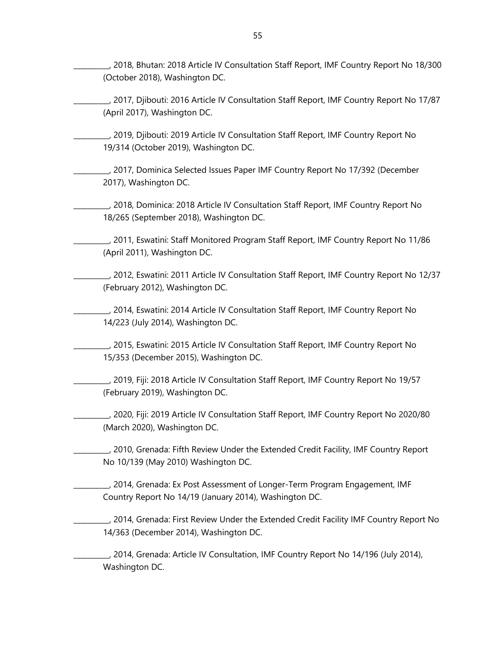\_\_\_\_\_\_\_\_\_\_, 2018, Bhutan: 2018 Article IV Consultation Staff Report, IMF Country Report No 18/300 (October 2018), Washington DC.

- \_\_\_\_\_\_\_\_\_\_, 2017, Djibouti: 2016 Article IV Consultation Staff Report, IMF Country Report No 17/87 (April 2017), Washington DC.
- \_\_\_\_\_\_\_\_\_\_, 2019, Djibouti: 2019 Article IV Consultation Staff Report, IMF Country Report No 19/314 (October 2019), Washington DC.
- \_\_\_\_\_\_\_\_\_\_, 2017, Dominica Selected Issues Paper IMF Country Report No 17/392 (December 2017), Washington DC.
- \_\_\_\_\_\_\_\_\_\_, 2018, Dominica: 2018 Article IV Consultation Staff Report, IMF Country Report No 18/265 (September 2018), Washington DC.
- \_\_\_\_\_\_\_\_\_\_, 2011, Eswatini: Staff Monitored Program Staff Report, IMF Country Report No 11/86 (April 2011), Washington DC.
	- \_\_\_\_\_\_\_\_\_\_, 2012, Eswatini: 2011 Article IV Consultation Staff Report, IMF Country Report No 12/37 (February 2012), Washington DC.
- \_\_\_\_\_\_\_\_\_\_, 2014, Eswatini: 2014 Article IV Consultation Staff Report, IMF Country Report No 14/223 (July 2014), Washington DC.
- \_\_\_\_\_\_\_\_\_\_, 2015, Eswatini: 2015 Article IV Consultation Staff Report, IMF Country Report No 15/353 (December 2015), Washington DC.
- \_\_\_\_\_\_\_\_\_\_, 2019, Fiji: 2018 Article IV Consultation Staff Report, IMF Country Report No 19/57 (February 2019), Washington DC.
	- \_\_\_\_\_\_\_\_\_\_, 2020, Fiji: 2019 Article IV Consultation Staff Report, IMF Country Report No 2020/80 (March 2020), Washington DC.
- \_\_\_\_\_\_\_\_\_\_, 2010, Grenada: Fifth Review Under the Extended Credit Facility, IMF Country Report No 10/139 (May 2010) Washington DC.
- \_\_\_\_\_\_\_\_\_\_, 2014, Grenada: Ex Post Assessment of Longer-Term Program Engagement, IMF Country Report No 14/19 (January 2014), Washington DC.
- \_\_\_\_\_\_\_\_\_\_, 2014, Grenada: First Review Under the Extended Credit Facility IMF Country Report No 14/363 (December 2014), Washington DC.
	- \_\_\_\_\_\_\_\_\_\_, 2014, Grenada: Article IV Consultation, IMF Country Report No 14/196 (July 2014), Washington DC.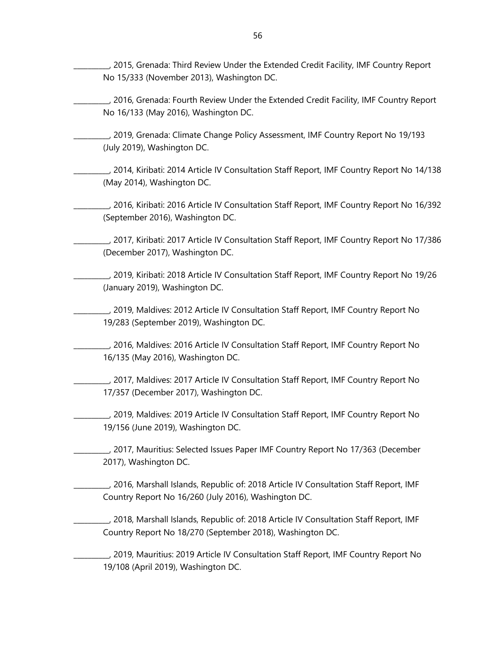\_\_\_\_\_\_\_\_\_\_, 2015, Grenada: Third Review Under the Extended Credit Facility, IMF Country Report No 15/333 (November 2013), Washington DC.

\_\_\_\_\_\_\_\_\_\_, 2016, Grenada: Fourth Review Under the Extended Credit Facility, IMF Country Report No 16/133 (May 2016), Washington DC.

\_\_\_\_\_\_\_\_\_\_, 2019, Grenada: Climate Change Policy Assessment, IMF Country Report No 19/193 (July 2019), Washington DC.

\_\_\_\_\_\_\_\_\_\_, 2014, Kiribati: 2014 Article IV Consultation Staff Report, IMF Country Report No 14/138 (May 2014), Washington DC.

\_\_\_\_\_\_\_\_\_\_, 2016, Kiribati: 2016 Article IV Consultation Staff Report, IMF Country Report No 16/392 (September 2016), Washington DC.

\_\_\_\_\_\_\_\_\_\_, 2017, Kiribati: 2017 Article IV Consultation Staff Report, IMF Country Report No 17/386 (December 2017), Washington DC.

\_\_\_\_\_\_\_\_\_\_, 2019, Kiribati: 2018 Article IV Consultation Staff Report, IMF Country Report No 19/26 (January 2019), Washington DC.

\_\_\_\_\_\_\_\_\_\_, 2019, Maldives: 2012 Article IV Consultation Staff Report, IMF Country Report No 19/283 (September 2019), Washington DC.

\_\_\_\_\_\_\_\_\_\_, 2016, Maldives: 2016 Article IV Consultation Staff Report, IMF Country Report No 16/135 (May 2016), Washington DC.

\_\_\_\_\_\_\_\_\_\_, 2017, Maldives: 2017 Article IV Consultation Staff Report, IMF Country Report No 17/357 (December 2017), Washington DC.

\_\_\_\_\_\_\_\_\_\_, 2019, Maldives: 2019 Article IV Consultation Staff Report, IMF Country Report No 19/156 (June 2019), Washington DC.

\_\_\_\_\_\_\_\_\_\_, 2017, Mauritius: Selected Issues Paper IMF Country Report No 17/363 (December 2017), Washington DC.

\_\_\_\_\_\_\_\_\_\_, 2016, Marshall Islands, Republic of: 2018 Article IV Consultation Staff Report, IMF Country Report No 16/260 (July 2016), Washington DC.

\_\_\_\_\_\_\_\_\_\_, 2018, Marshall Islands, Republic of: 2018 Article IV Consultation Staff Report, IMF Country Report No 18/270 (September 2018), Washington DC.

\_\_\_\_\_\_\_\_\_\_, 2019, Mauritius: 2019 Article IV Consultation Staff Report, IMF Country Report No 19/108 (April 2019), Washington DC.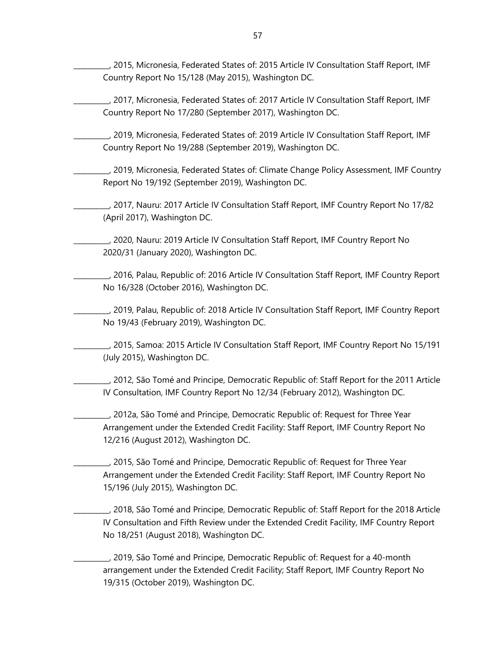\_\_\_\_\_\_\_\_\_\_, 2015, Micronesia, Federated States of: 2015 Article IV Consultation Staff Report, IMF Country Report No 15/128 (May 2015), Washington DC.

\_\_\_\_\_\_\_\_\_\_, 2017, Micronesia, Federated States of: 2017 Article IV Consultation Staff Report, IMF Country Report No 17/280 (September 2017), Washington DC.

\_\_\_\_\_\_\_\_\_\_, 2019, Micronesia, Federated States of: 2019 Article IV Consultation Staff Report, IMF Country Report No 19/288 (September 2019), Washington DC.

\_\_\_\_\_\_\_\_\_\_, 2019, Micronesia, Federated States of: Climate Change Policy Assessment, IMF Country Report No 19/192 (September 2019), Washington DC.

\_\_\_\_\_\_\_\_\_\_, 2017, Nauru: 2017 Article IV Consultation Staff Report, IMF Country Report No 17/82 (April 2017), Washington DC.

\_\_\_\_\_\_\_\_\_\_, 2020, Nauru: 2019 Article IV Consultation Staff Report, IMF Country Report No 2020/31 (January 2020), Washington DC.

\_\_\_\_\_\_\_\_\_\_, 2016, Palau, Republic of: 2016 Article IV Consultation Staff Report, IMF Country Report No 16/328 (October 2016), Washington DC.

\_\_\_\_\_\_\_\_\_\_, 2019, Palau, Republic of: 2018 Article IV Consultation Staff Report, IMF Country Report No 19/43 (February 2019), Washington DC.

\_\_\_\_\_\_\_\_\_\_, 2015, Samoa: 2015 Article IV Consultation Staff Report, IMF Country Report No 15/191 (July 2015), Washington DC.

\_\_\_\_\_\_\_\_\_\_, 2012, São Tomé and Principe, Democratic Republic of: Staff Report for the 2011 Article IV Consultation, IMF Country Report No 12/34 (February 2012), Washington DC.

\_\_\_\_\_\_\_\_\_\_, 2012a, São Tomé and Principe, Democratic Republic of: Request for Three Year Arrangement under the Extended Credit Facility: Staff Report, IMF Country Report No 12/216 (August 2012), Washington DC.

\_\_\_\_\_\_\_\_\_\_, 2015, São Tomé and Principe, Democratic Republic of: Request for Three Year Arrangement under the Extended Credit Facility: Staff Report, IMF Country Report No 15/196 (July 2015), Washington DC.

\_\_\_\_\_\_\_\_\_\_, 2018, São Tomé and Principe, Democratic Republic of: Staff Report for the 2018 Article IV Consultation and Fifth Review under the Extended Credit Facility, IMF Country Report No 18/251 (August 2018), Washington DC.

\_\_\_\_\_\_\_\_\_\_, 2019, São Tomé and Principe, Democratic Republic of: Request for a 40-month arrangement under the Extended Credit Facility; Staff Report, IMF Country Report No 19/315 (October 2019), Washington DC.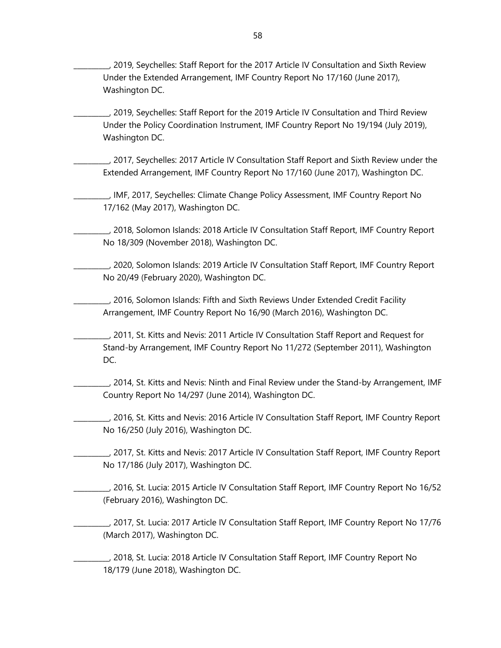\_\_\_\_\_\_\_\_\_\_, 2019, Seychelles: Staff Report for the 2017 Article IV Consultation and Sixth Review Under the Extended Arrangement, IMF Country Report No 17/160 (June 2017), Washington DC.

\_\_\_\_\_\_\_\_\_\_, 2019, Seychelles: Staff Report for the 2019 Article IV Consultation and Third Review Under the Policy Coordination Instrument, IMF Country Report No 19/194 (July 2019), Washington DC.

\_\_\_\_\_\_\_\_\_\_, 2017, Seychelles: 2017 Article IV Consultation Staff Report and Sixth Review under the Extended Arrangement, IMF Country Report No 17/160 (June 2017), Washington DC.

\_\_\_\_\_\_\_\_\_\_, IMF, 2017, Seychelles: Climate Change Policy Assessment, IMF Country Report No 17/162 (May 2017), Washington DC.

\_\_\_\_\_\_\_\_\_\_, 2018, Solomon Islands: 2018 Article IV Consultation Staff Report, IMF Country Report No 18/309 (November 2018), Washington DC.

\_\_\_\_\_\_\_\_\_\_, 2020, Solomon Islands: 2019 Article IV Consultation Staff Report, IMF Country Report No 20/49 (February 2020), Washington DC.

\_\_\_\_\_\_\_\_\_\_, 2016, Solomon Islands: Fifth and Sixth Reviews Under Extended Credit Facility Arrangement, IMF Country Report No 16/90 (March 2016), Washington DC.

\_\_\_\_\_\_\_\_\_\_, 2011, St. Kitts and Nevis: 2011 Article IV Consultation Staff Report and Request for Stand-by Arrangement, IMF Country Report No 11/272 (September 2011), Washington DC.

\_\_\_\_\_\_\_\_\_\_, 2014, St. Kitts and Nevis: Ninth and Final Review under the Stand-by Arrangement, IMF Country Report No 14/297 (June 2014), Washington DC.

\_\_\_\_\_\_\_\_\_\_, 2016, St. Kitts and Nevis: 2016 Article IV Consultation Staff Report, IMF Country Report No 16/250 (July 2016), Washington DC.

\_\_\_\_\_\_\_\_\_\_, 2017, St. Kitts and Nevis: 2017 Article IV Consultation Staff Report, IMF Country Report No 17/186 (July 2017), Washington DC.

\_\_\_\_\_\_\_\_\_\_, 2016, St. Lucia: 2015 Article IV Consultation Staff Report, IMF Country Report No 16/52 (February 2016), Washington DC.

\_\_\_\_\_\_\_\_\_\_, 2017, St. Lucia: 2017 Article IV Consultation Staff Report, IMF Country Report No 17/76 (March 2017), Washington DC.

\_\_\_\_\_\_\_\_\_\_, 2018, St. Lucia: 2018 Article IV Consultation Staff Report, IMF Country Report No 18/179 (June 2018), Washington DC.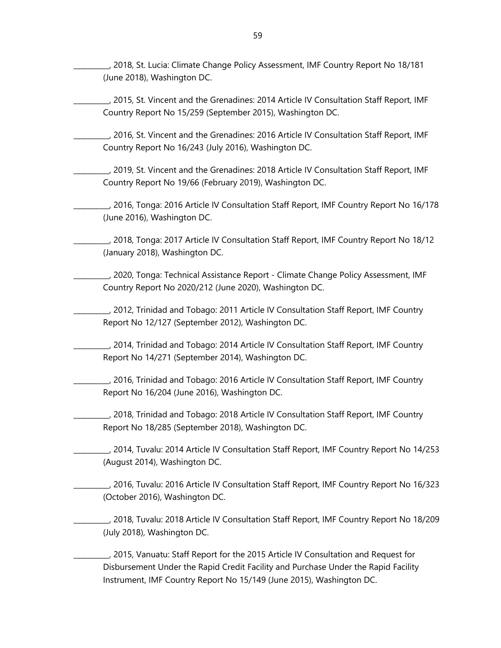\_\_\_\_\_\_\_\_\_\_, 2018, St. Lucia: Climate Change Policy Assessment, IMF Country Report No 18/181 (June 2018), Washington DC.

\_\_\_\_\_\_\_\_\_\_, 2015, St. Vincent and the Grenadines: 2014 Article IV Consultation Staff Report, IMF Country Report No 15/259 (September 2015), Washington DC.

\_\_\_\_\_\_\_\_\_\_, 2016, St. Vincent and the Grenadines: 2016 Article IV Consultation Staff Report, IMF Country Report No 16/243 (July 2016), Washington DC.

\_\_\_\_\_\_\_\_\_\_, 2019, St. Vincent and the Grenadines: 2018 Article IV Consultation Staff Report, IMF Country Report No 19/66 (February 2019), Washington DC.

\_\_\_\_\_\_\_\_\_\_, 2016, Tonga: 2016 Article IV Consultation Staff Report, IMF Country Report No 16/178 (June 2016), Washington DC.

\_\_\_\_\_\_\_\_\_\_, 2018, Tonga: 2017 Article IV Consultation Staff Report, IMF Country Report No 18/12 (January 2018), Washington DC.

\_\_\_\_\_\_\_\_\_\_, 2020, Tonga: Technical Assistance Report - Climate Change Policy Assessment, IMF Country Report No 2020/212 (June 2020), Washington DC.

\_\_\_\_\_\_\_\_\_\_, 2012, Trinidad and Tobago: 2011 Article IV Consultation Staff Report, IMF Country Report No 12/127 (September 2012), Washington DC.

\_\_\_\_\_\_\_\_\_\_, 2014, Trinidad and Tobago: 2014 Article IV Consultation Staff Report, IMF Country Report No 14/271 (September 2014), Washington DC.

\_\_\_\_\_\_\_\_\_\_, 2016, Trinidad and Tobago: 2016 Article IV Consultation Staff Report, IMF Country Report No 16/204 (June 2016), Washington DC.

\_\_\_\_\_\_\_\_\_\_, 2018, Trinidad and Tobago: 2018 Article IV Consultation Staff Report, IMF Country Report No 18/285 (September 2018), Washington DC.

\_\_\_\_\_\_\_\_\_\_, 2014, Tuvalu: 2014 Article IV Consultation Staff Report, IMF Country Report No 14/253 (August 2014), Washington DC.

\_\_\_\_\_\_\_\_\_\_, 2016, Tuvalu: 2016 Article IV Consultation Staff Report, IMF Country Report No 16/323 (October 2016), Washington DC.

\_\_\_\_\_\_\_\_\_\_, 2018, Tuvalu: 2018 Article IV Consultation Staff Report, IMF Country Report No 18/209 (July 2018), Washington DC.

\_\_\_\_\_\_\_\_\_\_, 2015, Vanuatu: Staff Report for the 2015 Article IV Consultation and Request for Disbursement Under the Rapid Credit Facility and Purchase Under the Rapid Facility Instrument, IMF Country Report No 15/149 (June 2015), Washington DC.